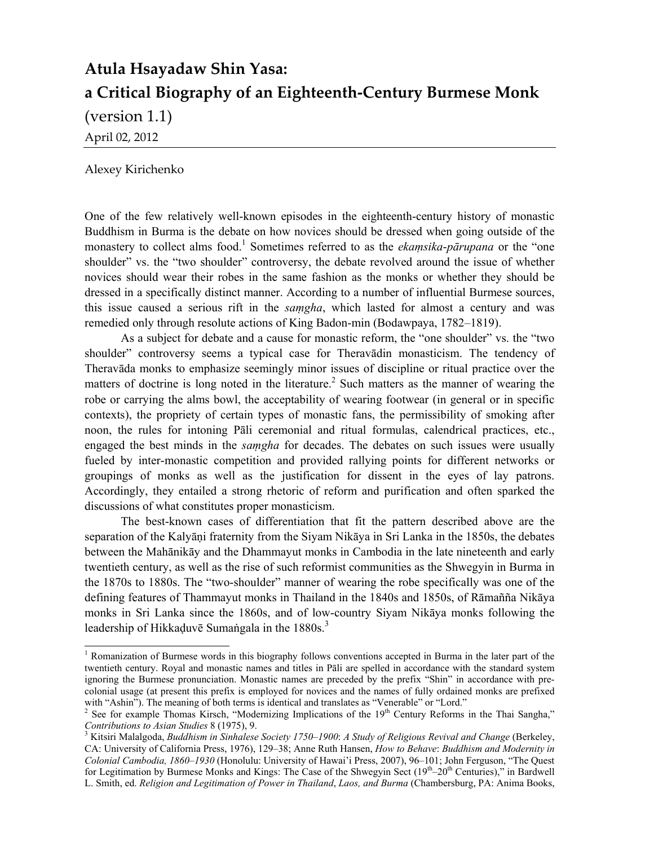# **Atula Hsayadaw Shin Yasa: a Critical Biography of an Eighteenth‐Century Burmese Monk**

(version 1.1)

April 02, 2012

Alexey Kirichenko

One of the few relatively well-known episodes in the eighteenth-century history of monastic Buddhism in Burma is the debate on how novices should be dressed when going outside of the monastery to collect alms food.<sup>1</sup> Sometimes referred to as the *ekamsika-pārupana* or the "one" shoulder" vs. the "two shoulder" controversy, the debate revolved around the issue of whether novices should wear their robes in the same fashion as the monks or whether they should be dressed in a specifically distinct manner. According to a number of influential Burmese sources, this issue caused a serious rift in the *saṃgha*, which lasted for almost a century and was remedied only through resolute actions of King Badon-min (Bodawpaya, 1782–1819).

 As a subject for debate and a cause for monastic reform, the "one shoulder" vs. the "two shoulder" controversy seems a typical case for Theravādin monasticism. The tendency of Theravāda monks to emphasize seemingly minor issues of discipline or ritual practice over the matters of doctrine is long noted in the literature.<sup>2</sup> Such matters as the manner of wearing the robe or carrying the alms bowl, the acceptability of wearing footwear (in general or in specific contexts), the propriety of certain types of monastic fans, the permissibility of smoking after noon, the rules for intoning Pāli ceremonial and ritual formulas, calendrical practices, etc., engaged the best minds in the *saṃgha* for decades. The debates on such issues were usually fueled by inter-monastic competition and provided rallying points for different networks or groupings of monks as well as the justification for dissent in the eyes of lay patrons. Accordingly, they entailed a strong rhetoric of reform and purification and often sparked the discussions of what constitutes proper monasticism.

 The best-known cases of differentiation that fit the pattern described above are the separation of the Kalyāṇi fraternity from the Siyam Nikāya in Sri Lanka in the 1850s, the debates between the Mahānikāy and the Dhammayut monks in Cambodia in the late nineteenth and early twentieth century, as well as the rise of such reformist communities as the Shwegyin in Burma in the 1870s to 1880s. The "two-shoulder" manner of wearing the robe specifically was one of the defining features of Thammayut monks in Thailand in the 1840s and 1850s, of Rāmañña Nikāya monks in Sri Lanka since the 1860s, and of low-country Siyam Nikāya monks following the leadership of Hikkaduvē Sumangala in the  $1880s^3$ .

<sup>&</sup>lt;sup>1</sup> Romanization of Burmese words in this biography follows conventions accepted in Burma in the later part of the twentieth century. Royal and monastic names and titles in Pāli are spelled in accordance with the standard system ignoring the Burmese pronunciation. Monastic names are preceded by the prefix "Shin" in accordance with precolonial usage (at present this prefix is employed for novices and the names of fully ordained monks are prefixed with "Ashin"). The meaning of both terms is identical and translates as "Venerable" or "Lord."

<sup>&</sup>lt;sup>2</sup> See for example Thomas Kirsch, "Modernizing Implications of the  $19<sup>th</sup>$  Century Reforms in the Thai Sangha," *Contributions to Asian Studies* 8 (1975), 9.

Kitsiri Malalgoda, *Buddhism in Sinhalese Society 1750*–*1900*: *A Study of Religious Revival and Change* (Berkeley, CA: University of California Press, 1976), 129–38; Anne Ruth Hansen, *How to Behave*: *Buddhism and Modernity in Colonial Cambodia, 1860*–*1930* (Honolulu: University of Hawai'i Press, 2007), 96–101; John Ferguson, "The Quest for Legitimation by Burmese Monks and Kings: The Case of the Shwegyin Sect  $(19<sup>th</sup>-20<sup>th</sup>$  Centuries)," in Bardwell L. Smith, ed. *Religion and Legitimation of Power in Thailand*, *Laos, and Burma* (Chambersburg, PA: Anima Books,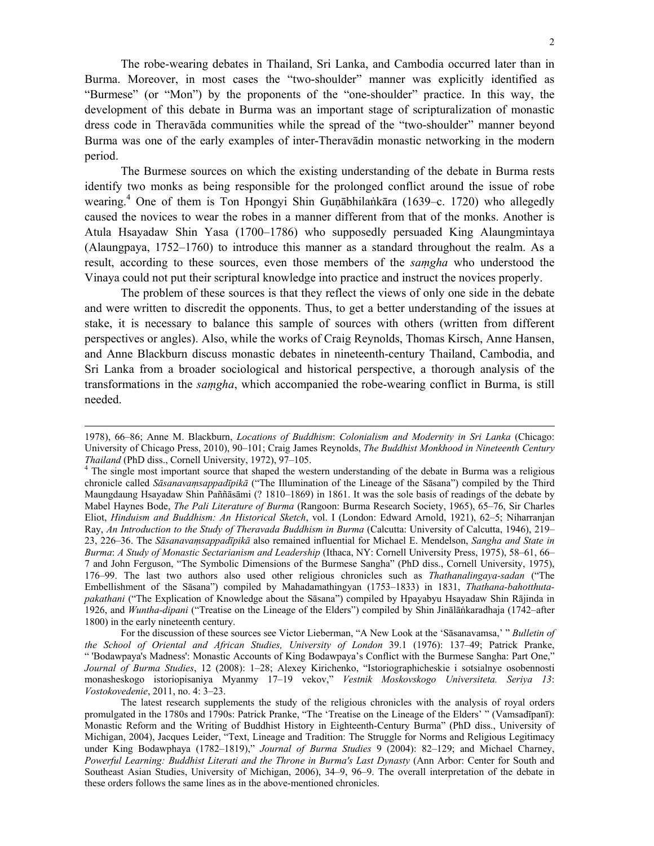The robe-wearing debates in Thailand, Sri Lanka, and Cambodia occurred later than in Burma. Moreover, in most cases the "two-shoulder" manner was explicitly identified as "Burmese" (or "Mon") by the proponents of the "one-shoulder" practice. In this way, the development of this debate in Burma was an important stage of scripturalization of monastic dress code in Theravāda communities while the spread of the "two-shoulder" manner beyond Burma was one of the early examples of inter-Theravādin monastic networking in the modern period.

 The Burmese sources on which the existing understanding of the debate in Burma rests identify two monks as being responsible for the prolonged conflict around the issue of robe wearing.<sup>4</sup> One of them is Ton Hpongyi Shin Guṇābhilaṅkāra (1639–c. 1720) who allegedly caused the novices to wear the robes in a manner different from that of the monks. Another is Atula Hsayadaw Shin Yasa (1700–1786) who supposedly persuaded King Alaungmintaya (Alaungpaya, 1752–1760) to introduce this manner as a standard throughout the realm. As a result, according to these sources, even those members of the *saṃgha* who understood the Vinaya could not put their scriptural knowledge into practice and instruct the novices properly.

The problem of these sources is that they reflect the views of only one side in the debate and were written to discredit the opponents. Thus, to get a better understanding of the issues at stake, it is necessary to balance this sample of sources with others (written from different perspectives or angles). Also, while the works of Craig Reynolds, Thomas Kirsch, Anne Hansen, and Anne Blackburn discuss monastic debates in nineteenth-century Thailand, Cambodia, and Sri Lanka from a broader sociological and historical perspective, a thorough analysis of the transformations in the *saṃgha*, which accompanied the robe-wearing conflict in Burma, is still needed.

 $\overline{a}$ 

 For the discussion of these sources see Victor Lieberman, "A New Look at the 'Sāsanavamsa,' " *Bulletin of the School of Oriental and African Studies, University of London* 39.1 (1976): 137–49; Patrick Pranke, " 'Bodawpaya's Madness': Monastic Accounts of King Bodawpaya's Conflict with the Burmese Sangha: Part One," *Journal of Burma Studies*, 12 (2008): 1–28; Alexey Kirichenko, "Istoriographicheskie i sotsialnye osobennosti monasheskogo istoriopisaniya Myanmy 17–19 vekov," *Vestnik Moskovskogo Universiteta. Seriya 13*: *Vostokovedenie*, 2011, no. 4: 3–23.

 The latest research supplements the study of the religious chronicles with the analysis of royal orders promulgated in the 1780s and 1790s: Patrick Pranke, "The 'Treatise on the Lineage of the Elders' " (Vamsadīpanī): Monastic Reform and the Writing of Buddhist History in Eighteenth-Century Burma" (PhD diss., University of Michigan, 2004), Jacques Leider, "Text, Lineage and Tradition: The Struggle for Norms and Religious Legitimacy under King Bodawphaya (1782–1819)," *Journal of Burma Studies* 9 (2004): 82–129; and Michael Charney, *Powerful Learning: Buddhist Literati and the Throne in Burma's Last Dynasty* (Ann Arbor: Center for South and Southeast Asian Studies, University of Michigan, 2006), 34–9, 96–9. The overall interpretation of the debate in these orders follows the same lines as in the above-mentioned chronicles.

<sup>1978), 66–86;</sup> Anne M. Blackburn, *Locations of Buddhism*: *Colonialism and Modernity in Sri Lanka* (Chicago: University of Chicago Press, 2010), 90–101; Craig James Reynolds, *The Buddhist Monkhood in Nineteenth Century Thailand* (PhD diss., Cornell University, 1972), 97–105. 4

<sup>&</sup>lt;sup>4</sup> The single most important source that shaped the western understanding of the debate in Burma was a religious chronicle called *Sāsanavaṃsappadīpikā* ("The Illumination of the Lineage of the Sāsana") compiled by the Third Maungdaung Hsayadaw Shin Paññāsāmi (? 1810–1869) in 1861. It was the sole basis of readings of the debate by Mabel Haynes Bode, *The Pali Literature of Burma* (Rangoon: Burma Research Society, 1965), 65–76, Sir Charles Eliot, *Hinduism and Buddhism: An Historical Sketch*, vol. I (London: Edward Arnold, 1921), 62–5; Niharranjan Ray, *An Introduction to the Study of Theravada Buddhism in Burma* (Calcutta: University of Calcutta, 1946), 219– 23, 226–36. The *Sāsanavaṃsappadīpikā* also remained influential for Michael E. Mendelson, *Sangha and State in Burma*: *A Study of Monastic Sectarianism and Leadership* (Ithaca, NY: Cornell University Press, 1975), 58–61, 66– 7 and John Ferguson, "The Symbolic Dimensions of the Burmese Sangha" (PhD diss., Cornell University, 1975), 176–99. The last two authors also used other religious chronicles such as *Thathanalingaya-sadan* ("The Embellishment of the Sāsana") compiled by Mahadamathingyan (1753–1833) in 1831, *Thathana-bahotthutapakathani* ("The Explication of Knowledge about the Sāsana") compiled by Hpayabyu Hsayadaw Shin Rājinda in 1926, and *Wuntha-dipani* ("Treatise on the Lineage of the Elders") compiled by Shin Jinālāṅkaradhaja (1742–after 1800) in the early nineteenth century.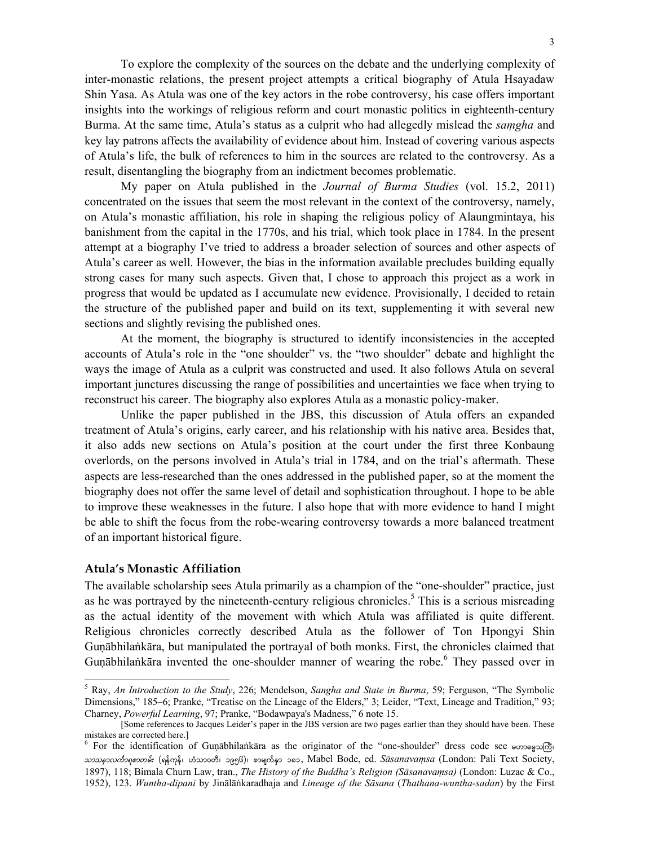To explore the complexity of the sources on the debate and the underlying complexity of inter-monastic relations, the present project attempts a critical biography of Atula Hsayadaw Shin Yasa. As Atula was one of the key actors in the robe controversy, his case offers important insights into the workings of religious reform and court monastic politics in eighteenth-century Burma. At the same time, Atula's status as a culprit who had allegedly mislead the *saṃgha* and key lay patrons affects the availability of evidence about him. Instead of covering various aspects of Atula's life, the bulk of references to him in the sources are related to the controversy. As a result, disentangling the biography from an indictment becomes problematic.

My paper on Atula published in the *Journal of Burma Studies* (vol. 15.2, 2011) concentrated on the issues that seem the most relevant in the context of the controversy, namely, on Atula's monastic affiliation, his role in shaping the religious policy of Alaungmintaya, his banishment from the capital in the 1770s, and his trial, which took place in 1784. In the present attempt at a biography I've tried to address a broader selection of sources and other aspects of Atula's career as well. However, the bias in the information available precludes building equally strong cases for many such aspects. Given that, I chose to approach this project as a work in progress that would be updated as I accumulate new evidence. Provisionally, I decided to retain the structure of the published paper and build on its text, supplementing it with several new sections and slightly revising the published ones.

At the moment, the biography is structured to identify inconsistencies in the accepted accounts of Atula's role in the "one shoulder" vs. the "two shoulder" debate and highlight the ways the image of Atula as a culprit was constructed and used. It also follows Atula on several important junctures discussing the range of possibilities and uncertainties we face when trying to reconstruct his career. The biography also explores Atula as a monastic policy-maker.

Unlike the paper published in the JBS, this discussion of Atula offers an expanded treatment of Atula's origins, early career, and his relationship with his native area. Besides that, it also adds new sections on Atula's position at the court under the first three Konbaung overlords, on the persons involved in Atula's trial in 1784, and on the trial's aftermath. These aspects are less-researched than the ones addressed in the published paper, so at the moment the biography does not offer the same level of detail and sophistication throughout. I hope to be able to improve these weaknesses in the future. I also hope that with more evidence to hand I might be able to shift the focus from the robe-wearing controversy towards a more balanced treatment of an important historical figure.

#### **Atula's Monastic Affiliation**

 $\overline{a}$ 

The available scholarship sees Atula primarily as a champion of the "one-shoulder" practice, just as he was portrayed by the nineteenth-century religious chronicles.<sup>5</sup> This is a serious misreading as the actual identity of the movement with which Atula was affiliated is quite different. Religious chronicles correctly described Atula as the follower of Ton Hpongyi Shin Guṇābhilaṅkāra, but manipulated the portrayal of both monks. First, the chronicles claimed that Guṇābhilaṅkāra invented the one-shoulder manner of wearing the robe. <sup>6</sup> They passed over in

<sup>5</sup> Ray, *An Introduction to the Study*, 226; Mendelson, *Sangha and State in Burma*, 59; Ferguson, "The Symbolic Dimensions," 185–6; Pranke, "Treatise on the Lineage of the Elders," 3; Leider, "Text, Lineage and Tradition," 93; Charney, *Powerful Learning*, 97; Pranke, "Bodawpaya's Madness," 6 note 15.

 <sup>[</sup>Some references to Jacques Leider's paper in the JBS version are two pages earlier than they should have been. These mistakes are corrected here.]

<sup>&</sup>lt;sup>6</sup> For the identification of Guṇābhilaṅkāra as the originator of the "one-shoulder" dress code see  $\omega$  $x$ ာ*သနၥလင်္ကာရစာတမ်း* (ရန်ကုန်၊ ဟံသာဝတီ၊ ၁၉၅၆)၊ စာမျက်နှာ ၁၈၁, Mabel Bode, ed. *Sā̄sanavam̩sa* (London: Pali Text Society, 1897), 118; Bimala Churn Law, tran., *The History of the Buddha's Religion (Sāsanavaṃsa)* (London: Luzac & Co., 1952), 123. *Wuntha-dipani* by Jinālāṅkaradhaja and *Lineage of the Sāsana* (*Thathana-wuntha-sadan*) by the First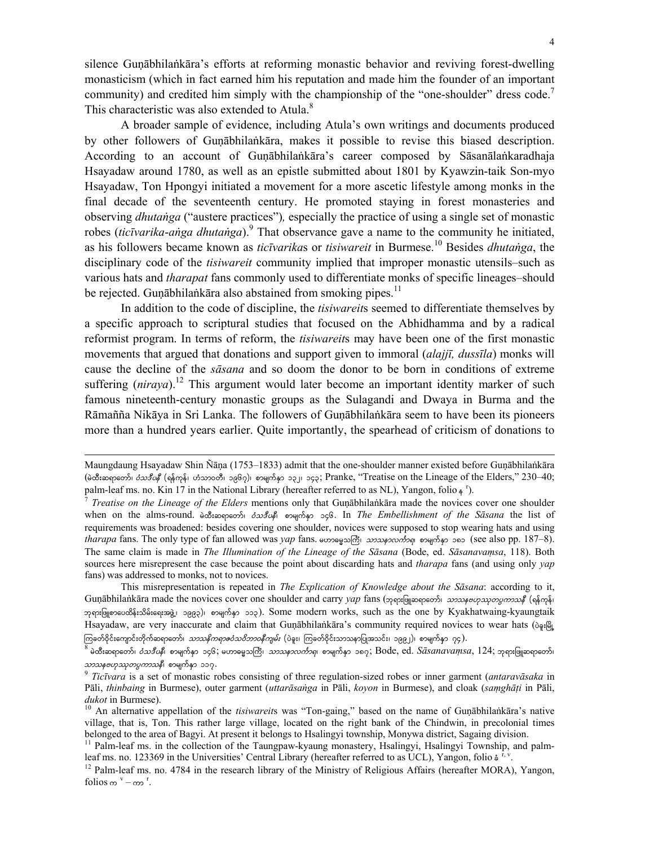silence Guṇābhilaṅkāra's efforts at reforming monastic behavior and reviving forest-dwelling monasticism (which in fact earned him his reputation and made him the founder of an important community) and credited him simply with the championship of the "one-shoulder" dress code.<sup>7</sup> This characteristic was also extended to Atula.<sup>8</sup>

A broader sample of evidence, including Atula's own writings and documents produced by other followers of Guṇābhilaṅkāra, makes it possible to revise this biased description. According to an account of Guṇābhilaṅkāra's career composed by Sāsanālaṅkaradhaja Hsayadaw around 1780, as well as an epistle submitted about 1801 by Kyawzin-taik Son-myo Hsayadaw, Ton Hpongyi initiated a movement for a more ascetic lifestyle among monks in the final decade of the seventeenth century. He promoted staying in forest monasteries and observing *dhutaṅga* ("austere practices")*,* especially the practice of using a single set of monastic robes (*ticīvarika*-*aṅga dhutaṅga*).9 That observance gave a name to the community he initiated, as his followers became known as *ticīvarika*s or *tisiwareit* in Burmese.10 Besides *dhutaṅga*, the disciplinary code of the *tisiwareit* community implied that improper monastic utensils–such as various hats and *tharapat* fans commonly used to differentiate monks of specific lineages–should be rejected. Guṇābhilaṅkāra also abstained from smoking pipes.<sup>11</sup>

In addition to the code of discipline, the *tisiwareit*s seemed to differentiate themselves by a specific approach to scriptural studies that focused on the Abhidhamma and by a radical reformist program. In terms of reform, the *tisiwareit*s may have been one of the first monastic movements that argued that donations and support given to immoral (*alajjī, dussīla*) monks will cause the decline of the *sāsana* and so doom the donor to be born in conditions of extreme suffering (*niraya*).<sup>12</sup> This argument would later become an important identity marker of such famous nineteenth-century monastic groups as the Sulagandi and Dwaya in Burma and the Rāmañña Nikāya in Sri Lanka. The followers of Guṇābhilaṅkāra seem to have been its pioneers more than a hundred years earlier. Quite importantly, the spearhead of criticism of donations to

Maungdaung Hsayadaw Shin Ñāṇa (1753–1833) admit that the one-shoulder manner existed before Guṇābhilaṅkāra (မဲထီးဆရာတော်၊ *ဝံသဒီပနီ* (ရန်ကုန်၊ ဟံသာဝတီ၊ ၁၉၆၇)၊ စာမျက်နှာ ၁၃၂၊ ၁၄၃; Pranke, "Treatise on the Lineage of the Elders," 230–40; palm-leaf ms. no. Kin 17 in the National Library (hereafter referred to as NL), Yangon, folio  $\frac{1}{2}$   $\frac{1}{2}$ 

<sup>). 7</sup> *Treatise on the Lineage of the Elders* mentions only that Guṇābhilaṅkāra made the novices cover one shoulder when on the alms-round. อิเซ*ื*๊ะอดุจอวร์) *อ้วงริบ*ต์ อวตุเกิด ว66. In *The Embellishment of the Sasana* the list of requirements was broadened: besides covering one shoulder, novices were supposed to stop wearing hats and using *tharapa* fans. The only type of fan allowed was *yap* fans. woose somo *bow momon bow momons* (see also pp. 187–8). The same claim is made in *The Illumination of the Lineage of the Sāsana* (Bode, ed. *Sāsanavaṃsa*, 118). Both sources here misrepresent the case because the point about discarding hats and *tharapa* fans (and using only *yap* fans) was addressed to monks, not to novices.

This misrepresentation is repeated in *The Explication of Knowledge about the Sāsana*: according to it, Guṇābhilaṅkāra made the novices cover one shoulder and carry *yap* fans (p p ig p p to 2020 p 2020 p 2020 p (o kna ဘုရားဖြူစာပေထိန်းသိမ်းရေးအဖွဲ့၊ ၁၉၉၃)၊ စာမျက်နှာ ၁၁၃). Some modern works, such as the one by Kyakhatwaing-kyaungtaik Hsayadaw, are very inaccurate and claim that Guṇābhilaṅkāra's community required novices to wear hats ( $\delta_{\varphi}$ ; $\mathbb{E}_{\mathbb{L}}$ ကြခတ်ဝိုင်းကျောင်းတိုက်ဆရာတော်၊ *သာသနိကရာဇဝံသဝိဘာဝနီကျမ်း* (ပဲခူး၊ ကြခတ်ဝိုင်းသာသနာပြုအသင်း၊ ၁၉၉၂)၊ စာမျက်နှာ ၇၄).<br><sup>8</sup> မဲထီးဆရာတော်၊ *ဝံသဒီပနီ*၊ စာမျက်နှာ ၁၄၆, မဟာဓမ္မသကြီ၊ *သာသနာလင်္ကာရ*၊ စာမျက်နာ ၁၈၇, Bode, ed. *Sāsanav* 

 $\frac{\partial}{\partial x}$  *pm pm<sub>p</sub> pm pm pm pm pm* is a set of monastic robes consisting of three regulation-sized robes or inner garment (*antaravāsaka* in <sup>9</sup> *Ticīvara* is a set of monastic robes consisting of three r

Pāli, *thinbaing* in Burmese), outer garment (*uttarāsaṅga* in Pāli, *koyon* in Burmese), and cloak (*saṃghāṭi* in Pāli, *dukot* in Burmese).<br><sup>10</sup> An alternative appellation of the *tisiwareit*s was "Ton-gaing," based on the name of Guṇābhilaṅkāra's native

village, that is, Ton. This rather large village, located on the right bank of the Chindwin, in precolonial times belonged to the area of Bagyi. At present it belongs to Hsalingyi township, Monywa district, Sagaing division.

<sup>&</sup>lt;sup>11</sup> Palm-leaf ms. in the collection of the Taungpaw-kyaung monastery, Hsalingyi, Hsalingyi Township, and palmleaf ms. no. 123369 in the Universities' Central Library (hereafter referred to as UCL), Yangon, folio  $\dot{s}^{T, V}$ .<br><sup>12</sup> Palm-leaf ms. no. 4784 in the research library of the Ministry of Religious Affairs (hereafter MORA)

folios  $\infty$ <sup>v</sup> –  $\infty$ <sup>r</sup>.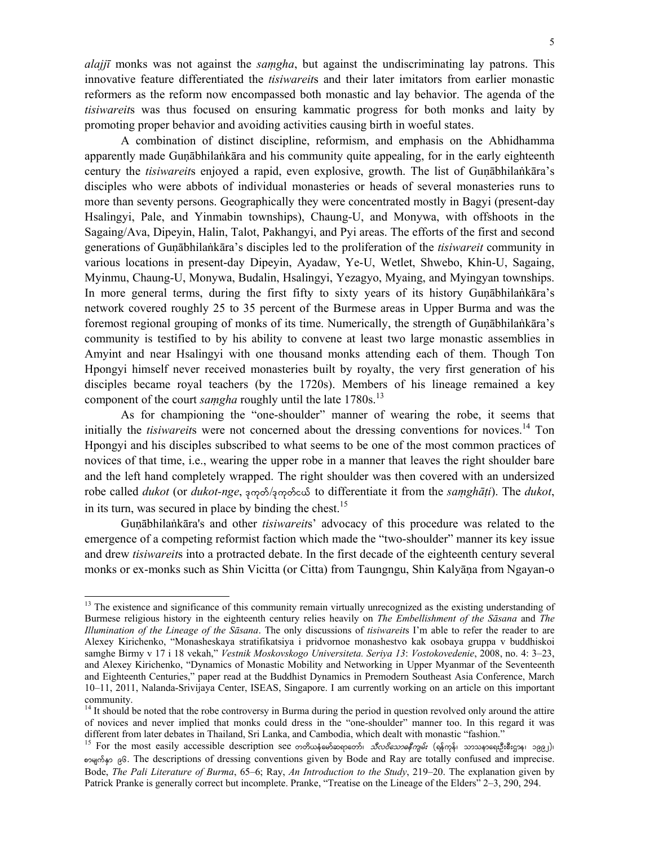*alajjī* monks was not against the *saṃgha*, but against the undiscriminating lay patrons. This innovative feature differentiated the *tisiwareit*s and their later imitators from earlier monastic reformers as the reform now encompassed both monastic and lay behavior. The agenda of the *tisiwareit*s was thus focused on ensuring kammatic progress for both monks and laity by promoting proper behavior and avoiding activities causing birth in woeful states.

A combination of distinct discipline, reformism, and emphasis on the Abhidhamma apparently made Guṇābhilaṅkāra and his community quite appealing, for in the early eighteenth century the *tisiwareit*s enjoyed a rapid, even explosive, growth. The list of Guṇābhilaṅkāra's disciples who were abbots of individual monasteries or heads of several monasteries runs to more than seventy persons. Geographically they were concentrated mostly in Bagyi (present-day Hsalingyi, Pale, and Yinmabin townships), Chaung-U, and Monywa, with offshoots in the Sagaing/Ava, Dipeyin, Halin, Talot, Pakhangyi, and Pyi areas. The efforts of the first and second generations of Guṇābhilaṅkāra's disciples led to the proliferation of the *tisiwareit* community in various locations in present-day Dipeyin, Ayadaw, Ye-U, Wetlet, Shwebo, Khin-U, Sagaing, Myinmu, Chaung-U, Monywa, Budalin, Hsalingyi, Yezagyo, Myaing, and Myingyan townships. In more general terms, during the first fifty to sixty years of its history Guṇābhilaṅkāra's network covered roughly 25 to 35 percent of the Burmese areas in Upper Burma and was the foremost regional grouping of monks of its time. Numerically, the strength of Guṇābhilaṅkāra's community is testified to by his ability to convene at least two large monastic assemblies in Amyint and near Hsalingyi with one thousand monks attending each of them. Though Ton Hpongyi himself never received monasteries built by royalty, the very first generation of his disciples became royal teachers (by the 1720s). Members of his lineage remained a key component of the court *samgha* roughly until the late 1780s.<sup>13</sup>

As for championing the "one-shoulder" manner of wearing the robe, it seems that initially the *tisiwareit*s were not concerned about the dressing conventions for novices.<sup>14</sup> Ton Hpongyi and his disciples subscribed to what seems to be one of the most common practices of novices of that time, i.e., wearing the upper robe in a manner that leaves the right shoulder bare and the left hand completely wrapped. The right shoulder was then covered with an undersized robe called *dukot* (or *dukot-nge*, 300 /300 / 60 to differentiate it from the *samghāṭi*). The *dukot*, in its turn, was secured in place by binding the chest.<sup>15</sup>

Guṇābhilaṅkāra's and other *tisiwareit*s' advocacy of this procedure was related to the emergence of a competing reformist faction which made the "two-shoulder" manner its key issue and drew *tisiwareit*s into a protracted debate. In the first decade of the eighteenth century several monks or ex-monks such as Shin Vicitta (or Citta) from Taungngu, Shin Kalyāṇa from Ngayan-o

<sup>&</sup>lt;sup>13</sup> The existence and significance of this community remain virtually unrecognized as the existing understanding of Burmese religious history in the eighteenth century relies heavily on *The Embellishment of the Sāsana* and *The Illumination of the Lineage of the Sāsana*. The only discussions of *tisiwareit*s I'm able to refer the reader to are Alexey Kirichenko, "Monasheskaya stratifikatsiya i pridvornoe monashestvo kak osobaya gruppa v buddhiskoi samghe Birmy v 17 i 18 vekah," *Vestnik Moskovskogo Universiteta. Seriya 13*: *Vostokovedenie*, 2008, no. 4: 3–23, and Alexey Kirichenko, "Dynamics of Monastic Mobility and Networking in Upper Myanmar of the Seventeenth and Eighteenth Centuries," paper read at the Buddhist Dynamics in Premodern Southeast Asia Conference, March 10–11, 2011, Nalanda-Srivijaya Center, ISEAS, Singapore. I am currently working on an article on this important community.

<sup>&</sup>lt;sup>14</sup> It should be noted that the robe controversy in Burma during the period in question revolved only around the attire of novices and never implied that monks could dress in the "one-shoulder" manner too. In this regard it was different from later debates in Thailand, Sri Lanka, and Cambodia, which dealt with monastic "fashion."

<sup>&</sup>lt;sup>15</sup> For the most easily accessible description see တတိယနံမော်ဆရာတော်၊ *သီလဝိသောဓနီကျမ်း* (ရန်ကုန်၊ သာသနာရေးဦးစီးဌာန၊ ၁၉၉၂)၊ pmrsufESm 96. The descriptions of dressing conventions given by Bode and Ray are totally confused and imprecise. Bode, *The Pali Literature of Burma*, 65–6; Ray, *An Introduction to the Study*, 219–20. The explanation given by Patrick Pranke is generally correct but incomplete. Pranke, "Treatise on the Lineage of the Elders" 2–3, 290, 294.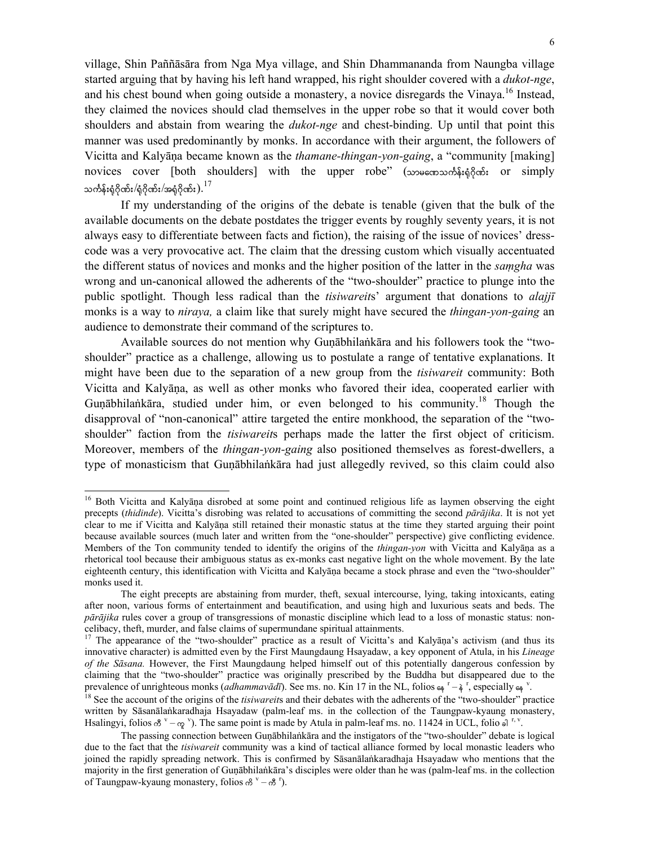village, Shin Paññāsāra from Nga Mya village, and Shin Dhammananda from Naungba village started arguing that by having his left hand wrapped, his right shoulder covered with a *dukot-nge*, and his chest bound when going outside a monastery, a novice disregards the Vinaya.<sup>16</sup> Instead, they claimed the novices should clad themselves in the upper robe so that it would cover both shoulders and abstain from wearing the *dukot-nge* and chest-binding. Up until that point this manner was used predominantly by monks. In accordance with their argument, the followers of Vicitta and Kalyāṇa became known as the *thamane-thingan-yon-gaing*, a "community [making] novices cover [both shoulders] with the upper robe" (သာမmos oba; or simply သင်္ကန်းရံဂိုဏ်း $/\dot{\,}$ ဂိုဂိုဏ်း $/$ အရံဂိုဏ်း $).^{17}$ 

If my understanding of the origins of the debate is tenable (given that the bulk of the available documents on the debate postdates the trigger events by roughly seventy years, it is not always easy to differentiate between facts and fiction), the raising of the issue of novices' dresscode was a very provocative act. The claim that the dressing custom which visually accentuated the different status of novices and monks and the higher position of the latter in the *saṃgha* was wrong and un-canonical allowed the adherents of the "two-shoulder" practice to plunge into the public spotlight. Though less radical than the *tisiwareit*s' argument that donations to *alajjī* monks is a way to *niraya,* a claim like that surely might have secured the *thingan-yon-gaing* an audience to demonstrate their command of the scriptures to.

Available sources do not mention why Guṇābhilaṅkāra and his followers took the "twoshoulder" practice as a challenge, allowing us to postulate a range of tentative explanations. It might have been due to the separation of a new group from the *tisiwareit* community: Both Vicitta and Kalyāṇa, as well as other monks who favored their idea, cooperated earlier with Gunābhilankāra, studied under him, or even belonged to his community.<sup>18</sup> Though the disapproval of "non-canonical" attire targeted the entire monkhood, the separation of the "twoshoulder" faction from the *tisiwareit*s perhaps made the latter the first object of criticism. Moreover, members of the *thingan-yon-gaing* also positioned themselves as forest-dwellers, a type of monasticism that Guṇābhilaṅkāra had just allegedly revived, so this claim could also

<sup>&</sup>lt;sup>16</sup> Both Vicitta and Kalyāna disrobed at some point and continued religious life as laymen observing the eight precepts (*thidinde*). Vicitta's disrobing was related to accusations of committing the second *pārājika*. It is not yet clear to me if Vicitta and Kalyāṇa still retained their monastic status at the time they started arguing their point because available sources (much later and written from the "one-shoulder" perspective) give conflicting evidence. Members of the Ton community tended to identify the origins of the *thingan-yon* with Vicitta and Kalyāṇa as a rhetorical tool because their ambiguous status as ex-monks cast negative light on the whole movement. By the late eighteenth century, this identification with Vicitta and Kalyāna became a stock phrase and even the "two-shoulder" monks used it.

The eight precepts are abstaining from murder, theft, sexual intercourse, lying, taking intoxicants, eating after noon, various forms of entertainment and beautification, and using high and luxurious seats and beds. The *pārājika* rules cover a group of transgressions of monastic discipline which lead to a loss of monastic status: noncelibacy, theft, murder, and false claims of supermundane spiritual attainments.

<sup>&</sup>lt;sup>17</sup> The appearance of the "two-shoulder" practice as a result of Vicitta's and Kalyāṇa's activism (and thus its innovative character) is admitted even by the First Maungdaung Hsayadaw, a key opponent of Atula, in his *Lineage of the Sāsana.* However, the First Maungdaung helped himself out of this potentially dangerous confession by claiming that the "two-shoulder" practice was originally prescribed by the Buddha but disappeared due to the prevalence of unrighteous monks (*adhammavādī*). See ms. no. Kin 17 in the NL, folios  $\epsilon_1^r - \frac{1}{2}$ , especially  $\epsilon_2^r$ 

<sup>&</sup>lt;sup>18</sup> See the account of the origins of the *tisiwareits* and their debates with the adherents of the "two-shoulder" practice written by Sāsanālaṅkaradhaja Hsayadaw (palm-leaf ms. in the collection of the Taungpaw-kyaung monastery, Hsalingyi, folios  $\delta^v - \gamma$ <sup>v</sup>). The same point is made by Atula in palm-leaf ms. no. 11424 in UCL, folio of <sup>r, v</sup>.

The passing connection between Guṇābhilaṅkāra and the instigators of the "two-shoulder" debate is logical due to the fact that the *tisiwareit* community was a kind of tactical alliance formed by local monastic leaders who joined the rapidly spreading network. This is confirmed by Sāsanālaṅkaradhaja Hsayadaw who mentions that the majority in the first generation of Guṇābhilaṅkāra's disciples were older than he was (palm-leaf ms. in the collection of Taungpaw-kyaung monastery, folios  $\mathcal{B}^{\nu} - \mathcal{B}^{\nu}$ ).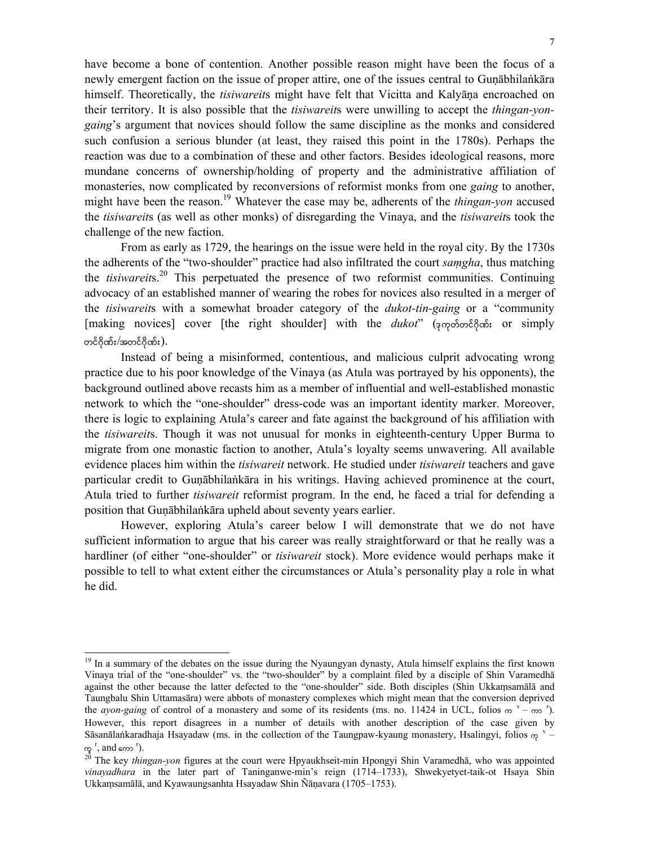have become a bone of contention. Another possible reason might have been the focus of a newly emergent faction on the issue of proper attire, one of the issues central to Guṇābhilaṅkāra himself. Theoretically, the *tisiwareit*s might have felt that Vicitta and Kalyāṇa encroached on their territory. It is also possible that the *tisiwareit*s were unwilling to accept the *thingan-yongaing*'s argument that novices should follow the same discipline as the monks and considered such confusion a serious blunder (at least, they raised this point in the 1780s). Perhaps the reaction was due to a combination of these and other factors. Besides ideological reasons, more mundane concerns of ownership/holding of property and the administrative affiliation of monasteries, now complicated by reconversions of reformist monks from one *gaing* to another, might have been the reason.<sup>19</sup> Whatever the case may be, adherents of the *thingan-yon* accused the *tisiwareit*s (as well as other monks) of disregarding the Vinaya, and the *tisiwareit*s took the challenge of the new faction.

From as early as 1729, the hearings on the issue were held in the royal city. By the 1730s the adherents of the "two-shoulder" practice had also infiltrated the court *saṃgha*, thus matching the *tisiwareit*s.20 This perpetuated the presence of two reformist communities. Continuing advocacy of an established manner of wearing the robes for novices also resulted in a merger of the *tisiwareit*s with a somewhat broader category of the *dukot-tin-gaing* or a "community [making novices] cover [the right shoulder] with the *dukot*" (3000068000); or simply တင်ဂိုဏ်း $/$ အတင်ဂိုဏ်း $).$ 

Instead of being a misinformed, contentious, and malicious culprit advocating wrong practice due to his poor knowledge of the Vinaya (as Atula was portrayed by his opponents), the background outlined above recasts him as a member of influential and well-established monastic network to which the "one-shoulder" dress-code was an important identity marker. Moreover, there is logic to explaining Atula's career and fate against the background of his affiliation with the *tisiwareit*s. Though it was not unusual for monks in eighteenth-century Upper Burma to migrate from one monastic faction to another, Atula's loyalty seems unwavering. All available evidence places him within the *tisiwareit* network. He studied under *tisiwareit* teachers and gave particular credit to Guṇābhilaṅkāra in his writings. Having achieved prominence at the court, Atula tried to further *tisiwareit* reformist program. In the end, he faced a trial for defending a position that Guṇābhilaṅkāra upheld about seventy years earlier.

However, exploring Atula's career below I will demonstrate that we do not have sufficient information to argue that his career was really straightforward or that he really was a hardliner (of either "one-shoulder" or *tisiwareit* stock). More evidence would perhaps make it possible to tell to what extent either the circumstances or Atula's personality play a role in what he did.

<sup>&</sup>lt;sup>19</sup> In a summary of the debates on the issue during the Nyaungyan dynasty, Atula himself explains the first known Vinaya trial of the "one-shoulder" vs. the "two-shoulder" by a complaint filed by a disciple of Shin Varamedhā against the other because the latter defected to the "one-shoulder" side. Both disciples (Shin Ukkaṃsamālā and Taungbalu Shin Uttamasāra) were abbots of monastery complexes which might mean that the conversion deprived the *ayon-gaing* of control of a monastery and some of its residents (ms. no. 11424 in UCL, folios  $\infty$  v- $\infty$ <sup>r</sup>). However, this report disagrees in a number of details with another description of the case given by Sāsanālaṅkaradhaja Hsayadaw (ms. in the collection of the Taungpaw-kyaung monastery, Hsalingyi, folios  $\varphi$ <sup>v</sup> – ကူ $\frac{r}{2}$ , and ကော $\frac{r}{2}$ 

<sup>&</sup>lt;sup>20</sup> The key *thingan-yon* figures at the court were Hpyaukhseit-min Hpongyi Shin Varamedhā, who was appointed *vinayadhara* in the later part of Taninganwe-min's reign (1714–1733), Shwekyetyet-taik-ot Hsaya Shin Ukkaṃsamālā, and Kyawaungsanhta Hsayadaw Shin Ñāṇavara (1705–1753).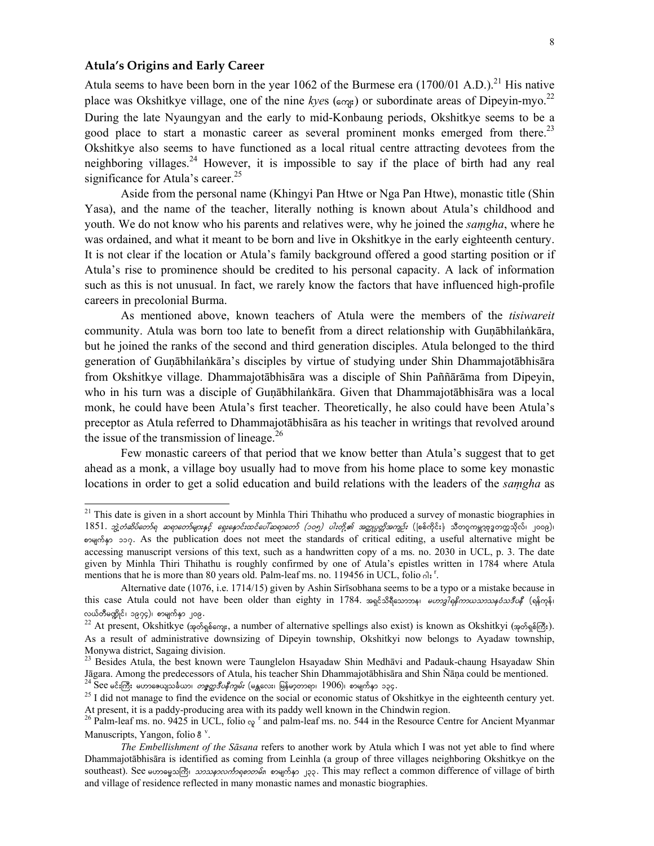# **Atula's Origins and Early Career**

 $\overline{a}$ 

Atula seems to have been born in the year 1062 of the Burmese era  $(1700/01$  A.D.).<sup>21</sup> His native place was Okshitkye village, one of the nine *kyes* ( $\epsilon_{\text{exp}}$ ) or subordinate areas of Dipeyin-myo.<sup>22</sup> During the late Nyaungyan and the early to mid-Konbaung periods, Okshitkye seems to be a good place to start a monastic career as several prominent monks emerged from there.<sup>23</sup> Okshitkye also seems to have functioned as a local ritual centre attracting devotees from the neighboring villages.<sup>24</sup> However, it is impossible to say if the place of birth had any real significance for Atula's career.<sup>25</sup>

Aside from the personal name (Khingyi Pan Htwe or Nga Pan Htwe), monastic title (Shin Yasa), and the name of the teacher, literally nothing is known about Atula's childhood and youth. We do not know who his parents and relatives were, why he joined the *saṃgha*, where he was ordained, and what it meant to be born and live in Okshitkye in the early eighteenth century. It is not clear if the location or Atula's family background offered a good starting position or if Atula's rise to prominence should be credited to his personal capacity. A lack of information such as this is not unusual. In fact, we rarely know the factors that have influenced high-profile careers in precolonial Burma.

As mentioned above, known teachers of Atula were the members of the *tisiwareit* community. Atula was born too late to benefit from a direct relationship with Guṇābhilaṅkāra, but he joined the ranks of the second and third generation disciples. Atula belonged to the third generation of Guṇābhilaṅkāra's disciples by virtue of studying under Shin Dhammajotābhisāra from Okshitkye village. Dhammajotābhisāra was a disciple of Shin Paññārāma from Dipeyin, who in his turn was a disciple of Guṇābhilaṅkāra. Given that Dhammajotābhisāra was a local monk, he could have been Atula's first teacher. Theoretically, he also could have been Atula's preceptor as Atula referred to Dhammajotābhisāra as his teacher in writings that revolved around the issue of the transmission of lineage.<sup>26</sup>

Few monastic careers of that period that we know better than Atula's suggest that to get ahead as a monk, a village boy usually had to move from his home place to some key monastic locations in order to get a solid education and build relations with the leaders of the *saṃgha* as

 $21$  This date is given in a short account by Minhla Thiri Thihathu who produced a survey of monastic biographies in  $1851$ . *ဘွဲ့တံဆိပ်တော်ရ ဆရာတော်များနှင့် ရှေးနောင်းထင်ပေါ်ဆရာတော် (၁၀၅) ပါးတို့၏ အတ္ထုပ္ပတ္တိအကျဉ်း* (ဖြစ်ကိုင်း)၊ သီတဂူကမ္ဘာ့ဗုဒ္ဓတက္ကသိုလ်၊ ၂၀၀၉)၊ pogroup 2000. As the publication does not meet the standards of critical editing, a useful alternative might be accessing manuscript versions of this text, such as a handwritten copy of a ms. no. 2030 in UCL, p. 3. The date given by Minhla Thiri Thihathu is roughly confirmed by one of Atula's epistles written in 1784 where Atula mentions that he is more than 80 years old. Palm-leaf ms. no. 119456 in UCL, folio  $\delta l$ :<sup>r</sup>.

Alternative date (1076, i.e. 1714/15) given by Ashin Sirīsobhana seems to be a typo or a mistake because in this case Atula could not have been older than eighty in 1784. အရင်သိရှိသောဘန၊ *မဟာဒါရနိကာယသာသနဝံသဒီပန*ိ(ရန်ကုန်၊ လယ်တီမဏ္ဍိုင်၊ ၁၉၇၄)၊ စာမျက်နှာ ၂၀၉.<br><sup>22</sup> At present, Okshitkye (အုတ်ရှစ်ကျေး, a number of alternative spellings also exist) is known as Okshitkyi (အုတ်ရှစ်ကြီး).

As a result of administrative downsizing of Dipeyin township, Okshitkyi now belongs to Ayadaw township, Monywa district, Sagaing division.

 $^{23}$  Besides Atula, the best known were Taunglelon Hsayadaw Shin Medhāvi and Padauk-chaung Hsayadaw Shin Jāgara. Among the predecessors of Atula, his teacher Shin Dhammajotābhisāra and Shin Ñāṇa could be mentioned.<br><sup>24</sup> See  $e^{\xi}$ : ကြီး ဟောလေျသင်္ခလား *တစ္ခတ္တဒီပနီကျမ်း* (မန္တလေး၊ မြန်မာ့တာရာ၊ 1906)၊ စာမျက်နှာ ၁၃၄.<br><sup>25</sup> I d

At present, it is a paddy-producing area with its paddy well known in the Chindwin region.

<sup>&</sup>lt;sup>26</sup> Palm-leaf ms. no. 9425 in UCL, folio  $\alpha$ <sup>r</sup> and palm-leaf ms. no. 544 in the Resource Centre for Ancient Myanmar Manuscripts, Yangon, folio  $8^{\nu}$ .

*The Embellishment of the Sāsana* refers to another work by Atula which I was not yet able to find where Dhammajotābhisāra is identified as coming from Leinhla (a group of three villages neighboring Okshitkye on the southeast). See မဟာဓမ္မသကြီး၊ *သာသနာလင်္ကာရစၥတမ်း*၊ စာမျက်နှာ ၂၃၃. This may reflect a common difference of village of birth and village of residence reflected in many monastic names and monastic biographies.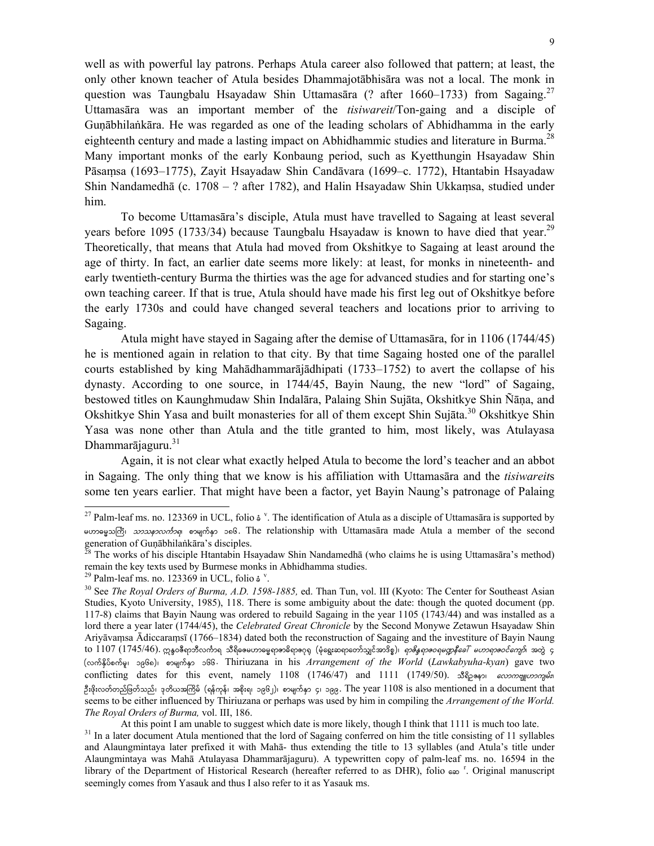well as with powerful lay patrons. Perhaps Atula career also followed that pattern; at least, the only other known teacher of Atula besides Dhammajotābhisāra was not a local. The monk in question was Taungbalu Hsayadaw Shin Uttamasāra (? after 1660–1733) from Sagaing.<sup>27</sup> Uttamasāra was an important member of the *tisiwareit*/Ton-gaing and a disciple of Guṇābhilaṅkāra. He was regarded as one of the leading scholars of Abhidhamma in the early eighteenth century and made a lasting impact on Abhidhammic studies and literature in Burma.<sup>28</sup> Many important monks of the early Konbaung period, such as Kyetthungin Hsayadaw Shin Pāsaṃsa (1693–1775), Zayit Hsayadaw Shin Candāvara (1699–c. 1772), Htantabin Hsayadaw Shin Nandamedhā (c. 1708 – ? after 1782), and Halin Hsayadaw Shin Ukkaṃsa, studied under him.

To become Uttamasāra's disciple, Atula must have travelled to Sagaing at least several years before 1095 (1733/34) because Taungbalu Hsayadaw is known to have died that year.<sup>29</sup> Theoretically, that means that Atula had moved from Okshitkye to Sagaing at least around the age of thirty. In fact, an earlier date seems more likely: at least, for monks in nineteenth- and early twentieth-century Burma the thirties was the age for advanced studies and for starting one's own teaching career. If that is true, Atula should have made his first leg out of Okshitkye before the early 1730s and could have changed several teachers and locations prior to arriving to Sagaing.

Atula might have stayed in Sagaing after the demise of Uttamasāra, for in 1106 (1744/45) he is mentioned again in relation to that city. By that time Sagaing hosted one of the parallel courts established by king Mahādhammarājādhipati (1733–1752) to avert the collapse of his dynasty. According to one source, in 1744/45, Bayin Naung, the new "lord" of Sagaing, bestowed titles on Kaunghmudaw Shin Indalāra, Palaing Shin Sujāta, Okshitkye Shin Ñāṇa, and Okshitkye Shin Yasa and built monasteries for all of them except Shin Sujāta.<sup>30</sup> Okshitkye Shin Yasa was none other than Atula and the title granted to him, most likely, was Atulayasa Dhammarājaguru.<sup>31</sup>

Again, it is not clear what exactly helped Atula to become the lord's teacher and an abbot in Sagaing. The only thing that we know is his affiliation with Uttamasāra and the *tisiwareit*s some ten years earlier. That might have been a factor, yet Bayin Naung's patronage of Palaing

 $\overline{a}$ 

 At this point I am unable to suggest which date is more likely, though I think that 1111 is much too late. <sup>31</sup> In a later document Atula mentioned that the lord of Sagaing conferred on him the title consisting of 11 syllables and Alaungmintaya later prefixed it with Mahā- thus extending the title to 13 syllables (and Atula's title under Alaungmintaya was Mahā Atulayasa Dhammarājaguru). A typewritten copy of palm-leaf ms. no. 16594 in the library of the Department of Historical Research (hereafter referred to as DHR), folio  $\epsilon \infty$  <sup>r</sup>. Original manuscript seemingly comes from Yasauk and thus I also refer to it as Yasauk ms.

<sup>&</sup>lt;sup>27</sup> Palm-leaf ms. no. 123369 in UCL, folio  $\frac{1}{2}$  <sup>v</sup>. The identification of Atula as a disciple of Uttamasāra is supported by  $\frac{1}{2}$   $\frac{1}{2}$   $\frac{1}{2}$   $\frac{1}{2}$   $\frac{1}{2}$   $\frac{1}{2}$   $\frac{1}{2}$   $\frac{1}{2}$   $\frac{1}{2}$   $\frac{1}{2}$   $\frac{1}{2}$   $\frac{1}{2}$   $\frac{1}{2}$   $\frac{1}{2}$   $\frac{1}{2}$   $\frac{1}{2}$   $\frac{1}{2}$   $\frac{1}{2}$   $\frac{1}{2}$   $\frac{1}{2}$   $\frac{1}{2}$   $\frac{1}{2}$ 

The works of his disciple Htantabin Hsayadaw Shin Nandamedhā (who claims he is using Uttamasāra's method) remain the key texts used by Burmese monks in Abhidhamma studies.

<sup>&</sup>lt;sup>29</sup> Palm-leaf ms. no. 123369 in UCL, folio  $\dot{\mathsf{s}}$ <sup>v</sup>.

<sup>. 30</sup> See *The Royal Orders of Burma, A.D. 1598-1885,* ed. Than Tun, vol. III (Kyoto: The Center for Southeast Asian Studies, Kyoto University, 1985), 118. There is some ambiguity about the date: though the quoted document (pp. 117-8) claims that Bayin Naung was ordered to rebuild Sagaing in the year 1105 (1743/44) and was installed as a lord there a year later (1744/45), the *Celebrated Great Chronicle* by the Second Monywe Zetawun Hsayadaw Shin Ariyāvaṃsa Ādiccaraṃsī (1766–1834) dated both the reconstruction of Sagaing and the investiture of Bayin Naung to 1107 (1745/46). ဣန္န၀ဧီရာဘီလင်္ကာရ သီရိဓမေဟာဓမ္မရာဇာဓိရာ၅ေရ (မုံရွေးဆရာတော်သျှင်အာဒိစ္စ)၊ *ရာဇိန္နရာဇဝရမဏ္ဌနီခေါ် မဟာရာဇဝင်ကျော်*၊ အတွဲ ၄ (လက်နိပ်စက်မှု၊ ၁၉၆၈)၊ စာမျက်နှာ ၁၆၆. Thiriuzana in his *Arrangement of the World (Lawkabyuha-kyan*) gave two conflicting dates for this event, namely 1108 (1746/47) and 1111 (1749/50).  $\Im \S$ pesi  $\frac{\partial \mathcal{L}}{\partial x}$ ဦးဖိုးလတ်တည်ဖြတ်သည်၊ ဒုတိယအကြိမ် (ရန်ကုန်၊ အစိုးရ၊ ၁၉၆၂)၊ စာမျက်နှာ ၄၊ ၁၉၉. The year  $1108$  is also mentioned in a document that seems to be either influenced by Thiriuzana or perhaps was used by him in compiling the *Arrangement of the World. The Royal Orders of Burma,* vol. III, 186.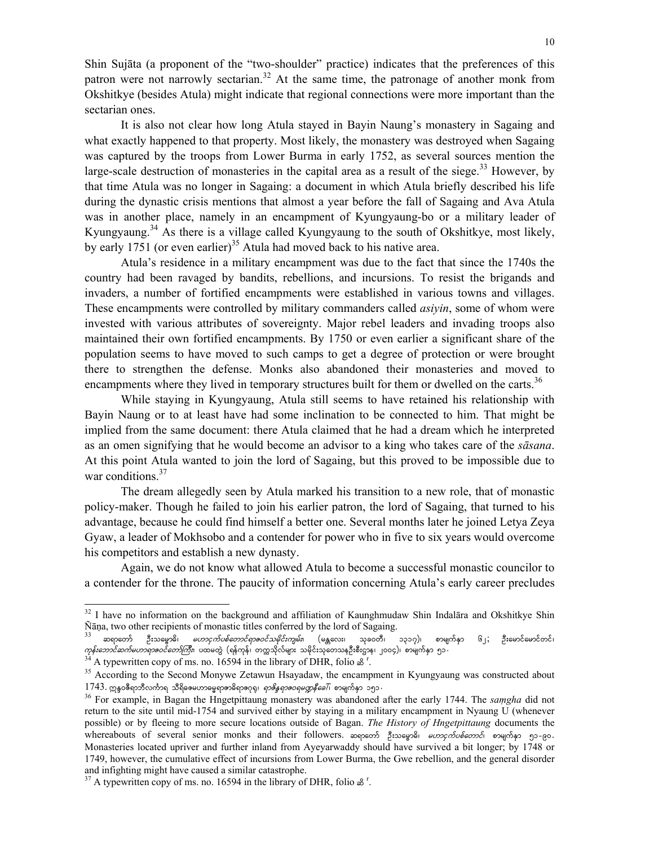Shin Sujāta (a proponent of the "two-shoulder" practice) indicates that the preferences of this patron were not narrowly sectarian.<sup>32</sup> At the same time, the patronage of another monk from Okshitkye (besides Atula) might indicate that regional connections were more important than the sectarian ones.

It is also not clear how long Atula stayed in Bayin Naung's monastery in Sagaing and what exactly happened to that property. Most likely, the monastery was destroyed when Sagaing was captured by the troops from Lower Burma in early 1752, as several sources mention the large-scale destruction of monasteries in the capital area as a result of the siege.<sup>33</sup> However, by that time Atula was no longer in Sagaing: a document in which Atula briefly described his life during the dynastic crisis mentions that almost a year before the fall of Sagaing and Ava Atula was in another place, namely in an encampment of Kyungyaung-bo or a military leader of Kyungyaung.<sup>34</sup> As there is a village called Kyungyaung to the south of Okshitkye, most likely, by early 1751 (or even earlier)<sup>35</sup> Atula had moved back to his native area.

Atula's residence in a military encampment was due to the fact that since the 1740s the country had been ravaged by bandits, rebellions, and incursions. To resist the brigands and invaders, a number of fortified encampments were established in various towns and villages. These encampments were controlled by military commanders called *asiyin*, some of whom were invested with various attributes of sovereignty. Major rebel leaders and invading troops also maintained their own fortified encampments. By 1750 or even earlier a significant share of the population seems to have moved to such camps to get a degree of protection or were brought there to strengthen the defense. Monks also abandoned their monasteries and moved to encampments where they lived in temporary structures built for them or dwelled on the carts.<sup>36</sup>

While staying in Kyungyaung, Atula still seems to have retained his relationship with Bayin Naung or to at least have had some inclination to be connected to him. That might be implied from the same document: there Atula claimed that he had a dream which he interpreted as an omen signifying that he would become an advisor to a king who takes care of the *sāsana*. At this point Atula wanted to join the lord of Sagaing, but this proved to be impossible due to war conditions. $37$ 

The dream allegedly seen by Atula marked his transition to a new role, that of monastic policy-maker. Though he failed to join his earlier patron, the lord of Sagaing, that turned to his advantage, because he could find himself a better one. Several months later he joined Letya Zeya Gyaw, a leader of Mokhsobo and a contender for power who in five to six years would overcome his competitors and establish a new dynasty.

Again, we do not know what allowed Atula to become a successful monastic councilor to a contender for the throne. The paucity of information concerning Atula's early career precludes

<sup>&</sup>lt;sup>32</sup> I have no information on the background and affiliation of Kaunghmudaw Shin Indalāra and Okshitkye Shin Ñāṇa, two other recipients of monastic titles conferred by the lord of Sagaing.<br><sup>33</sup> ဆရာတော် ဦးသမ္မောမိ၊ *မဟာငှက်ပစ်တောင်ရာဇဝင်သမိုင်းကျမ်း*၊ (မန္တလေး၊ သုခဝတီ၊ ၁၃၁၇)၊ စာမျက်နှာ ၆၂; ဦးမောင်မောင်တင်၊

 $\sigma$ န်းဘောင်ဆက်မဟာ*ရာဇဝင်တော်ကြီး*၊ ပထမတွဲ (ရန်ကုန်၊ တက္ကသိုလ်များ သမိုင်းသုတေသနဦးစီးဌာန၊ ၂၀၀၄)၊ စာမျက်နှာ ၅၁ .<br><sup>34</sup> A typewritten copy of ms. no. 16594 in the library of DHR, folio ဆိ<sup>ု</sup>.

A typewritten copy of ms. no. 16594 in the library of DHR, folio  $\mathcal{S}^1$ .

<sup>35</sup> According to the Second Monywe Zetawun Hsayadaw, the encampment in Kyungyaung was constructed about 1743. προσέφησιακός αδιαστικός της διαφορεύος του τρόφος της της της του τρόφος της της της του τρόφος της της του τρ

<sup>&</sup>lt;sup>36</sup> For example, in Bagan the Hngetpittaung monastery was abandoned after the early 1744. The *samgha* did not return to the site until mid-1754 and survived either by staying in a military encampment in Nyaung U (whenever possible) or by fleeing to more secure locations outside of Bagan. *The History of Hngetpittaung* documents the whereabouts of several senior monks and their followers. ဆရာတော် ဦးသမ္ဓောဓိ၊ *မဟာငှက်ပစ်တောင်*၊ စာမျက်နှာ ၅၁-၉၀. Monasteries located upriver and further inland from Ayeyarwaddy should have survived a bit longer; by 1748 or 1749, however, the cumulative effect of incursions from Lower Burma, the Gwe rebellion, and the general disorder and infighting might have caused a similar catastrophe.

<sup>&</sup>lt;sup>37</sup> A typewritten copy of ms. no. 16594 in the library of DHR, folio  $\mathcal{L}^r$ .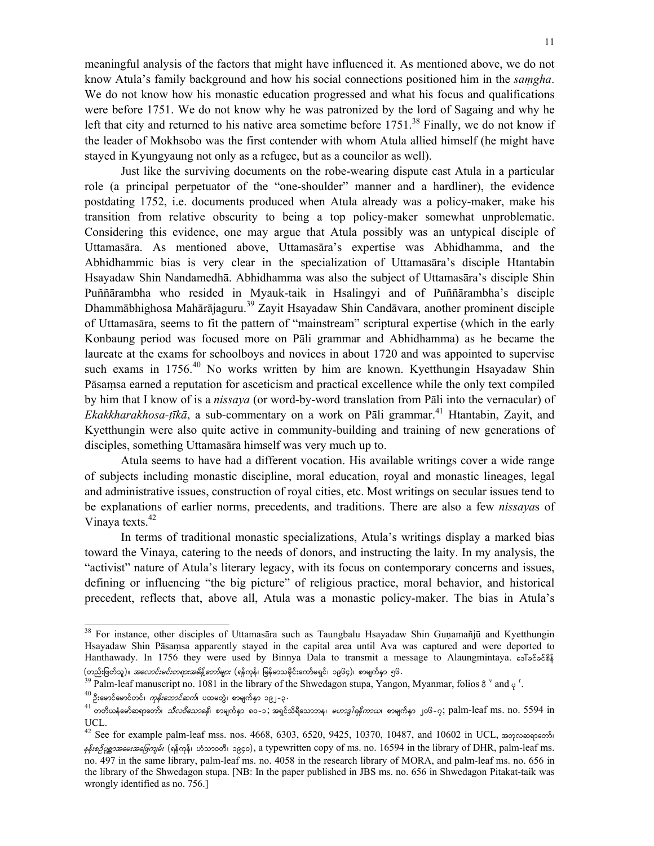stayed in Kyungyaung not only as a refugee, but as a councilor as well). Just like the surviving documents on the robe-wearing dispute cast Atula in a particular role (a principal perpetuator of the "one-shoulder" manner and a hardliner), the evidence postdating 1752, i.e. documents produced when Atula already was a policy-maker, make his transition from relative obscurity to being a top policy-maker somewhat unproblematic. Considering this evidence, one may argue that Atula possibly was an untypical disciple of Uttamasāra. As mentioned above, Uttamasāra's expertise was Abhidhamma, and the Abhidhammic bias is very clear in the specialization of Uttamasāra's disciple Htantabin Hsayadaw Shin Nandamedhā. Abhidhamma was also the subject of Uttamasāra's disciple Shin Puññārambha who resided in Myauk-taik in Hsalingyi and of Puññārambha's disciple Dhammābhighosa Mahārājaguru.<sup>39</sup> Zayit Hsayadaw Shin Candāvara, another prominent disciple of Uttamasāra, seems to fit the pattern of "mainstream" scriptural expertise (which in the early Konbaung period was focused more on Pāli grammar and Abhidhamma) as he became the laureate at the exams for schoolboys and novices in about 1720 and was appointed to supervise such exams in  $1756<sup>40</sup>$  No works written by him are known. Kyetthungin Hsayadaw Shin Pāsaṃsa earned a reputation for asceticism and practical excellence while the only text compiled by him that I know of is a *nissaya* (or word-by-word translation from Pāli into the vernacular) of *Ekakkharakhosa-tīkā*, a sub-commentary on a work on Pāli grammar.<sup>41</sup> Htantabin, Zayit, and Kyetthungin were also quite active in community-building and training of new generations of disciples, something Uttamasāra himself was very much up to.

the leader of Mokhsobo was the first contender with whom Atula allied himself (he might have

Atula seems to have had a different vocation. His available writings cover a wide range of subjects including monastic discipline, moral education, royal and monastic lineages, legal and administrative issues, construction of royal cities, etc. Most writings on secular issues tend to be explanations of earlier norms, precedents, and traditions. There are also a few *nissaya*s of Vinaya texts.<sup>42</sup>

In terms of traditional monastic specializations, Atula's writings display a marked bias toward the Vinaya, catering to the needs of donors, and instructing the laity. In my analysis, the "activist" nature of Atula's literary legacy, with its focus on contemporary concerns and issues, defining or influencing "the big picture" of religious practice, moral behavior, and historical precedent, reflects that, above all, Atula was a monastic policy-maker. The bias in Atula's

<sup>&</sup>lt;sup>38</sup> For instance, other disciples of Uttamasāra such as Taungbalu Hsayadaw Shin Guṇamañjū and Kyetthungin Hsayadaw Shin Pāsaṃsa apparently stayed in the capital area until Ava was captured and were deported to Hanthawady. In 1756 they were used by Binnya Dala to transmit a message to Alaungmintaya. esTococos

<sup>(</sup>တည်းဖြတ်သူ)။ *အလောင်းမင်းတရားအမိန့်တော်များ* (ရန်ကုန်၊ မြန်မာသမိုင်းကော်မရှင်၊ ၁၉၆၄)၊ စာမျက်နှာ ၅၆.<br><sup>39</sup> Palm-leaf manuscript no. 1081 in the library of the Shwedagon stupa, Yangon, Myanmar, folios 8 <sup>v</sup> and <sub>Y</sub> '

 $^{40}$ ဦးမောင်မောင်တင်၊ *ကုန်းဘောင်ဆက်*၊ ပထမတွဲ၊ စာမျက်နှာ ၁၉၂–၃<br><sup>41</sup> တတိယနံမော်ဆရာတော်၊ *သီလဝိသောဓနိ*၊ စာမျက်နာ ၈၀–၁; အရင်သိရီသောဘန၊ *မဟာဒ္ဒါရနိကာယ*၊ စာမျက်နှာ ၂၀၆–၇; palm-leaf ms. no. 5594 in UCL.

 $42$  See for example palm-leaf mss. nos. 4668, 6303, 6520, 9425, 10370, 10487, and 10602 in UCL, προγραφισθού  $\frac{1}{2}$   $\frac{1}{2}$   $\frac{1}{2}$   $\frac{1}{2}$   $\frac{1}{2}$   $\frac{1}{2}$   $\frac{1}{2}$   $\frac{1}{2}$   $\frac{1}{2}$   $\frac{1}{2}$   $\frac{1}{2}$   $\frac{1}{2}$   $\frac{1}{2}$   $\frac{1}{2}$   $\frac{1}{2}$   $\frac{1}{2}$   $\frac{1}{2}$   $\frac{1}{2}$   $\frac{1}{2}$   $\frac{1}{2}$   $\frac{1}{2}$   $\frac{1}{2}$  no. 497 in the same library, palm-leaf ms. no. 4058 in the research library of MORA, and palm-leaf ms. no. 656 in the library of the Shwedagon stupa. [NB: In the paper published in JBS ms. no. 656 in Shwedagon Pitakat-taik was wrongly identified as no. 756.]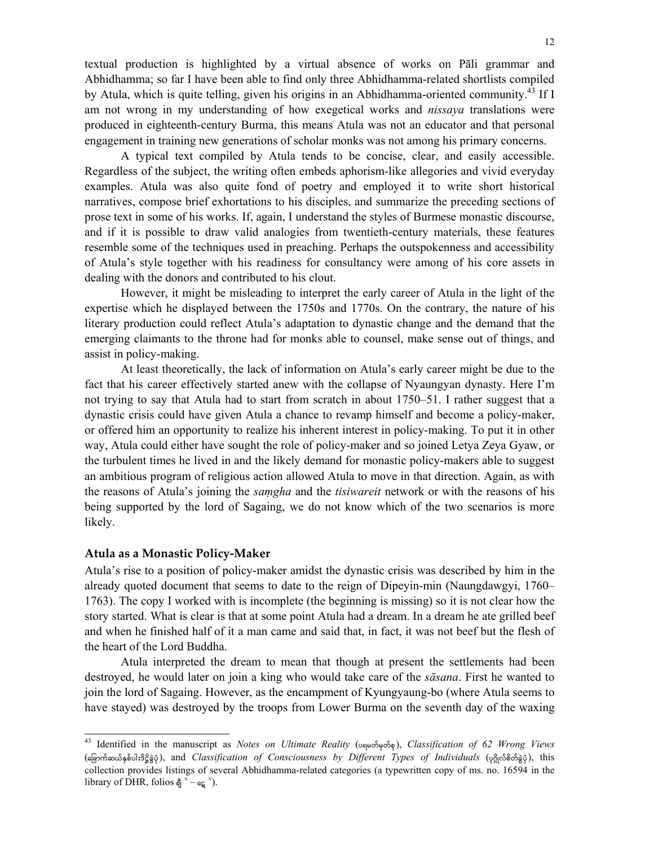textual production is highlighted by a virtual absence of works on Pāli grammar and Abhidhamma; so far I have been able to find only three Abhidhamma-related shortlists compiled by Atula, which is quite telling, given his origins in an Abhidhamma-oriented community.<sup>43</sup> If I am not wrong in my understanding of how exegetical works and *nissaya* translations were produced in eighteenth-century Burma, this means Atula was not an educator and that personal engagement in training new generations of scholar monks was not among his primary concerns.

A typical text compiled by Atula tends to be concise, clear, and easily accessible. Regardless of the subject, the writing often embeds aphorism-like allegories and vivid everyday examples. Atula was also quite fond of poetry and employed it to write short historical narratives, compose brief exhortations to his disciples, and summarize the preceding sections of prose text in some of his works. If, again, I understand the styles of Burmese monastic discourse, and if it is possible to draw valid analogies from twentieth-century materials, these features resemble some of the techniques used in preaching. Perhaps the outspokenness and accessibility of Atula's style together with his readiness for consultancy were among of his core assets in dealing with the donors and contributed to his clout.

However, it might be misleading to interpret the early career of Atula in the light of the expertise which he displayed between the 1750s and 1770s. On the contrary, the nature of his literary production could reflect Atula's adaptation to dynastic change and the demand that the emerging claimants to the throne had for monks able to counsel, make sense out of things, and assist in policy-making.

At least theoretically, the lack of information on Atula's early career might be due to the fact that his career effectively started anew with the collapse of Nyaungyan dynasty. Here I'm not trying to say that Atula had to start from scratch in about 1750–51. I rather suggest that a dynastic crisis could have given Atula a chance to revamp himself and become a policy-maker, or offered him an opportunity to realize his inherent interest in policy-making. To put it in other way, Atula could either have sought the role of policy-maker and so joined Letya Zeya Gyaw, or the turbulent times he lived in and the likely demand for monastic policy-makers able to suggest an ambitious program of religious action allowed Atula to move in that direction. Again, as with the reasons of Atula's joining the *saṃgha* and the *tisiwareit* network or with the reasons of his being supported by the lord of Sagaing, we do not know which of the two scenarios is more likely.

### **Atula as a Monastic Policy‐Maker**

 $\overline{a}$ 

Atula's rise to a position of policy-maker amidst the dynastic crisis was described by him in the already quoted document that seems to date to the reign of Dipeyin-min (Naungdawgyi, 1760– 1763). The copy I worked with is incomplete (the beginning is missing) so it is not clear how the story started. What is clear is that at some point Atula had a dream. In a dream he ate grilled beef and when he finished half of it a man came and said that, in fact, it was not beef but the flesh of the heart of the Lord Buddha.

Atula interpreted the dream to mean that though at present the settlements had been destroyed, he would later on join a king who would take care of the *sāsana*. First he wanted to join the lord of Sagaing. However, as the encampment of Kyungyaung-bo (where Atula seems to have stayed) was destroyed by the troops from Lower Burma on the seventh day of the waxing

<sup>43</sup> Identified in the manuscript as *Notes on Ultimate Reality* (υ<sub>9θ</sub>ωδερδε), *Classification of 62 Wrong Views* (ခြောက်ဆယ်နစ်ပါးဒိဋ္ဌိနဲ့ဝှဲ), and *Classification of Consciousness by Different Types of Individuals* (၄၅ိုလ်စိတ်နဲ့ဝှဲ), this collection provides listings of several Abhidhamma-related categories (a typewritten copy of ms. no. 16594 in the library of DHR, folios  $\oint_0^{\overline{y}} - \epsilon \oint$  v).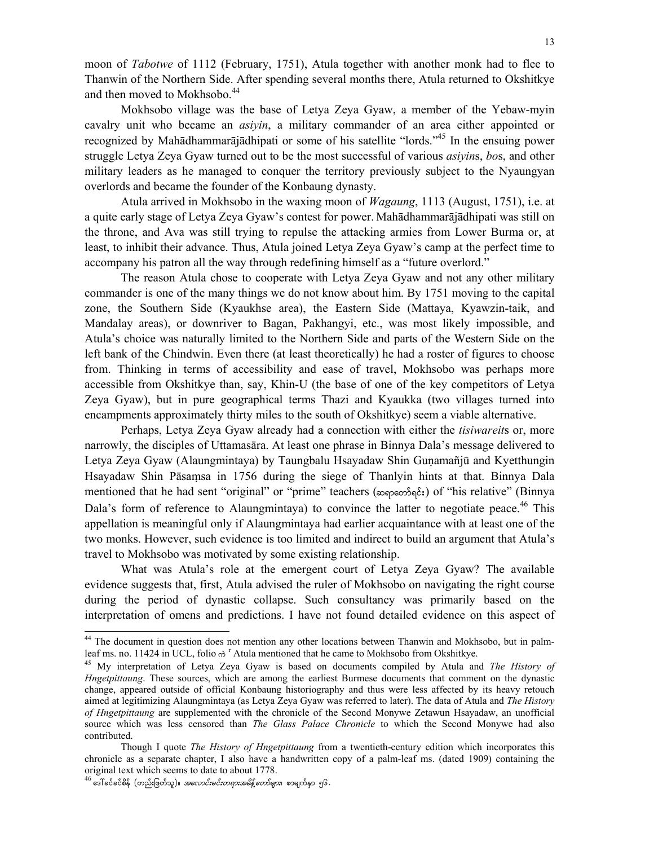moon of *Tabotwe* of 1112 (February, 1751), Atula together with another monk had to flee to Thanwin of the Northern Side. After spending several months there, Atula returned to Okshitkye and then moved to Mokhsobo.<sup>44</sup>

Mokhsobo village was the base of Letya Zeya Gyaw, a member of the Yebaw-myin cavalry unit who became an *asiyin*, a military commander of an area either appointed or recognized by Mahādhammarājādhipati or some of his satellite "lords."45 In the ensuing power struggle Letya Zeya Gyaw turned out to be the most successful of various *asiyin*s, *bo*s, and other military leaders as he managed to conquer the territory previously subject to the Nyaungyan overlords and became the founder of the Konbaung dynasty.

Atula arrived in Mokhsobo in the waxing moon of *Wagaung*, 1113 (August, 1751), i.e. at a quite early stage of Letya Zeya Gyaw's contest for power. Mahādhammarājādhipati was still on the throne, and Ava was still trying to repulse the attacking armies from Lower Burma or, at least, to inhibit their advance. Thus, Atula joined Letya Zeya Gyaw's camp at the perfect time to accompany his patron all the way through redefining himself as a "future overlord."

The reason Atula chose to cooperate with Letya Zeya Gyaw and not any other military commander is one of the many things we do not know about him. By 1751 moving to the capital zone, the Southern Side (Kyaukhse area), the Eastern Side (Mattaya, Kyawzin-taik, and Mandalay areas), or downriver to Bagan, Pakhangyi, etc., was most likely impossible, and Atula's choice was naturally limited to the Northern Side and parts of the Western Side on the left bank of the Chindwin. Even there (at least theoretically) he had a roster of figures to choose from. Thinking in terms of accessibility and ease of travel, Mokhsobo was perhaps more accessible from Okshitkye than, say, Khin-U (the base of one of the key competitors of Letya Zeya Gyaw), but in pure geographical terms Thazi and Kyaukka (two villages turned into encampments approximately thirty miles to the south of Okshitkye) seem a viable alternative.

Perhaps, Letya Zeya Gyaw already had a connection with either the *tisiwareit*s or, more narrowly, the disciples of Uttamasāra. At least one phrase in Binnya Dala's message delivered to Letya Zeya Gyaw (Alaungmintaya) by Taungbalu Hsayadaw Shin Guṇamañjū and Kyetthungin Hsayadaw Shin Pāsaṃsa in 1756 during the siege of Thanlyin hints at that. Binnya Dala mentioned that he had sent "original" or "prime" teachers (proprophetally of "his relative" (Binnya Dala's form of reference to Alaungmintaya) to convince the latter to negotiate peace.<sup>46</sup> This appellation is meaningful only if Alaungmintaya had earlier acquaintance with at least one of the two monks. However, such evidence is too limited and indirect to build an argument that Atula's travel to Mokhsobo was motivated by some existing relationship.

What was Atula's role at the emergent court of Letya Zeya Gyaw? The available evidence suggests that, first, Atula advised the ruler of Mokhsobo on navigating the right course during the period of dynastic collapse. Such consultancy was primarily based on the interpretation of omens and predictions. I have not found detailed evidence on this aspect of

<sup>&</sup>lt;sup>44</sup> The document in question does not mention any other locations between Thanwin and Mokhsobo, but in palmleaf ms. no. 11424 in UCL, folio  $\phi^T$  Atula mentioned that he came to Mokhsobo from Okshitkye.

<sup>&</sup>lt;sup>45</sup> My interpretation of Letya Zeya Gyaw is based on documents compiled by Atula and *The History of Hngetpittaung*. These sources, which are among the earliest Burmese documents that comment on the dynastic change, appeared outside of official Konbaung historiography and thus were less affected by its heavy retouch aimed at legitimizing Alaungmintaya (as Letya Zeya Gyaw was referred to later). The data of Atula and *The History of Hngetpittaung* are supplemented with the chronicle of the Second Monywe Zetawun Hsayadaw, an unofficial source which was less censored than *The Glass Palace Chronicle* to which the Second Monywe had also contributed.

Though I quote *The History of Hngetpittaung* from a twentieth-century edition which incorporates this chronicle as a separate chapter, I also have a handwritten copy of a palm-leaf ms. (dated 1909) containing the original text which seems to date to about 1778.

 $^{46}$  ဒေါ် ခင်ခင်စိန် (တည်းဖြတ်သူ)။ *အလောင်းမင်းတရားအမိန့် တော်များ*၊ စာမျက်နှာ ၅၆.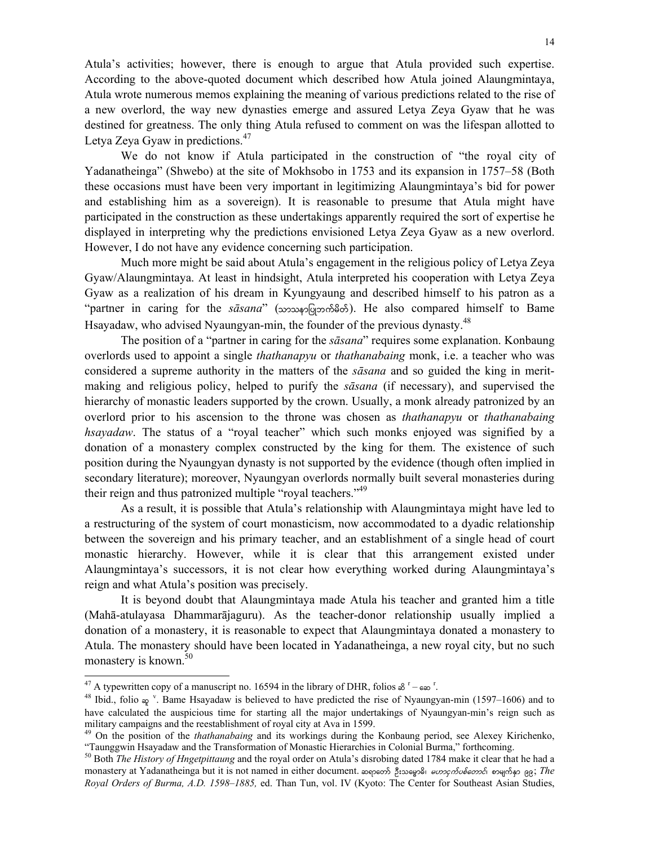Atula's activities; however, there is enough to argue that Atula provided such expertise. According to the above-quoted document which described how Atula joined Alaungmintaya, Atula wrote numerous memos explaining the meaning of various predictions related to the rise of a new overlord, the way new dynasties emerge and assured Letya Zeya Gyaw that he was destined for greatness. The only thing Atula refused to comment on was the lifespan allotted to Letya Zeya Gyaw in predictions.<sup>47</sup>

We do not know if Atula participated in the construction of "the royal city of Yadanatheinga" (Shwebo) at the site of Mokhsobo in 1753 and its expansion in 1757–58 (Both these occasions must have been very important in legitimizing Alaungmintaya's bid for power and establishing him as a sovereign). It is reasonable to presume that Atula might have participated in the construction as these undertakings apparently required the sort of expertise he displayed in interpreting why the predictions envisioned Letya Zeya Gyaw as a new overlord. However, I do not have any evidence concerning such participation.

Much more might be said about Atula's engagement in the religious policy of Letya Zeya Gyaw/Alaungmintaya. At least in hindsight, Atula interpreted his cooperation with Letya Zeya Gyaw as a realization of his dream in Kyungyaung and described himself to his patron as a "partner in caring for the *sāsana*" (သာသနာပြုဘက်မိတ်). He also compared himself to Bame Hsayadaw, who advised Nyaungyan-min, the founder of the previous dynasty.<sup>48</sup>

The position of a "partner in caring for the *sāsana*" requires some explanation. Konbaung overlords used to appoint a single *thathanapyu* or *thathanabaing* monk, i.e. a teacher who was considered a supreme authority in the matters of the *sāsana* and so guided the king in meritmaking and religious policy, helped to purify the *sāsana* (if necessary), and supervised the hierarchy of monastic leaders supported by the crown. Usually, a monk already patronized by an overlord prior to his ascension to the throne was chosen as *thathanapyu* or *thathanabaing hsayadaw*. The status of a "royal teacher" which such monks enjoyed was signified by a donation of a monastery complex constructed by the king for them. The existence of such position during the Nyaungyan dynasty is not supported by the evidence (though often implied in secondary literature); moreover, Nyaungyan overlords normally built several monasteries during their reign and thus patronized multiple "royal teachers."<sup>49</sup>

As a result, it is possible that Atula's relationship with Alaungmintaya might have led to a restructuring of the system of court monasticism, now accommodated to a dyadic relationship between the sovereign and his primary teacher, and an establishment of a single head of court monastic hierarchy. However, while it is clear that this arrangement existed under Alaungmintaya's successors, it is not clear how everything worked during Alaungmintaya's reign and what Atula's position was precisely.

It is beyond doubt that Alaungmintaya made Atula his teacher and granted him a title (Mahā-atulayasa Dhammarājaguru). As the teacher-donor relationship usually implied a donation of a monastery, it is reasonable to expect that Alaungmintaya donated a monastery to Atula. The monastery should have been located in Yadanatheinga, a new royal city, but no such monastery is known.<sup>50</sup>

<sup>&</sup>lt;sup>47</sup> A typewritten copy of a manuscript no. 16594 in the library of DHR, folios  $\delta$ <sup>r</sup> –  $\epsilon \infty$ <sup>r</sup>

<sup>&</sup>lt;sup>4/</sup> A typewritten copy of a manuscript no. 16594 in the library of DHR, folios  $\delta^r - \epsilon \infty^r$ .<br><sup>48</sup> Ibid., folio  $\epsilon \infty$ <sup>'</sup>. Bame Hsayadaw is believed to have predicted the rise of Nyaungyan-min (1597–1606) and to have calculated the auspicious time for starting all the major undertakings of Nyaungyan-min's reign such as military campaigns and the reestablishment of royal city at Ava in 1599.

<sup>&</sup>lt;sup>49</sup> On the position of the *thathanabaing* and its workings during the Konbaung period, see Alexey Kirichenko, "Taunggwin Hsayadaw and the Transformation of Monastic Hierarchies in Colonial Burma," forthcoming.

<sup>50</sup> Both *The History of Hngetpittaung* and the royal order on Atula's disrobing dated 1784 make it clear that he had a monastery at Yadanatheinga but it is not named in either document.  $\infty$ ppeos 3: $\infty$ egs *umprofordo meggia*; *The Royal Orders of Burma, A.D. 1598*–*1885,* ed. Than Tun, vol. IV (Kyoto: The Center for Southeast Asian Studies,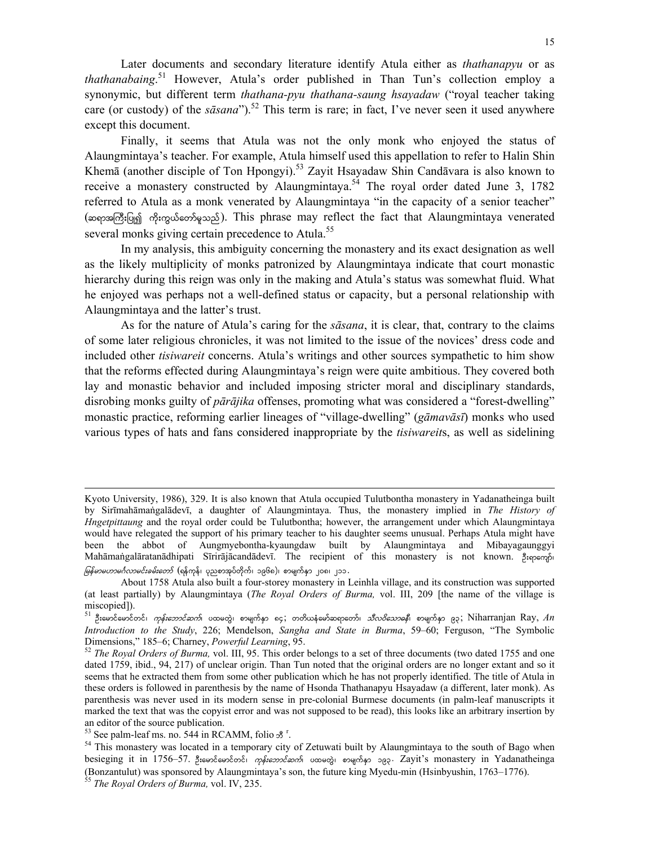Later documents and secondary literature identify Atula either as *thathanapyu* or as *thathanabaing*. 51 However, Atula's order published in Than Tun's collection employ a synonymic, but different term *thathana-pyu thathana-saung hsayadaw* ("royal teacher taking care (or custody) of the  $s\bar{a}sana$ ").<sup>52</sup> This term is rare; in fact, I've never seen it used anywhere except this document.

Finally, it seems that Atula was not the only monk who enjoyed the status of Alaungmintaya's teacher. For example, Atula himself used this appellation to refer to Halin Shin Khemā (another disciple of Ton Hpongyi).53 Zayit Hsayadaw Shin Candāvara is also known to receive a monastery constructed by Alaungmintaya.<sup>54</sup> The royal order dated June 3, 1782 referred to Atula as a monk venerated by Alaungmintaya "in the capacity of a senior teacher" (ဆရာအကြီးပြု၍ ကိုးကွယ်တော်မူသည်). This phrase may reflect the fact that Alaungmintaya venerated several monks giving certain precedence to Atula.<sup>55</sup>

In my analysis, this ambiguity concerning the monastery and its exact designation as well as the likely multiplicity of monks patronized by Alaungmintaya indicate that court monastic hierarchy during this reign was only in the making and Atula's status was somewhat fluid. What he enjoyed was perhaps not a well-defined status or capacity, but a personal relationship with Alaungmintaya and the latter's trust.

As for the nature of Atula's caring for the *sāsana*, it is clear, that, contrary to the claims of some later religious chronicles, it was not limited to the issue of the novices' dress code and included other *tisiwareit* concerns. Atula's writings and other sources sympathetic to him show that the reforms effected during Alaungmintaya's reign were quite ambitious. They covered both lay and monastic behavior and included imposing stricter moral and disciplinary standards, disrobing monks guilty of *pārājika* offenses, promoting what was considered a "forest-dwelling" monastic practice, reforming earlier lineages of "village-dwelling" (*gāmavāsī*) monks who used various types of hats and fans considered inappropriate by the *tisiwareit*s, as well as sidelining

Kyoto University, 1986), 329. It is also known that Atula occupied Tulutbontha monastery in Yadanatheinga built by Sirīmahāmaṅgalādevī, a daughter of Alaungmintaya. Thus, the monastery implied in *The History of Hngetpittaung* and the royal order could be Tulutbontha; however, the arrangement under which Alaungmintaya would have relegated the support of his primary teacher to his daughter seems unusual. Perhaps Atula might have been the abbot of Aungmyebontha-kyaungdaw built by Alaungmintaya and Mibayagaunggyi Mahāmaṅgalāratanādhipati Sīrirājācandādevī. The recipient of this monastery is not known. 3. 1906 *မြန်မာမဟာမင်္ဂလာမင်းခမ်းတော်* (ရန်ကုန်၊ ပုညစာအုပ်တိုက်၊ ၁၉၆၈)၊ စာမျက်နှာ ၂၀၈၊ ၂၁၁․

About 1758 Atula also built a four-storey monastery in Leinhla village, and its construction was supported (at least partially) by Alaungmintaya (*The Royal Orders of Burma,* vol. III, 209 [the name of the village is miscopied]).

<sup>51</sup> ဦးမောင်မောင်တင်၊ *ကုန်းဘောင်ဆက်*၊ ပထမတွဲ၊ စာမျက်နှာ ၈၄; တတိယနံမော်ဆရာတော်၊ *သီလဝိသောဓနိ*၊ စာမျက်နှာ ၉၃; Niharranjan Ray, *An Introduction to the Study*, 226; Mendelson, *Sangha and State in Burma*, 59–60; Ferguson, "The Symbolic Dimensions," 185–6; Charney, *Powerful Learning*, 95.<br><sup>52</sup> *The Royal Orders of Burma*, vol. III, 95. This order belongs to a set of three documents (two dated 1755 and one

dated 1759, ibid., 94, 217) of unclear origin. Than Tun noted that the original orders are no longer extant and so it seems that he extracted them from some other publication which he has not properly identified. The title of Atula in these orders is followed in parenthesis by the name of Hsonda Thathanapyu Hsayadaw (a different, later monk). As parenthesis was never used in its modern sense in pre-colonial Burmese documents (in palm-leaf manuscripts it marked the text that was the copyist error and was not supposed to be read), this looks like an arbitrary insertion by an editor of the source publication.

 $53$  See palm-leaf ms. no. 544 in RCAMM, folio  $\mathcal{B}^{\text{r}}$ .

<sup>&</sup>lt;sup>54</sup> This monastery was located in a temporary city of Zetuwati built by Alaungmintaya to the south of Bago when besieging it in 1756–57. ဦးမောင်မောင်တင်၊ *ကုန်းဘောင်ဆက်*၊ ပထမတွဲ၊ စာမျက်နှာ ၁၉၃. Zayit's monastery in Yadanatheinga (Bonzantulut) was sponsored by Alaungmintaya's son, the future king Myedu-min (Hsinbyushin, 1763–1776). 55 *The Royal Orders of Burma,* vol. IV, 235.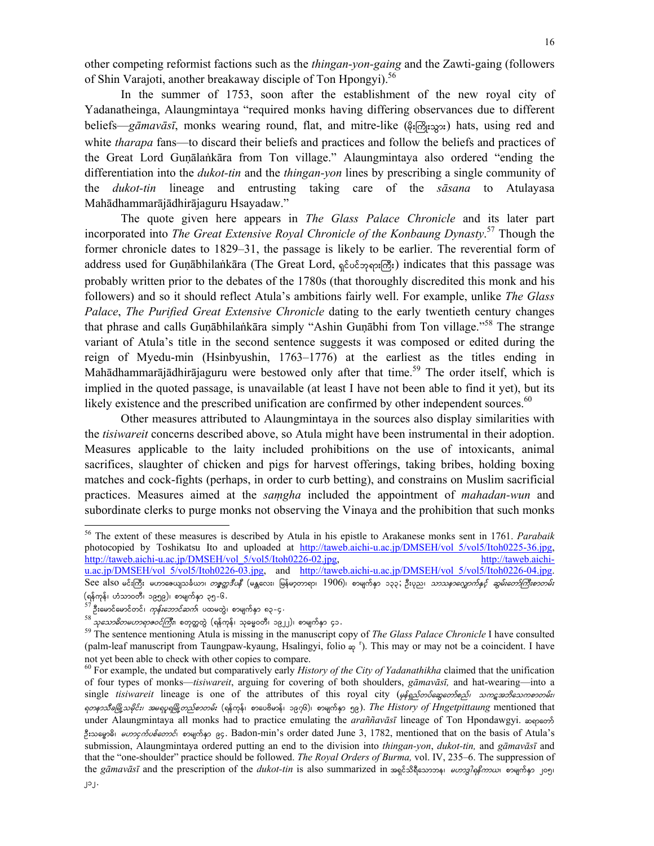other competing reformist factions such as the *thingan-yon-gaing* and the Zawti-gaing (followers of Shin Varajoti, another breakaway disciple of Ton Hpongyi).<sup>56</sup>

In the summer of 1753, soon after the establishment of the new royal city of Yadanatheinga, Alaungmintaya "required monks having differing observances due to different beliefs—*gāmavāsī*, monks wearing round, flat, and mitre-like  $(\frac{1}{2} \delta_1 \delta_2)$ ; hats, using red and white *tharapa* fans—to discard their beliefs and practices and follow the beliefs and practices of the Great Lord Guṇālaṅkāra from Ton village." Alaungmintaya also ordered "ending the differentiation into the *dukot-tin* and the *thingan-yon* lines by prescribing a single community of the *dukot-tin* lineage and entrusting taking care of the *sāsana* to Atulayasa Mahādhammarājādhirājaguru Hsayadaw."

The quote given here appears in *The Glass Palace Chronicle* and its later part incorporated into *The Great Extensive Royal Chronicle of the Konbaung Dynasty*. 57 Though the former chronicle dates to 1829–31, the passage is likely to be earlier. The reverential form of address used for Guṇābhilaṅkāra (The Great Lord, ရှင်ပင်ဘုရားကြီး) indicates that this passage was probably written prior to the debates of the 1780s (that thoroughly discredited this monk and his followers) and so it should reflect Atula's ambitions fairly well. For example, unlike *The Glass Palace*, *The Purified Great Extensive Chronicle* dating to the early twentieth century changes that phrase and calls Guṇābhilaṅkāra simply "Ashin Guṇābhi from Ton village."<sup>58</sup> The strange variant of Atula's title in the second sentence suggests it was composed or edited during the reign of Myedu-min (Hsinbyushin, 1763–1776) at the earliest as the titles ending in Mahādhammarājādhirājaguru were bestowed only after that time.<sup>59</sup> The order itself, which is implied in the quoted passage, is unavailable (at least I have not been able to find it yet), but its likely existence and the prescribed unification are confirmed by other independent sources.<sup>60</sup>

Other measures attributed to Alaungmintaya in the sources also display similarities with the *tisiwareit* concerns described above, so Atula might have been instrumental in their adoption. Measures applicable to the laity included prohibitions on the use of intoxicants, animal sacrifices, slaughter of chicken and pigs for harvest offerings, taking bribes, holding boxing matches and cock-fights (perhaps, in order to curb betting), and constrains on Muslim sacrificial practices. Measures aimed at the *saṃgha* included the appointment of *mahadan-wun* and subordinate clerks to purge monks not observing the Vinaya and the prohibition that such monks

<sup>56</sup> The extent of these measures is described by Atula in his epistle to Arakanese monks sent in 1761. *Parabaik* photocopied by Toshikatsu Ito and uploaded at http://taweb.aichi-u.ac.jp/DMSEH/vol\_5/vol5/Itoh0225-36.jpg, http://taweb.aichi-u.ac.jp/DMSEH/vol\_5/vol5/Itoh0226-02.jpg, http://taweb.aichiu.ac.jp/DMSEH/vol\_5/vol5/Itoh0226-03.jpg, and http://taweb.aichi-u.ac.jp/DMSEH/vol\_5/vol5/Itoh0226-04.jpg. See also မင်းကြီး မဟာဧေယျသင်္ခယာ၊ *တစ္ဖတ္တဒီပနီ* (မန္တလေး၊ မြန်မာ့တာရာ၊  $1906$ )၊ စာမျက်နာ ၁၃၃ ;ဦးပုည၊ *သာဿနာလျှောက်နှင့် ဆွမ်းတော်ကြီးစာတမ်း* 

<sup>(</sup>ရန်ကုန်၊ ဟံသာ၀တီ၊ ၁၉၅၉)၊ စာမျက်နှာ ၃၅-၆.<br><sup>57</sup> ဦးမောင်မောင်တင်၊ *ကုန်းဘောင်ဆက်*၊ ပထမတွဲ၊ စာမျက်နှာ ၈၃-၄.<br><sup>58</sup> *သုသောဓိတမဟာရာဇဝင်ကြီး*၊ စတုတ္ထတွဲ (ရန်ကုန်၊ သုဓမ္မဝတီ၊ ၁၉၂၂)၊ စာမျက်နှာ ၄၁.<br><sup>59</sup> The sentence mentioning Atul (palm-leaf manuscript from Taungpaw-kyaung, Hsalingyi, folio  $\frac{1}{\infty}$ <sup>r</sup>). This may or may not be a coincident. I have not yet been able to check with other copies to compare.

 $60$  For example, the undated but comparatively early *History of the City of Yadanathikha* claimed that the unification of four types of monks—*tisiwareit*, arguing for covering of both shoulders, *gāmavāsī,* and hat-wearing—into a single tisiwareit lineage is one of the attributes of this royal city (pompo of appoint) and an appoint *ရတနာသီခမြို့သမိုင်း၊ အမရပူရမြို့တည်စာတမ်း* (ရန်ကုန်၊ စာပေဗိမာန်၊ ၁၉၇၆)၊ စာမျက်နှာ ၅၉)*. The History of Hngetpittaung* mentioned that under Alaungmintaya all monks had to practice emulating the *araññavāsī* lineage of Ton Hpondawgyi.  $\infty$ peos B: <sub>Φε</sub>ρδι *θυρος που δεσρε*δι *φοησίες ης* Badon-min's order dated June 3, 1782, mentioned that on the basis of Atula's submission, Alaungmintaya ordered putting an end to the division into *thingan-yon*, *dukot-tin,* and *gāmavāsī* and that the "one-shoulder" practice should be followed. *The Royal Orders of Burma,* vol. IV, 235–6. The suppression of the *gamavasi* and the prescription of the *dukot-tin* is also summarized in  $\frac{1}{2}$  and  $\frac{1}{2}$   $\frac{1}{2}$   $\frac{1}{2}$   $\frac{1}{2}$   $\frac{1}{2}$   $\frac{1}{2}$   $\frac{1}{2}$   $\frac{1}{2}$   $\frac{1}{2}$   $\frac{1}{2}$   $\frac{1}{2}$   $\frac{1}{2}$   $\frac{1}{2}$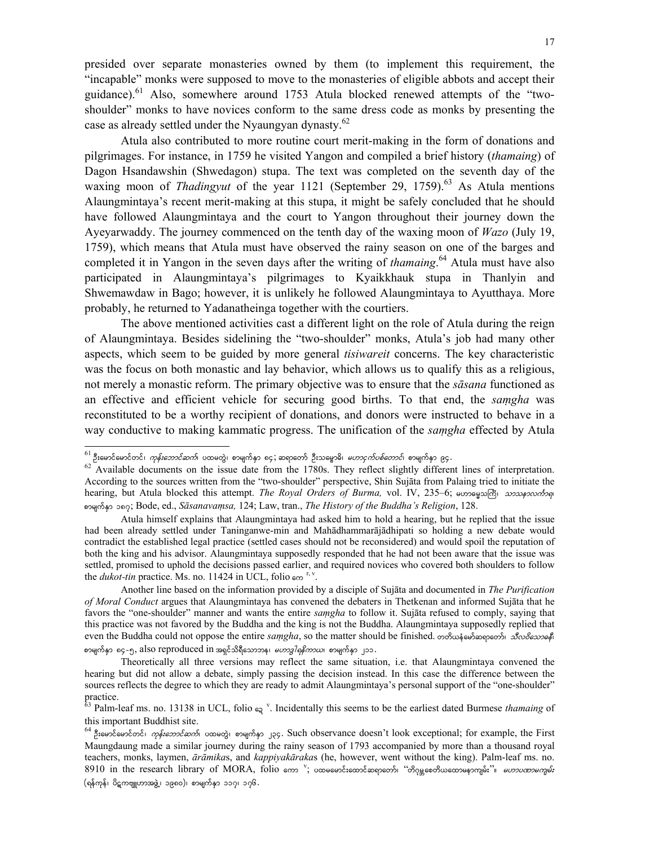presided over separate monasteries owned by them (to implement this requirement, the "incapable" monks were supposed to move to the monasteries of eligible abbots and accept their guidance).<sup>61</sup> Also, somewhere around 1753 Atula blocked renewed attempts of the "twoshoulder" monks to have novices conform to the same dress code as monks by presenting the case as already settled under the Nyaungyan dynasty.<sup>62</sup>

Atula also contributed to more routine court merit-making in the form of donations and pilgrimages. For instance, in 1759 he visited Yangon and compiled a brief history (*thamaing*) of Dagon Hsandawshin (Shwedagon) stupa. The text was completed on the seventh day of the waxing moon of *Thadingyut* of the year 1121 (September 29, 1759).<sup>63</sup> As Atula mentions Alaungmintaya's recent merit-making at this stupa, it might be safely concluded that he should have followed Alaungmintaya and the court to Yangon throughout their journey down the Ayeyarwaddy. The journey commenced on the tenth day of the waxing moon of *Wazo* (July 19, 1759), which means that Atula must have observed the rainy season on one of the barges and completed it in Yangon in the seven days after the writing of *thamaing*. 64 Atula must have also participated in Alaungmintaya's pilgrimages to Kyaikkhauk stupa in Thanlyin and Shwemawdaw in Bago; however, it is unlikely he followed Alaungmintaya to Ayutthaya. More probably, he returned to Yadanatheinga together with the courtiers.

The above mentioned activities cast a different light on the role of Atula during the reign of Alaungmintaya. Besides sidelining the "two-shoulder" monks, Atula's job had many other aspects, which seem to be guided by more general *tisiwareit* concerns. The key characteristic was the focus on both monastic and lay behavior, which allows us to qualify this as a religious, not merely a monastic reform. The primary objective was to ensure that the *sāsana* functioned as an effective and efficient vehicle for securing good births. To that end, the *saṃgha* was reconstituted to be a worthy recipient of donations, and donors were instructed to behave in a way conductive to making kammatic progress. The unification of the *saṃgha* effected by Atula

<sup>&</sup>lt;sup>61</sup> ဦးမောင်မောင်တင်၊ *ကုန်းဘောင်ဆက်*၊ ပထမတွဲ၊ စာမျက်နှာ ၈၄ ဆရာတော် ဦးသမ္ဓောဓိ၊ *မဟာငှက်ပစ်တောင်*၊ စာမျက်နှာ ၉၄.

<sup>&</sup>lt;sup>62</sup> Available documents on the issue date from the 1780s. They reflect slightly different lines of interpretation. According to the sources written from the "two-shoulder" perspective, Shin Sujāta from Palaing tried to initiate the hearing, but Atula blocked this attempt. *The Royal Orders of Burma*, vol. IV, 235–6;  $\omega$ messasher  $\omega$ pmrsufESm 187; Bode, ed., *Sāsanavaṃsa,* 124; Law, tran., *The History of the Buddha's Religion*, 128.

Atula himself explains that Alaungmintaya had asked him to hold a hearing, but he replied that the issue had been already settled under Taninganwe-min and Mahādhammarājādhipati so holding a new debate would contradict the established legal practice (settled cases should not be reconsidered) and would spoil the reputation of both the king and his advisor. Alaungmintaya supposedly responded that he had not been aware that the issue was settled, promised to uphold the decisions passed earlier, and required novices who covered both shoulders to follow the *dukot-tin* practice. Ms. no. 11424 in UCL, folio  $\epsilon \infty$ <sup>r, v</sup>.

Another line based on the information provided by a disciple of Sujāta and documented in *The Purification of Moral Conduct* argues that Alaungmintaya has convened the debaters in Thetkenan and informed Sujāta that he favors the "one-shoulder" manner and wants the entire *saṃgha* to follow it. Sujāta refused to comply, saying that this practice was not favored by the Buddha and the king is not the Buddha. Alaungmintaya supposedly replied that even the Buddha could not oppose the entire *samgha*, so the matter should be finished. တတိယနဲမော်ဆရာတော်၊ *သီလဝိသောဓနိ*၊ စာမျက်နှာ ၈၄-၅, also reproduced in အရှင်သိရီသောဘန၊ *မဟာဒ္ဒါရနိကာယ*၊ စာမျက်နှာ ၂၁၁.

Theoretically all three versions may reflect the same situation, i.e. that Alaungmintaya convened the hearing but did not allow a debate, simply passing the decision instead. In this case the difference between the sources reflects the degree to which they are ready to admit Alaungmintaya's personal support of the "one-shoulder" practice.

 $63$  Palm-leaf ms. no. 13138 in UCL, folio  $_{\leq q}$ <sup>v</sup>. Incidentally this seems to be the earliest dated Burmese *thamaing* of this important Buddhist site.

<sup>&</sup>lt;sup>64</sup> ဦးမောင်မောင်တင်၊ *ကုန်းဘောင်ဆက်*၊ ပထမတွဲ၊ စာမျက်နှာ ၂၃၄. Such observance doesn't look exceptional; for example, the First Maungdaung made a similar journey during the rainy season of 1793 accompanied by more than a thousand royal teachers, monks, laymen, *ārāmika*s, and *kappiyakāraka*s (he, however, went without the king). Palm-leaf ms. no.  $8910$  in the research library of MORA, folio ကော  $\,$  ပထမမောင်းထောင်ဆရာတော်၊ ''တိဂုမ္ဘစေတိယထောမနာကျမ်း''။ *ဟောပဏာမကျမ်း* (ရန်ကုန်၊ ပိဋကဗျူဟာအဖွဲ့၊ ၁၉၈၀)၊ စာမျက်နှာ ၁၁၇၊ ၁၇၆.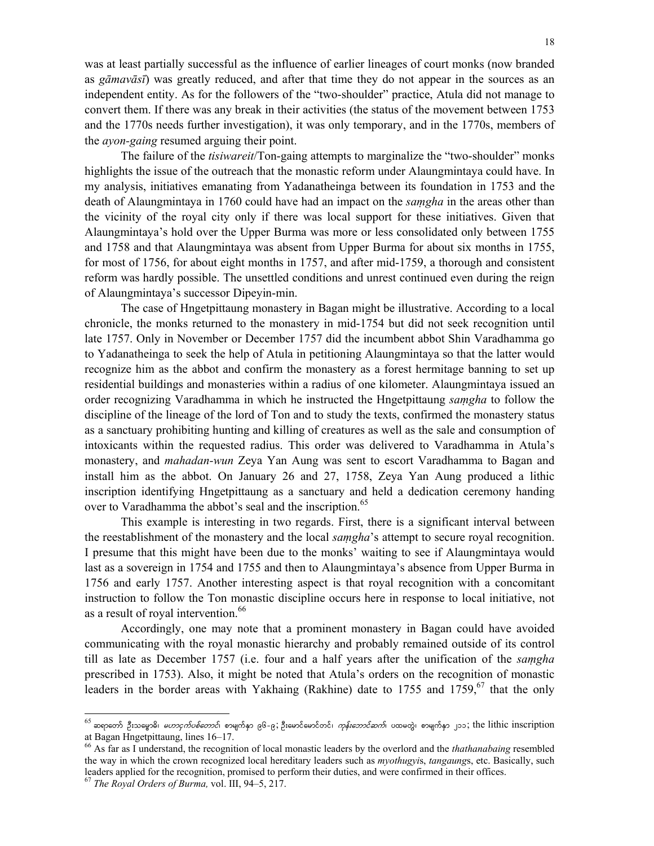was at least partially successful as the influence of earlier lineages of court monks (now branded as *gāmavāsī*) was greatly reduced, and after that time they do not appear in the sources as an independent entity. As for the followers of the "two-shoulder" practice, Atula did not manage to convert them. If there was any break in their activities (the status of the movement between 1753 and the 1770s needs further investigation), it was only temporary, and in the 1770s, members of the *ayon-gaing* resumed arguing their point.

The failure of the *tisiwareit*/Ton-gaing attempts to marginalize the "two-shoulder" monks highlights the issue of the outreach that the monastic reform under Alaungmintaya could have. In my analysis, initiatives emanating from Yadanatheinga between its foundation in 1753 and the death of Alaungmintaya in 1760 could have had an impact on the *saṃgha* in the areas other than the vicinity of the royal city only if there was local support for these initiatives. Given that Alaungmintaya's hold over the Upper Burma was more or less consolidated only between 1755 and 1758 and that Alaungmintaya was absent from Upper Burma for about six months in 1755, for most of 1756, for about eight months in 1757, and after mid-1759, a thorough and consistent reform was hardly possible. The unsettled conditions and unrest continued even during the reign of Alaungmintaya's successor Dipeyin-min.

The case of Hngetpittaung monastery in Bagan might be illustrative. According to a local chronicle, the monks returned to the monastery in mid-1754 but did not seek recognition until late 1757. Only in November or December 1757 did the incumbent abbot Shin Varadhamma go to Yadanatheinga to seek the help of Atula in petitioning Alaungmintaya so that the latter would recognize him as the abbot and confirm the monastery as a forest hermitage banning to set up residential buildings and monasteries within a radius of one kilometer. Alaungmintaya issued an order recognizing Varadhamma in which he instructed the Hngetpittaung *saṃgha* to follow the discipline of the lineage of the lord of Ton and to study the texts, confirmed the monastery status as a sanctuary prohibiting hunting and killing of creatures as well as the sale and consumption of intoxicants within the requested radius. This order was delivered to Varadhamma in Atula's monastery, and *mahadan-wun* Zeya Yan Aung was sent to escort Varadhamma to Bagan and install him as the abbot. On January 26 and 27, 1758, Zeya Yan Aung produced a lithic inscription identifying Hngetpittaung as a sanctuary and held a dedication ceremony handing over to Varadhamma the abbot's seal and the inscription.<sup>65</sup>

This example is interesting in two regards. First, there is a significant interval between the reestablishment of the monastery and the local *saṃgha*'s attempt to secure royal recognition. I presume that this might have been due to the monks' waiting to see if Alaungmintaya would last as a sovereign in 1754 and 1755 and then to Alaungmintaya's absence from Upper Burma in 1756 and early 1757. Another interesting aspect is that royal recognition with a concomitant instruction to follow the Ton monastic discipline occurs here in response to local initiative, not as a result of royal intervention.<sup>66</sup>

Accordingly, one may note that a prominent monastery in Bagan could have avoided communicating with the royal monastic hierarchy and probably remained outside of its control till as late as December 1757 (i.e. four and a half years after the unification of the *saṃgha* prescribed in 1753). Also, it might be noted that Atula's orders on the recognition of monastic leaders in the border areas with Yakhaing (Rakhine) date to 1755 and 1759,<sup>67</sup> that the only

 $^{65}$  ဆရာတော် ဦးသမ္ဓောဓိ၊ *မဟာငှက်ပစ်တောင်*၊ စာမျက်နာ ၉၆-၉; ဦးမောင်မောင်တင်၊ *ကုန်းဘောင်ဆက်*၊ ပထမတွဲ၊ စာမျက်နှာ ၂၁၁; the lithic inscription at Bagan Hngetpittaung, lines 16–17.

<sup>66</sup> As far as I understand, the recognition of local monastic leaders by the overlord and the *thathanabaing* resembled the way in which the crown recognized local hereditary leaders such as *myothugyi*s, *tangaung*s, etc. Basically, such leaders applied for the recognition, promised to perform their duties, and were confirmed in their offices.

<sup>67</sup> *The Royal Orders of Burma,* vol. III, 94–5, 217.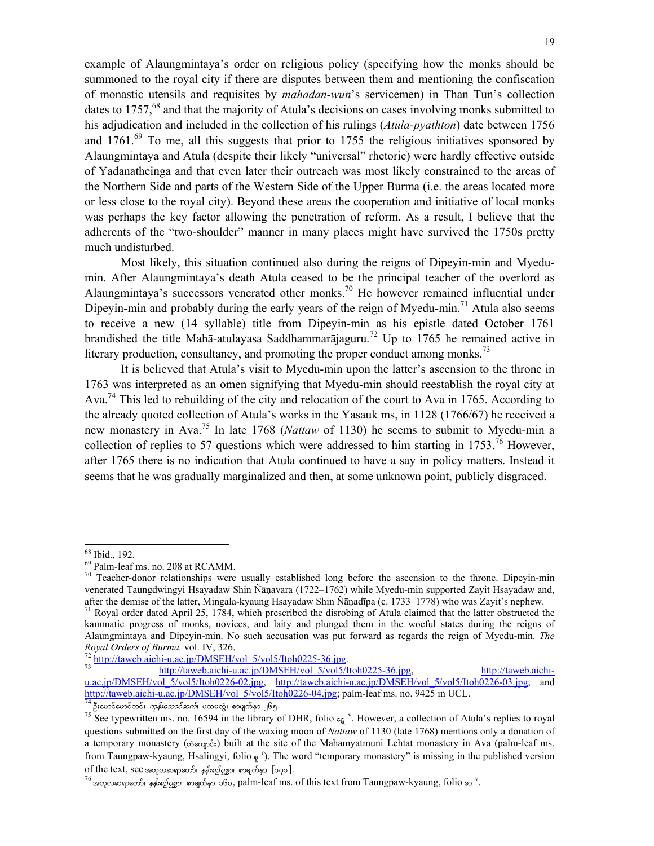example of Alaungmintaya's order on religious policy (specifying how the monks should be summoned to the royal city if there are disputes between them and mentioning the confiscation of monastic utensils and requisites by *mahadan-wun*'s servicemen) in Than Tun's collection dates to 1757,  $68$  and that the majority of Atula's decisions on cases involving monks submitted to his adjudication and included in the collection of his rulings (*Atula-pyathton*) date between 1756 and  $1761<sup>69</sup>$  To me, all this suggests that prior to 1755 the religious initiatives sponsored by Alaungmintaya and Atula (despite their likely "universal" rhetoric) were hardly effective outside of Yadanatheinga and that even later their outreach was most likely constrained to the areas of the Northern Side and parts of the Western Side of the Upper Burma (i.e. the areas located more or less close to the royal city). Beyond these areas the cooperation and initiative of local monks was perhaps the key factor allowing the penetration of reform. As a result, I believe that the adherents of the "two-shoulder" manner in many places might have survived the 1750s pretty much undisturbed.

Most likely, this situation continued also during the reigns of Dipeyin-min and Myedumin. After Alaungmintaya's death Atula ceased to be the principal teacher of the overlord as Alaungmintaya's successors venerated other monks.<sup>70</sup> He however remained influential under Dipeyin-min and probably during the early years of the reign of Myedu-min.<sup>71</sup> Atula also seems to receive a new (14 syllable) title from Dipeyin-min as his epistle dated October 1761 brandished the title Mahā-atulayasa Saddhammarājaguru.<sup>72</sup> Up to 1765 he remained active in literary production, consultancy, and promoting the proper conduct among monks.<sup>73</sup>

It is believed that Atula's visit to Myedu-min upon the latter's ascension to the throne in 1763 was interpreted as an omen signifying that Myedu-min should reestablish the royal city at Ava.<sup>74</sup> This led to rebuilding of the city and relocation of the court to Ava in 1765. According to the already quoted collection of Atula's works in the Yasauk ms, in 1128 (1766/67) he received a new monastery in Ava.75 In late 1768 (*Nattaw* of 1130) he seems to submit to Myedu-min a collection of replies to 57 questions which were addressed to him starting in 1753.<sup>76</sup> However, after 1765 there is no indication that Atula continued to have a say in policy matters. Instead it seems that he was gradually marginalized and then, at some unknown point, publicly disgraced.

<sup>68</sup> Ibid., 192.

<sup>69</sup> Palm-leaf ms. no. 208 at RCAMM.

 $70$  Teacher-donor relationships were usually established long before the ascension to the throne. Dipeyin-min venerated Taungdwingyi Hsayadaw Shin Ñāṇavara (1722–1762) while Myedu-min supported Zayit Hsayadaw and, after the demise of the latter, Mingala-kyaung Hsayadaw Shin Ñāṇadīpa (c. 1733–1778) who was Zayit's nephew. <sup>71</sup> Royal order dated April 25, 1784, which prescribed the disrobing of Atula claimed that the latter obstructe

kammatic progress of monks, novices, and laity and plunged them in the woeful states during the reigns of Alaungmintaya and Dipeyin-min. No such accusation was put forward as regards the reign of Myedu-min. *The Royal Orders of Burma, vol. IV, 326.*<br><sup>72</sup> http://taweb.aichi-u.ac.jp/DMSEH/vol\_5/vol5/Itoh0225-36.jpg. http://taweb.aichi-u.ac.jp/DMSEH/vol\_5/vol5/Itoh0225-36.jpg, http://taweb.aichi-

u.ac.jp/DMSEH/vol\_5/vol5/Itoh0226-02.jpg, http://taweb.aichi-u.ac.jp/DMSEH/vol\_5/vol5/Itoh0226-03.jpg, http://taweb.aichi-u.ac.jp/DMSEH/vol\_5/vol5/Itoh0226-04.jpg; palm-leaf ms. no. 9425 in UCL. http://taweb.aichi-u.ac.jp/DMSEH/vol\_5/vol5/Itoh0226-04.jpg; palm-leaf ms. no. 9425 in UCL.<br><sup>74</sup> ဦးမောင်မောင်တင်၊ *ကုန်းဘောင်ဆက်*၊ ပထမတွဲ၊ စာမျက်နှာ ၂၆၅.<br><sup>75</sup> See typewritten ms. no. 16594 in the library of DHR, folio ရွေ

questions submitted on the first day of the waxing moon of *Nattaw* of 1130 (late 1768) mentions only a donation of a temporary monastery ( $\phi \circ \phi \circ \phi \circ \phi$ ) built at the site of the Mahamyatmuni Lehtat monastery in Ava (palm-leaf ms. from Taungpaw-kyaung, Hsalingyi, folio  $\varphi$ <sup>r</sup>). The word "temporary monastery" is missing in the published version of the text, see အတုလဆရာတော်၊ *နန်းစဉ်ပုစ္ဆာ*၊ စာမျက်နှာ [၁၇၀].<br><sup>76</sup> အတုလဆရာတော်၊ *နန်းစဉ်ပုစ္ဆာ*၊ စာမျက်နှာ ၁၆၀, palm-leaf ms. of this text from Taungpaw-kyaung, folio စာ <sup>v</sup>.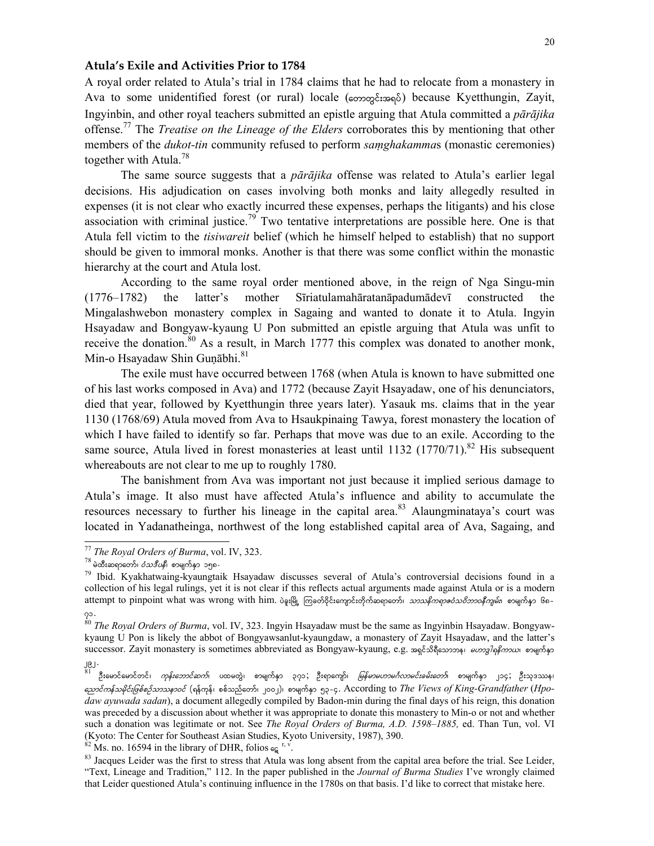## **Atula's Exile and Activities Prior to 1784**

A royal order related to Atula's trial in 1784 claims that he had to relocate from a monastery in Ava to some unidentified forest (or rural) locale (တောတွင်းအရပ်) because Kyetthungin, Zayit, Ingyinbin, and other royal teachers submitted an epistle arguing that Atula committed a *pārājika* offense.77 The *Treatise on the Lineage of the Elders* corroborates this by mentioning that other members of the *dukot-tin* community refused to perform *saṃghakamma*s (monastic ceremonies) together with Atula.<sup>78</sup>

The same source suggests that a *pārājika* offense was related to Atula's earlier legal decisions. His adjudication on cases involving both monks and laity allegedly resulted in expenses (it is not clear who exactly incurred these expenses, perhaps the litigants) and his close association with criminal justice.<sup>79</sup> Two tentative interpretations are possible here. One is that Atula fell victim to the *tisiwareit* belief (which he himself helped to establish) that no support should be given to immoral monks. Another is that there was some conflict within the monastic hierarchy at the court and Atula lost.

According to the same royal order mentioned above, in the reign of Nga Singu-min (1776–1782) the latter's mother Sīriatulamahāratanāpadumādevī constructed the Mingalashwebon monastery complex in Sagaing and wanted to donate it to Atula. Ingyin Hsayadaw and Bongyaw-kyaung U Pon submitted an epistle arguing that Atula was unfit to receive the donation.<sup>80</sup> As a result, in March 1777 this complex was donated to another monk, Min-o Hsayadaw Shin Gunābhi.<sup>81</sup>

The exile must have occurred between 1768 (when Atula is known to have submitted one of his last works composed in Ava) and 1772 (because Zayit Hsayadaw, one of his denunciators, died that year, followed by Kyetthungin three years later). Yasauk ms. claims that in the year 1130 (1768/69) Atula moved from Ava to Hsaukpinaing Tawya, forest monastery the location of which I have failed to identify so far. Perhaps that move was due to an exile. According to the same source, Atula lived in forest monasteries at least until 1132 (1770/71).<sup>82</sup> His subsequent whereabouts are not clear to me up to roughly 1780.

The banishment from Ava was important not just because it implied serious damage to Atula's image. It also must have affected Atula's influence and ability to accumulate the resources necessary to further his lineage in the capital area.<sup>83</sup> Alaungminataya's court was located in Yadanatheinga, northwest of the long established capital area of Ava, Sagaing, and

<sup>77</sup> *The Royal Orders of Burma*, vol. IV, 323.<br><sup>78</sup> မဲထီးဆရာတော်၊ *ဝံသဒီပနီ*၊ စာမျက်နှာ ၁၅၈.<br><sup>79</sup> Ibid. Kyakhatwaing-kyaungtaik Hsayadaw discusses several of Atula's controversial decisions found in a collection of his legal rulings, yet it is not clear if this reflects actual arguments made against Atula or is a modern attempt to pinpoint what was wrong with him. ပဲခူးမြို့ ကြခတ်ဝိုင်းကျောင်းတိုက်ဆရာတော်၊ *သာသနိကရာဇဝံသဝိဘာဝနီကျမ်း*၊ စာမျက်နှာ ၆၈-

<sup>71</sup>. 80 *The Royal Orders of Burma*, vol. IV, 323. Ingyin Hsayadaw must be the same as Ingyinbin Hsayadaw. Bongyawkyaung U Pon is likely the abbot of Bongyawsanlut-kyaungdaw, a monastery of Zayit Hsayadaw, and the latter's successor. Zayit monastery is sometimes abbreviated as Bongyaw-kyaung, e.g. အရင်သိရီသောဘန၊ *မဟာဒ္ဒါရနိကာယ*၊ စာမျက်နာ

ဦးမောင်မောင်တင်၊ *ကုန်းဘောင်ဆက်*၊ ပထမတွဲ၊ စာမျက်နှာ ၃၇၁;ဦးရာကျော်၊ *မြန်မာမဟာမင်္ဂလာမင်းခမ်းတော်*၊ စာမျက်နှာ ၂၁၄;ဦးသုဒဿန၊ anmifuefordkif;jzpfpOfomoem0if (&efukef? ppfonfawmf? 2002)? pmrsufESm 53-4. According to *The Views of King-Grandfather* (*Hpodaw ayuwada sadan*), a document allegedly compiled by Badon-min during the final days of his reign, this donation was preceded by a discussion about whether it was appropriate to donate this monastery to Min-o or not and whether such a donation was legitimate or not. See *The Royal Orders of Burma, A.D. 1598*–*1885,* ed. Than Tun, vol. VI (Kyoto: The Center for Southeast Asian Studies, Kyoto University, 1987), 390.<br><sup>82</sup> Ms. no. 16594 in the library of DHR, folios  $_{\mathbf{c} \mathbf{g}}^{\mathbf{r}, \mathbf{v}}$ .

<sup>&</sup>lt;sup>83</sup> Jacques Leider was the first to stress that Atula was long absent from the capital area before the trial. See Leider, "Text, Lineage and Tradition," 112. In the paper published in the *Journal of Burma Studies* I've wrongly claimed that Leider questioned Atula's continuing influence in the 1780s on that basis. I'd like to correct that mistake here.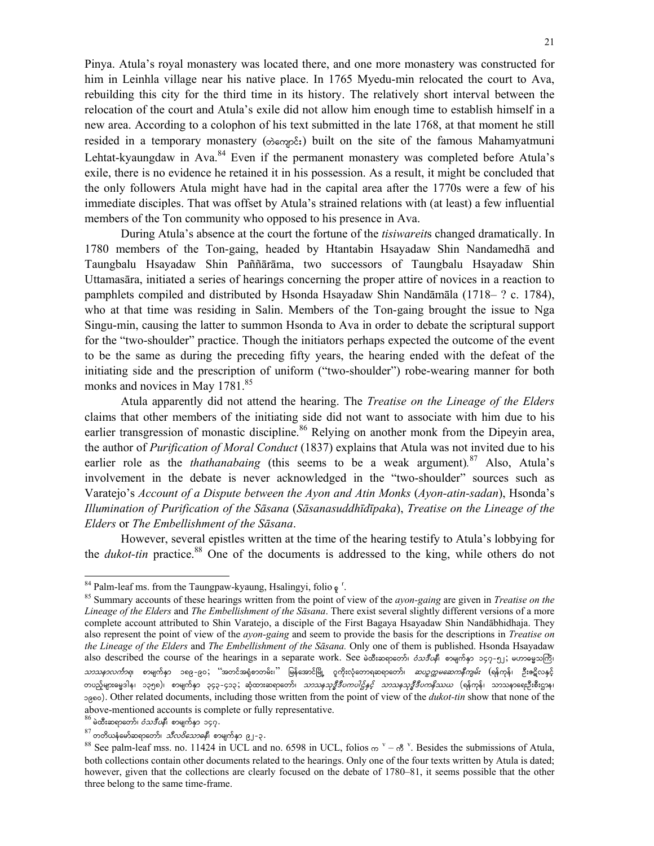Pinya. Atula's royal monastery was located there, and one more monastery was constructed for him in Leinhla village near his native place. In 1765 Myedu-min relocated the court to Ava, rebuilding this city for the third time in its history. The relatively short interval between the relocation of the court and Atula's exile did not allow him enough time to establish himself in a new area. According to a colophon of his text submitted in the late 1768, at that moment he still resided in a temporary monastery (oscopes) built on the site of the famous Mahamyatmuni Lehtat-kyaungdaw in Ava. $84$  Even if the permanent monastery was completed before Atula's exile, there is no evidence he retained it in his possession. As a result, it might be concluded that the only followers Atula might have had in the capital area after the 1770s were a few of his immediate disciples. That was offset by Atula's strained relations with (at least) a few influential members of the Ton community who opposed to his presence in Ava.

During Atula's absence at the court the fortune of the *tisiwareit*s changed dramatically. In 1780 members of the Ton-gaing, headed by Htantabin Hsayadaw Shin Nandamedhā and Taungbalu Hsayadaw Shin Paññārāma, two successors of Taungbalu Hsayadaw Shin Uttamasāra, initiated a series of hearings concerning the proper attire of novices in a reaction to pamphlets compiled and distributed by Hsonda Hsayadaw Shin Nandāmāla (1718– ? c. 1784), who at that time was residing in Salin. Members of the Ton-gaing brought the issue to Nga Singu-min, causing the latter to summon Hsonda to Ava in order to debate the scriptural support for the "two-shoulder" practice. Though the initiators perhaps expected the outcome of the event to be the same as during the preceding fifty years, the hearing ended with the defeat of the initiating side and the prescription of uniform ("two-shoulder") robe-wearing manner for both monks and novices in May  $1781$ .<sup>85</sup>

Atula apparently did not attend the hearing. The *Treatise on the Lineage of the Elders* claims that other members of the initiating side did not want to associate with him due to his earlier transgression of monastic discipline.<sup>86</sup> Relying on another monk from the Dipeyin area, the author of *Purification of Moral Conduct* (1837) explains that Atula was not invited due to his earlier role as the *thathanabaing* (this seems to be a weak argument)*.* 87 Also, Atula's involvement in the debate is never acknowledged in the "two-shoulder" sources such as Varatejo's *Account of a Dispute between the Ayon and Atin Monks* (*Ayon-atin-sadan*), Hsonda's *Illumination of Purification of the Sāsana* (*Sāsanasuddhīdīpaka*), *Treatise on the Lineage of the Elders* or *The Embellishment of the Sāsana*.

However, several epistles written at the time of the hearing testify to Atula's lobbying for the *dukot-tin* practice.<sup>88</sup> One of the documents is addressed to the king, while others do not

 $84$  Palm-leaf ms. from the Taungpaw-kyaung, Hsalingyi, folio  $\varphi$ <sup>r</sup>

<sup>. 85</sup> Summary accounts of these hearings written from the point of view of the *ayon-gaing* are given in *Treatise on the Lineage of the Elders* and *The Embellishment of the Sāsana*. There exist several slightly different versions of a more complete account attributed to Shin Varatejo, a disciple of the First Bagaya Hsayadaw Shin Nandābhidhaja. They also represent the point of view of the *ayon-gaing* and seem to provide the basis for the descriptions in *Treatise on the Lineage of the Elders* and *The Embellishment of the Sāsana.* Only one of them is published. Hsonda Hsayadaw also described the course of the hearings in a separate work. See မဲထီးဆရာတော်၊ *ဝံသဒီပနီ*၊ စာမျက်နှာ ၁၄၇-၅၂; မဟာဓမ္မသကြီ၊ *သာသနာလင်္ကာရ*၊ စာမျက်နှာ ၁၈၉-၉၀; ''အတင်အရုံစာတမ်း၊<sup>''</sup> မြန်အောင်မြို့ ဂူကိုးလုံတောရဆရာတော်၊ *ဆပဉ္စက္ကမဆေကနီကျမ်း* (ရန်ကုန်၊ ဦးဧဋိလနှင့် တပည့်များဓမ္မဒါန၊ ၁၃၅၈)၊ စာမျက်နှာ ၃၄၃–၄၁၃;ဆုံထားဆရာတော်၊ *သာသနသုဒ္ဓီဒီပကပါဌ်နှင့် သာသနသုဒ္ဓိဒီပကနိဿယ* (ရန်ကုန်၊ သာသနာရေးဦးစီးဌာန၊ 1980). Other related documents, including those written from the point of view of the *dukot-tin* show that none of the above-mentioned accounts is complete or fully representative.<br>  $86$  မဲထီးဆရာတော်၊ *ဝံသဒီပနီ*၊ စာမျက်နှာ ၁၄၇.

<sup>&</sup>lt;sup>86</sup> မဲထီးဆရာတော်၊ *ဝံသဒီပနီ*၊ စာမျက်နှာ ၁၄၇.<br><sup>87</sup> တတိယနံမော်ဆရာတော်၊ *သီလဝိသောဓနီ*၊ စာမျက်နှာ ၉၂-၃.<br><sup>88</sup> See palm-leaf mss. no. 11424 in UCL and no. 6598 in UCL, folios <sub>က</sub> <sup>v</sup> – ကီ <sup>v</sup>. Besides the submissions of Atula, both collections contain other documents related to the hearings. Only one of the four texts written by Atula is dated; however, given that the collections are clearly focused on the debate of 1780–81, it seems possible that the other three belong to the same time-frame.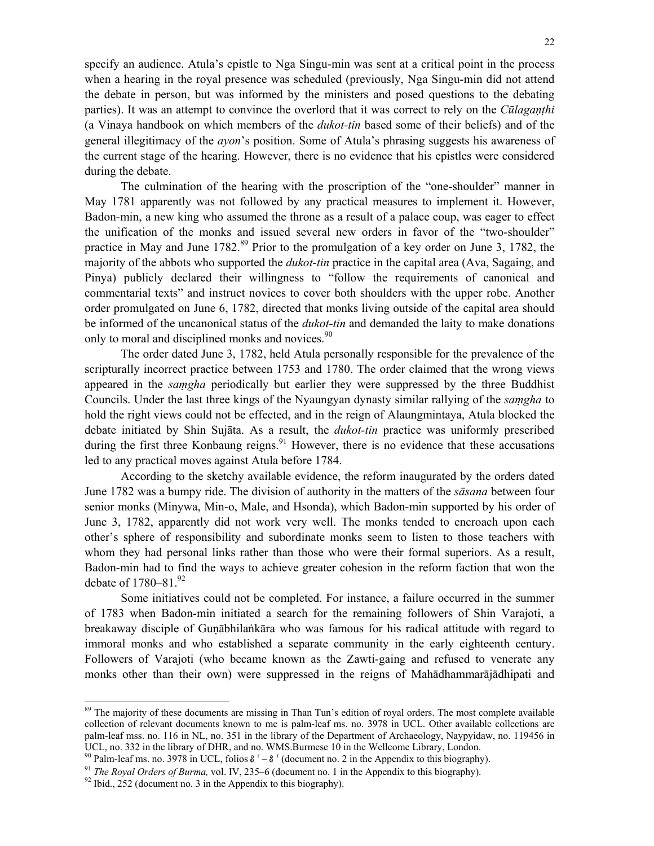specify an audience. Atula's epistle to Nga Singu-min was sent at a critical point in the process when a hearing in the royal presence was scheduled (previously, Nga Singu-min did not attend the debate in person, but was informed by the ministers and posed questions to the debating parties). It was an attempt to convince the overlord that it was correct to rely on the *Cūlagaṇṭhi* (a Vinaya handbook on which members of the *dukot-tin* based some of their beliefs) and of the general illegitimacy of the *ayon*'s position. Some of Atula's phrasing suggests his awareness of the current stage of the hearing. However, there is no evidence that his epistles were considered during the debate.

The culmination of the hearing with the proscription of the "one-shoulder" manner in May 1781 apparently was not followed by any practical measures to implement it. However, Badon-min, a new king who assumed the throne as a result of a palace coup, was eager to effect the unification of the monks and issued several new orders in favor of the "two-shoulder" practice in May and June  $1782$ <sup>89</sup> Prior to the promulgation of a key order on June 3, 1782, the majority of the abbots who supported the *dukot-tin* practice in the capital area (Ava, Sagaing, and Pinya) publicly declared their willingness to "follow the requirements of canonical and commentarial texts" and instruct novices to cover both shoulders with the upper robe. Another order promulgated on June 6, 1782, directed that monks living outside of the capital area should be informed of the uncanonical status of the *dukot-tin* and demanded the laity to make donations only to moral and disciplined monks and novices.<sup>90</sup>

The order dated June 3, 1782, held Atula personally responsible for the prevalence of the scripturally incorrect practice between 1753 and 1780. The order claimed that the wrong views appeared in the *saṃgha* periodically but earlier they were suppressed by the three Buddhist Councils. Under the last three kings of the Nyaungyan dynasty similar rallying of the *saṃgha* to hold the right views could not be effected, and in the reign of Alaungmintaya, Atula blocked the debate initiated by Shin Sujāta. As a result, the *dukot-tin* practice was uniformly prescribed during the first three Konbaung reigns.<sup>91</sup> However, there is no evidence that these accusations led to any practical moves against Atula before 1784.

According to the sketchy available evidence, the reform inaugurated by the orders dated June 1782 was a bumpy ride. The division of authority in the matters of the *sāsana* between four senior monks (Minywa, Min-o, Male, and Hsonda), which Badon-min supported by his order of June 3, 1782, apparently did not work very well. The monks tended to encroach upon each other's sphere of responsibility and subordinate monks seem to listen to those teachers with whom they had personal links rather than those who were their formal superiors. As a result, Badon-min had to find the ways to achieve greater cohesion in the reform faction that won the debate of  $1780 - 81^{92}$ 

Some initiatives could not be completed. For instance, a failure occurred in the summer of 1783 when Badon-min initiated a search for the remaining followers of Shin Varajoti, a breakaway disciple of Guṇābhilaṅkāra who was famous for his radical attitude with regard to immoral monks and who established a separate community in the early eighteenth century. Followers of Varajoti (who became known as the Zawti-gaing and refused to venerate any monks other than their own) were suppressed in the reigns of Mahādhammarājādhipati and

<sup>&</sup>lt;sup>89</sup> The majority of these documents are missing in Than Tun's edition of royal orders. The most complete available collection of relevant documents known to me is palm-leaf ms. no. 3978 in UCL. Other available collections are palm-leaf mss. no. 116 in NL, no. 351 in the library of the Department of Archaeology, Naypyidaw, no. 119456 in UCL, no. 332 in the library of DHR, and no. WMS.Burmese 10 in the Wellcome Library, London.

<sup>&</sup>lt;sup>90</sup> Palm-leaf ms. no. 3978 in UCL, folios  $\delta^{r} - \delta^{r}$ 

<sup>&</sup>lt;sup>91</sup> *The Royal Orders of Burma*, vol. IV, 235–6 (document no. 1 in the Appendix to this biography).<br><sup>92</sup> Ibid., 252 (document no. 3 in the Appendix to this biography).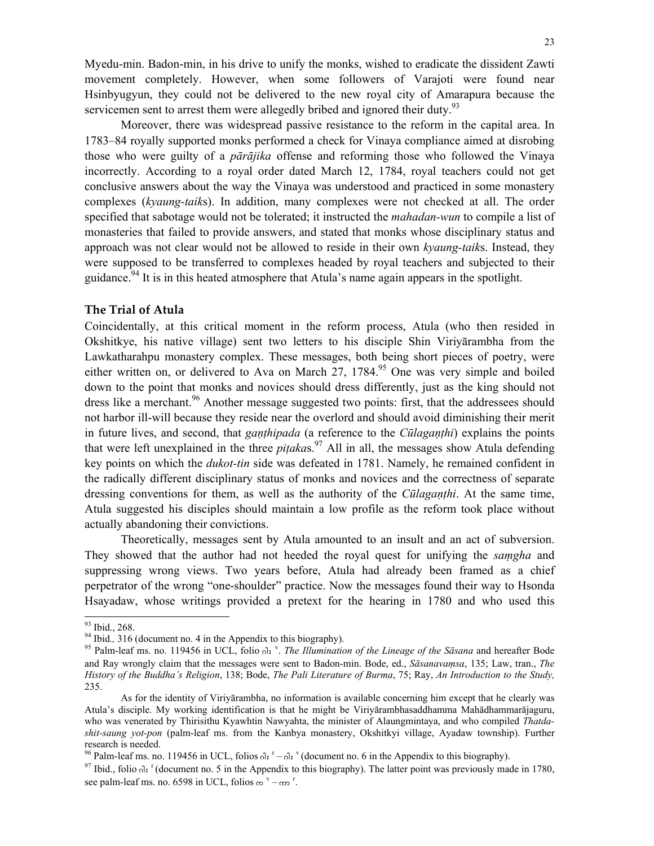Myedu-min. Badon-min, in his drive to unify the monks, wished to eradicate the dissident Zawti movement completely. However, when some followers of Varajoti were found near Hsinbyugyun, they could not be delivered to the new royal city of Amarapura because the servicemen sent to arrest them were allegedly bribed and ignored their duty.<sup>93</sup>

Moreover, there was widespread passive resistance to the reform in the capital area. In 1783–84 royally supported monks performed a check for Vinaya compliance aimed at disrobing those who were guilty of a *pārājika* offense and reforming those who followed the Vinaya incorrectly. According to a royal order dated March 12, 1784, royal teachers could not get conclusive answers about the way the Vinaya was understood and practiced in some monastery complexes (*kyaung-taik*s). In addition, many complexes were not checked at all. The order specified that sabotage would not be tolerated; it instructed the *mahadan-wun* to compile a list of monasteries that failed to provide answers, and stated that monks whose disciplinary status and approach was not clear would not be allowed to reside in their own *kyaung-taik*s. Instead, they were supposed to be transferred to complexes headed by royal teachers and subjected to their guidance.<sup>94</sup> It is in this heated atmosphere that Atula's name again appears in the spotlight.

#### **The Trial of Atula**

Coincidentally, at this critical moment in the reform process, Atula (who then resided in Okshitkye, his native village) sent two letters to his disciple Shin Viriyārambha from the Lawkatharahpu monastery complex. These messages, both being short pieces of poetry, were either written on, or delivered to Ava on March 27,  $1784<sup>95</sup>$  One was very simple and boiled down to the point that monks and novices should dress differently, just as the king should not dress like a merchant.<sup>96</sup> Another message suggested two points: first, that the addressees should not harbor ill-will because they reside near the overlord and should avoid diminishing their merit in future lives, and second, that *gaṇṭhipada* (a reference to the *Cūlagaṇṭhi*) explains the points that were left unexplained in the three *piṭaka*s.97 All in all, the messages show Atula defending key points on which the *dukot-tin* side was defeated in 1781. Namely, he remained confident in the radically different disciplinary status of monks and novices and the correctness of separate dressing conventions for them, as well as the authority of the *Cūlagaṇṭhi*. At the same time, Atula suggested his disciples should maintain a low profile as the reform took place without actually abandoning their convictions.

Theoretically, messages sent by Atula amounted to an insult and an act of subversion. They showed that the author had not heeded the royal quest for unifying the *saṃgha* and suppressing wrong views. Two years before, Atula had already been framed as a chief perpetrator of the wrong "one-shoulder" practice. Now the messages found their way to Hsonda Hsayadaw, whose writings provided a pretext for the hearing in 1780 and who used this

 $\frac{93}{94}$  Ibid., 268.<br><sup>94</sup> Ibid., 316 (document no. 4 in the Appendix to this biography).

<sup>94</sup> Ibid., 316 (document no. 4 in the Appendix to this biography).<br><sup>95</sup> Palm-leaf ms. no. 119456 in UCL, folio <sup>3</sup>; *The Illumination of the Lineage of the Sāsana* and hereafter Bode and Ray wrongly claim that the messages were sent to Badon-min. Bode, ed., *Sāsanavaṃsa*, 135; Law, tran., *The History of the Buddha's Religion*, 138; Bode, *The Pali Literature of Burma*, 75; Ray, *An Introduction to the Study,*  235.

As for the identity of Viriyārambha, no information is available concerning him except that he clearly was Atula's disciple. My working identification is that he might be Viriyārambhasaddhamma Mahādhammarājaguru, who was venerated by Thirisithu Kyawhtin Nawyahta, the minister of Alaungmintaya, and who compiled *Thatdashit-saung yot-pon* (palm-leaf ms. from the Kanbya monastery, Okshitkyi village, Ayadaw township). Further research is needed.

<sup>&</sup>lt;sup>96</sup> Palm-leaf ms. no. 119456 in UCL, folios  $\theta$ <sub>i</sub>  $r - \theta$ <sub>i</sub>,  $\theta$  (document no. 6 in the Appendix to this biography).

 $^{97}$  Ibid., folio  $\Omega$ : <sup>r</sup> (document no. 5 in the Appendix to this biography). The latter point was previously made in 1780, see palm-leaf ms. no. 6598 in UCL, folios  $\omega^v - \omega^r$ .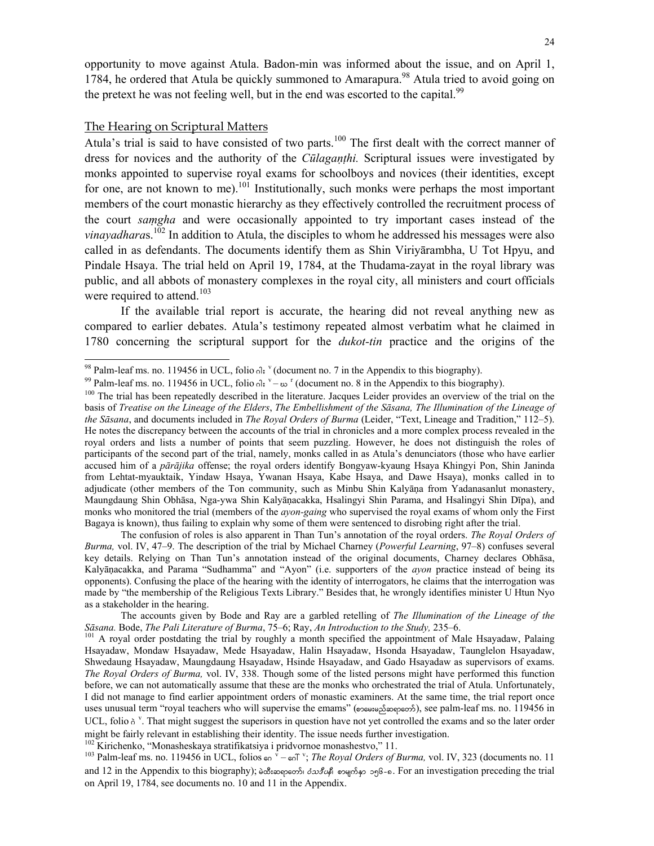opportunity to move against Atula. Badon-min was informed about the issue, and on April 1, 1784, he ordered that Atula be quickly summoned to Amarapura.<sup>98</sup> Atula tried to avoid going on the pretext he was not feeling well, but in the end was escorted to the capital.<sup>99</sup>

#### The Hearing on Scriptural Matters

l

Atula's trial is said to have consisted of two parts.<sup>100</sup> The first dealt with the correct manner of dress for novices and the authority of the *Cūlagaṇṭhi.* Scriptural issues were investigated by monks appointed to supervise royal exams for schoolboys and novices (their identities, except for one, are not known to me).<sup>101</sup> Institutionally, such monks were perhaps the most important members of the court monastic hierarchy as they effectively controlled the recruitment process of the court *saṃgha* and were occasionally appointed to try important cases instead of the *vinayadharas*.<sup>102</sup> In addition to Atula, the disciples to whom he addressed his messages were also called in as defendants. The documents identify them as Shin Viriyārambha, U Tot Hpyu, and Pindale Hsaya. The trial held on April 19, 1784, at the Thudama-zayat in the royal library was public, and all abbots of monastery complexes in the royal city, all ministers and court officials were required to attend.<sup>103</sup>

If the available trial report is accurate, the hearing did not reveal anything new as compared to earlier debates. Atula's testimony repeated almost verbatim what he claimed in 1780 concerning the scriptural support for the *dukot-tin* practice and the origins of the

 The confusion of roles is also apparent in Than Tun's annotation of the royal orders. *The Royal Orders of Burma,* vol. IV, 47–9. The description of the trial by Michael Charney (*Powerful Learning*, 97–8) confuses several key details. Relying on Than Tun's annotation instead of the original documents, Charney declares Obhāsa, Kalyāṇacakka, and Parama "Sudhamma" and "Ayon" (i.e. supporters of the *ayon* practice instead of being its opponents). Confusing the place of the hearing with the identity of interrogators, he claims that the interrogation was made by "the membership of the Religious Texts Library." Besides that, he wrongly identifies minister U Htun Nyo as a stakeholder in the hearing.

<sup>&</sup>lt;sup>98</sup> Palm-leaf ms. no. 119456 in UCL, folio  $\delta$ <sub>c</sub>; <sup>v</sup> (document no. 7 in the Appendix to this biography).<br><sup>99</sup> Palm-leaf ms. no. 119456 in UCL, folio  $\delta$ <sub>c</sub>; v –  $\infty$  <sup>r</sup> (document no. 8 in the Appendix to this biogr

<sup>&</sup>lt;sup>100</sup> The trial has been repeatedly described in the literature. Jacques Leider provides an overview of the trial on the basis of *Treatise on the Lineage of the Elders*, *The Embellishment of the Sāsana, The Illumination of the Lineage of the Sāsana*, and documents included in *The Royal Orders of Burma* (Leider, "Text, Lineage and Tradition," 112–5). He notes the discrepancy between the accounts of the trial in chronicles and a more complex process revealed in the royal orders and lists a number of points that seem puzzling. However, he does not distinguish the roles of participants of the second part of the trial, namely, monks called in as Atula's denunciators (those who have earlier accused him of a *pārājika* offense; the royal orders identify Bongyaw-kyaung Hsaya Khingyi Pon, Shin Janinda from Lehtat-myauktaik, Yindaw Hsaya, Ywanan Hsaya, Kabe Hsaya, and Dawe Hsaya), monks called in to adjudicate (other members of the Ton community, such as Minbu Shin Kalyāṇa from Yadanasanlut monastery, Maungdaung Shin Obhāsa, Nga-ywa Shin Kalyāṇacakka, Hsalingyi Shin Parama, and Hsalingyi Shin Dīpa), and monks who monitored the trial (members of the *ayon-gaing* who supervised the royal exams of whom only the First Bagaya is known), thus failing to explain why some of them were sentenced to disrobing right after the trial.

The accounts given by Bode and Ray are a garbled retelling of *The Illumination of the Lineage of the*  Sāsana. Bode, *The Pali Literature of Burma*, 75–6; Ray, *An Introduction to the Study*, 235–6.<br><sup>101</sup> A royal order postdating the trial by roughly a month specified the appointment of Male Hsayadaw, Palaing

Hsayadaw, Mondaw Hsayadaw, Mede Hsayadaw, Halin Hsayadaw, Hsonda Hsayadaw, Taunglelon Hsayadaw, Shwedaung Hsayadaw, Maungdaung Hsayadaw, Hsinde Hsayadaw, and Gado Hsayadaw as supervisors of exams. *The Royal Orders of Burma,* vol. IV, 338. Though some of the listed persons might have performed this function before, we can not automatically assume that these are the monks who orchestrated the trial of Atula. Unfortunately, I did not manage to find earlier appointment orders of monastic examiners. At the same time, the trial report once uses unusual term "royal teachers who will supervise the emams" (proses) approposes), see palm-leaf ms. no. 119456 in UCL, folio  $\delta^v$ . That might suggest the superisors in question have not yet controlled the exams and so the later order might be fairly relevant in establishing their identity. The issue needs further investigation.<br><sup>102</sup> Kirichenko, "Monasheskaya stratifikatsiya i pridvornoe monashestvo," 11.

<sup>&</sup>lt;sup>102</sup> Kirichenko, "Monasheskaya stratifikatsiya i pridvornoe monashestvo," 11.<br><sup>103</sup> Palm-leaf ms. no. 119456 in UCL, folios <sub>60</sub> <sup>v</sup> – <sub>60</sub> °; *The Royal Orders of Burma*, vol. IV, 323 (documents no. 11 and 12 in the Appendix to this biography);  $\frac{\partial \mathcal{S}}{\partial s} \frac{\partial \mathcal{S}}{\partial s}$   $\frac{\partial \mathcal{S}}{\partial s}$   $\frac{\partial \mathcal{S}}{\partial s}$   $\frac{\partial \mathcal{S}}{\partial s}$ . For an investigation preceding the trial on April 19, 1784, see documents no. 10 and 11 in the Appendix.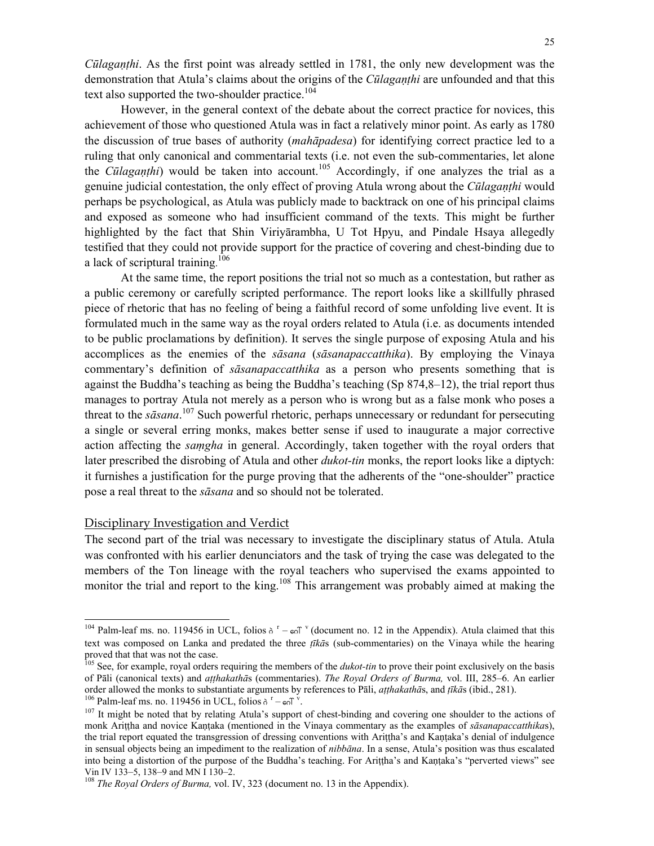*Cūlagaṇṭhi*. As the first point was already settled in 1781, the only new development was the demonstration that Atula's claims about the origins of the *Cūlagaṇṭhi* are unfounded and that this text also supported the two-shoulder practice.<sup>104</sup>

However, in the general context of the debate about the correct practice for novices, this achievement of those who questioned Atula was in fact a relatively minor point. As early as 1780 the discussion of true bases of authority (*mahāpadesa*) for identifying correct practice led to a ruling that only canonical and commentarial texts (i.e. not even the sub-commentaries, let alone the *Cūlaganthi*) would be taken into account.<sup>105</sup> Accordingly, if one analyzes the trial as a genuine judicial contestation, the only effect of proving Atula wrong about the *Cūlagaṇṭhi* would perhaps be psychological, as Atula was publicly made to backtrack on one of his principal claims and exposed as someone who had insufficient command of the texts. This might be further highlighted by the fact that Shin Viriyārambha, U Tot Hpyu, and Pindale Hsaya allegedly testified that they could not provide support for the practice of covering and chest-binding due to a lack of scriptural training.<sup>106</sup>

At the same time, the report positions the trial not so much as a contestation, but rather as a public ceremony or carefully scripted performance. The report looks like a skillfully phrased piece of rhetoric that has no feeling of being a faithful record of some unfolding live event. It is formulated much in the same way as the royal orders related to Atula (i.e. as documents intended to be public proclamations by definition). It serves the single purpose of exposing Atula and his accomplices as the enemies of the *sāsana* (*sāsanapaccatthika*). By employing the Vinaya commentary's definition of *sāsanapaccatthika* as a person who presents something that is against the Buddha's teaching as being the Buddha's teaching (Sp 874,8–12), the trial report thus manages to portray Atula not merely as a person who is wrong but as a false monk who poses a threat to the *sāsana*. 107 Such powerful rhetoric, perhaps unnecessary or redundant for persecuting a single or several erring monks, makes better sense if used to inaugurate a major corrective action affecting the *saṃgha* in general. Accordingly, taken together with the royal orders that later prescribed the disrobing of Atula and other *dukot-tin* monks, the report looks like a diptych: it furnishes a justification for the purge proving that the adherents of the "one-shoulder" practice pose a real threat to the *sāsana* and so should not be tolerated.

# Disciplinary Investigation and Verdict

l

The second part of the trial was necessary to investigate the disciplinary status of Atula. Atula was confronted with his earlier denunciators and the task of trying the case was delegated to the members of the Ton lineage with the royal teachers who supervised the exams appointed to monitor the trial and report to the king.<sup>108</sup> This arrangement was probably aimed at making the

<sup>&</sup>lt;sup>104</sup> Palm-leaf ms. no. 119456 in UCL, folios  $\delta^{r}$  –  $\epsilon$   $\delta$ <sup>v</sup> (document no. 12 in the Appendix). Atula claimed that this text was composed on Lanka and predated the three *ṭīkā*s (sub-commentaries) on the Vinaya while the hearing proved that that was not the case.

<sup>&</sup>lt;sup>05</sup> See, for example, royal orders requiring the members of the *dukot-tin* to prove their point exclusively on the basis of Pāli (canonical texts) and *aṭṭhakathā*s (commentaries). *The Royal Orders of Burma,* vol. III, 285–6. An earlier order allowed the monks to substantiate arguments by references to Pāli, *atthakathās*, and *tīkās* (ibid., 281).

<sup>&</sup>lt;sup>106</sup> Palm-leaf ms. no. 119456 in UCL, folios  $\delta^r - \epsilon \delta V$ .

<sup>&</sup>lt;sup>107</sup> It might be noted that by relating Atula's support of chest-binding and covering one shoulder to the actions of monk Ariṭṭha and novice Kaṇṭaka (mentioned in the Vinaya commentary as the examples of *sāsanapaccatthika*s), the trial report equated the transgression of dressing conventions with Ariṭṭha's and Kaṇṭaka's denial of indulgence in sensual objects being an impediment to the realization of *nibbāna*. In a sense, Atula's position was thus escalated into being a distortion of the purpose of the Buddha's teaching. For Arittha's and Kantaka's "perverted views" see Vin IV 133–5, 138–9 and MN I 130–2.<br><sup>108</sup> *The Royal Orders of Burma*, vol. IV, 323 (document no. 13 in the Appendix).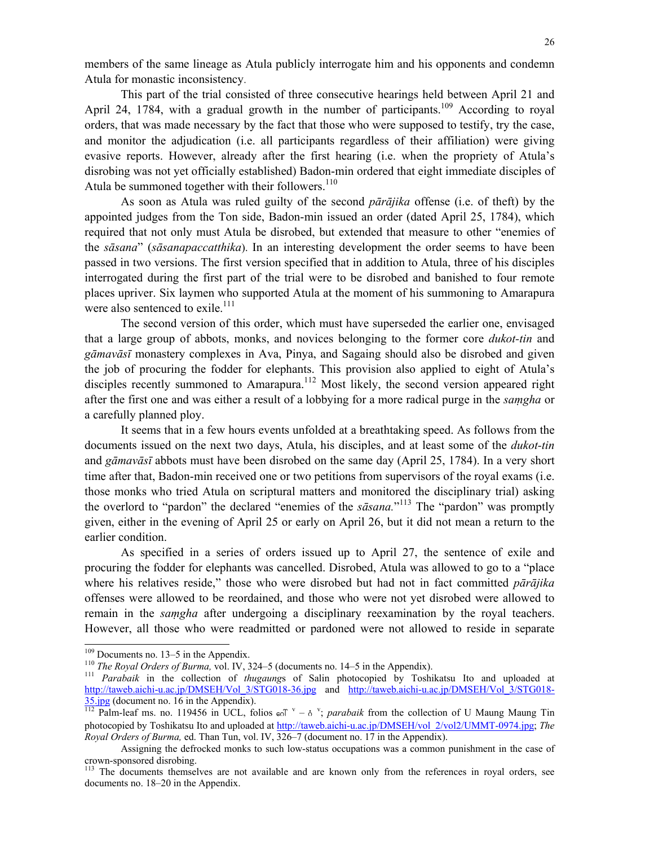members of the same lineage as Atula publicly interrogate him and his opponents and condemn Atula for monastic inconsistency.

This part of the trial consisted of three consecutive hearings held between April 21 and April 24, 1784, with a gradual growth in the number of participants.<sup>109</sup> According to royal orders, that was made necessary by the fact that those who were supposed to testify, try the case, and monitor the adjudication (i.e. all participants regardless of their affiliation) were giving evasive reports. However, already after the first hearing (i.e. when the propriety of Atula's disrobing was not yet officially established) Badon-min ordered that eight immediate disciples of Atula be summoned together with their followers.<sup>110</sup>

As soon as Atula was ruled guilty of the second *pārājika* offense (i.e. of theft) by the appointed judges from the Ton side, Badon-min issued an order (dated April 25, 1784), which required that not only must Atula be disrobed, but extended that measure to other "enemies of the *sāsana*" (*sāsanapaccatthika*). In an interesting development the order seems to have been passed in two versions. The first version specified that in addition to Atula, three of his disciples interrogated during the first part of the trial were to be disrobed and banished to four remote places upriver. Six laymen who supported Atula at the moment of his summoning to Amarapura were also sentenced to exile.<sup>111</sup>

The second version of this order, which must have superseded the earlier one, envisaged that a large group of abbots, monks, and novices belonging to the former core *dukot-tin* and *gāmavāsī* monastery complexes in Ava, Pinya, and Sagaing should also be disrobed and given the job of procuring the fodder for elephants. This provision also applied to eight of Atula's disciples recently summoned to Amarapura.<sup>112</sup> Most likely, the second version appeared right after the first one and was either a result of a lobbying for a more radical purge in the *saṃgha* or a carefully planned ploy.

It seems that in a few hours events unfolded at a breathtaking speed. As follows from the documents issued on the next two days, Atula, his disciples, and at least some of the *dukot-tin* and *gāmavāsī* abbots must have been disrobed on the same day (April 25, 1784). In a very short time after that, Badon-min received one or two petitions from supervisors of the royal exams (i.e. those monks who tried Atula on scriptural matters and monitored the disciplinary trial) asking the overlord to "pardon" the declared "enemies of the *sāsana.*" 113 The "pardon" was promptly given, either in the evening of April 25 or early on April 26, but it did not mean a return to the earlier condition.

As specified in a series of orders issued up to April 27, the sentence of exile and procuring the fodder for elephants was cancelled. Disrobed, Atula was allowed to go to a "place where his relatives reside," those who were disrobed but had not in fact committed *pārājika* offenses were allowed to be reordained, and those who were not yet disrobed were allowed to remain in the *saṃgha* after undergoing a disciplinary reexamination by the royal teachers. However, all those who were readmitted or pardoned were not allowed to reside in separate

<sup>&</sup>lt;sup>109</sup> Documents no. 13–5 in the Appendix.

The Royal Orders of Burma, vol. IV, 324–5 (documents no. 14–5 in the Appendix).<br><sup>110</sup> The Royal Orders of Burma, vol. IV, 324–5 (documents no. 14–5 in the Appendix).<br><sup>111</sup> Parabaik in the collection of *thugaungs* of Sali http://taweb.aichi-u.ac.jp/DMSEH/Vol\_3/STG018-36.jpg and http://taweb.aichi-u.ac.jp/DMSEH/Vol\_3/STG018- $\frac{35 \text{ jpg}}{112}$  (document no. 16 in the Appendix).<br><sup>112</sup> Palm-leaf ms. no. 119456 in UCL, folios  $\epsilon_0$ <sup>v</sup> –  $\delta$ <sup>v</sup>; *parabaik* from the collection of U Maung Maung Tin

photocopied by Toshikatsu Ito and uploaded at http://taweb.aichi-u.ac.jp/DMSEH/vol\_2/vol2/UMMT-0974.jpg; *The Royal Orders of Burma,* ed. Than Tun, vol. IV, 326–7 (document no. 17 in the Appendix).

Assigning the defrocked monks to such low-status occupations was a common punishment in the case of crown-sponsored disrobing.

<sup>&</sup>lt;sup>113</sup> The documents themselves are not available and are known only from the references in royal orders, see documents no. 18–20 in the Appendix.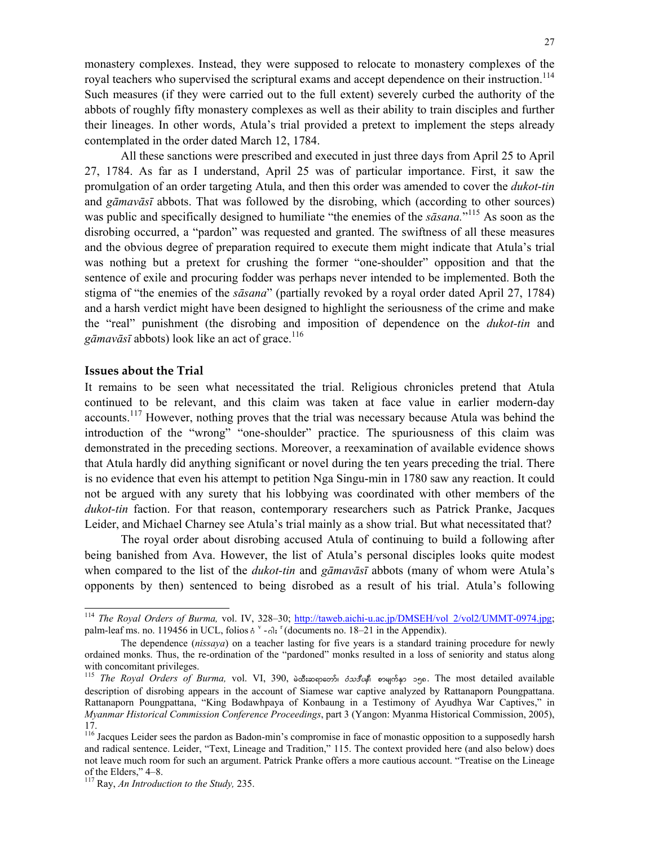monastery complexes. Instead, they were supposed to relocate to monastery complexes of the royal teachers who supervised the scriptural exams and accept dependence on their instruction.<sup>114</sup> Such measures (if they were carried out to the full extent) severely curbed the authority of the abbots of roughly fifty monastery complexes as well as their ability to train disciples and further their lineages. In other words, Atula's trial provided a pretext to implement the steps already contemplated in the order dated March 12, 1784.

All these sanctions were prescribed and executed in just three days from April 25 to April 27, 1784. As far as I understand, April 25 was of particular importance. First, it saw the promulgation of an order targeting Atula, and then this order was amended to cover the *dukot-tin* and *gāmavāsī* abbots. That was followed by the disrobing, which (according to other sources) was public and specifically designed to humiliate "the enemies of the *sāsana.*" 115 As soon as the disrobing occurred, a "pardon" was requested and granted. The swiftness of all these measures and the obvious degree of preparation required to execute them might indicate that Atula's trial was nothing but a pretext for crushing the former "one-shoulder" opposition and that the sentence of exile and procuring fodder was perhaps never intended to be implemented. Both the stigma of "the enemies of the *sāsana*" (partially revoked by a royal order dated April 27, 1784) and a harsh verdict might have been designed to highlight the seriousness of the crime and make the "real" punishment (the disrobing and imposition of dependence on the *dukot-tin* and *gāmavāsī* abbots) look like an act of grace.<sup>116</sup>

## **Issues about the Trial**

l

It remains to be seen what necessitated the trial. Religious chronicles pretend that Atula continued to be relevant, and this claim was taken at face value in earlier modern-day accounts.<sup>117</sup> However, nothing proves that the trial was necessary because Atula was behind the introduction of the "wrong" "one-shoulder" practice. The spuriousness of this claim was demonstrated in the preceding sections. Moreover, a reexamination of available evidence shows that Atula hardly did anything significant or novel during the ten years preceding the trial. There is no evidence that even his attempt to petition Nga Singu-min in 1780 saw any reaction. It could not be argued with any surety that his lobbying was coordinated with other members of the *dukot-tin* faction. For that reason, contemporary researchers such as Patrick Pranke, Jacques Leider, and Michael Charney see Atula's trial mainly as a show trial. But what necessitated that?

The royal order about disrobing accused Atula of continuing to build a following after being banished from Ava. However, the list of Atula's personal disciples looks quite modest when compared to the list of the *dukot-tin* and *gāmavāsī* abbots (many of whom were Atula's opponents by then) sentenced to being disrobed as a result of his trial. Atula's following

<sup>&</sup>lt;sup>114</sup> *The Royal Orders of Burma*, vol. IV, 328–30; http://taweb.aichi-u.ac.jp/DMSEH/vol 2/vol2/UMMT-0974.jpg; palm-leaf ms. no. 119456 in UCL, folios  $\delta^v$  - $\delta$ :  $\delta^v$  (documents no. 18–21 in the Appendix).

The dependence (*nissaya*) on a teacher lasting for five years is a standard training procedure for newly ordained monks. Thus, the re-ordination of the "pardoned" monks resulted in a loss of seniority and status along with concomitant privileges.

<sup>115</sup> *The Royal Orders of Burma*, vol. VI, 390, ba:mopoon  $\delta x \delta \phi$  magoso ogo. The most detailed available description of disrobing appears in the account of Siamese war captive analyzed by Rattanaporn Poungpattana. Rattanaporn Poungpattana, "King Bodawhpaya of Konbaung in a Testimony of Ayudhya War Captives," in *Myanmar Historical Commission Conference Proceedings*, part 3 (Yangon: Myanma Historical Commission, 2005), 17.

<sup>&</sup>lt;sup>116</sup> Jacques Leider sees the pardon as Badon-min's compromise in face of monastic opposition to a supposedly harsh and radical sentence. Leider, "Text, Lineage and Tradition," 115. The context provided here (and also below) does not leave much room for such an argument. Patrick Pranke offers a more cautious account. "Treatise on the Lineage of the Elders," 4–8.

<sup>117</sup> Ray, *An Introduction to the Study,* 235.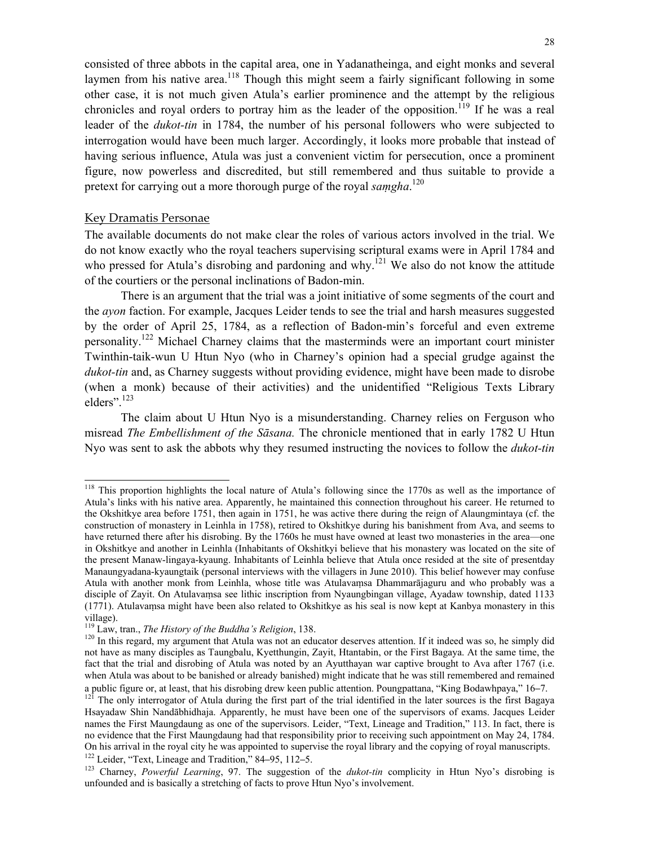consisted of three abbots in the capital area, one in Yadanatheinga, and eight monks and several laymen from his native area.<sup>118</sup> Though this might seem a fairly significant following in some other case, it is not much given Atula's earlier prominence and the attempt by the religious chronicles and royal orders to portray him as the leader of the opposition.<sup>119</sup> If he was a real leader of the *dukot-tin* in 1784, the number of his personal followers who were subjected to interrogation would have been much larger. Accordingly, it looks more probable that instead of having serious influence, Atula was just a convenient victim for persecution, once a prominent figure, now powerless and discredited, but still remembered and thus suitable to provide a pretext for carrying out a more thorough purge of the royal *saṃgha*. 120

# Key Dramatis Personae

 $\overline{a}$ 

The available documents do not make clear the roles of various actors involved in the trial. We do not know exactly who the royal teachers supervising scriptural exams were in April 1784 and who pressed for Atula's disrobing and pardoning and why.<sup>121</sup> We also do not know the attitude of the courtiers or the personal inclinations of Badon-min.

There is an argument that the trial was a joint initiative of some segments of the court and the *ayon* faction. For example, Jacques Leider tends to see the trial and harsh measures suggested by the order of April 25, 1784, as a reflection of Badon-min's forceful and even extreme personality.<sup>122</sup> Michael Charney claims that the masterminds were an important court minister Twinthin-taik-wun U Htun Nyo (who in Charney's opinion had a special grudge against the *dukot-tin* and, as Charney suggests without providing evidence, might have been made to disrobe (when a monk) because of their activities) and the unidentified "Religious Texts Library elders"<sup>123</sup>

The claim about U Htun Nyo is a misunderstanding. Charney relies on Ferguson who misread *The Embellishment of the Sāsana.* The chronicle mentioned that in early 1782 U Htun Nyo was sent to ask the abbots why they resumed instructing the novices to follow the *dukot-tin*

<sup>&</sup>lt;sup>118</sup> This proportion highlights the local nature of Atula's following since the 1770s as well as the importance of Atula's links with his native area. Apparently, he maintained this connection throughout his career. He returned to the Okshitkye area before 1751, then again in 1751, he was active there during the reign of Alaungmintaya (cf. the construction of monastery in Leinhla in 1758), retired to Okshitkye during his banishment from Ava, and seems to have returned there after his disrobing. By the 1760s he must have owned at least two monasteries in the area—one in Okshitkye and another in Leinhla (Inhabitants of Okshitkyi believe that his monastery was located on the site of the present Manaw-lingaya-kyaung. Inhabitants of Leinhla believe that Atula once resided at the site of presentday Manaungyadana-kyaungtaik (personal interviews with the villagers in June 2010). This belief however may confuse Atula with another monk from Leinhla, whose title was Atulavaṃsa Dhammarājaguru and who probably was a disciple of Zayit. On Atulavaṃsa see lithic inscription from Nyaungbingan village, Ayadaw township, dated 1133 (1771). Atulavaṃsa might have been also related to Okshitkye as his seal is now kept at Kanbya monastery in this village).<br><sup>119</sup> Law, tran., *The History of the Buddha's Religion*, 138.

<sup>&</sup>lt;sup>120</sup> In this regard, my argument that Atula was not an educator deserves attention. If it indeed was so, he simply did not have as many disciples as Taungbalu, Kyetthungin, Zayit, Htantabin, or the First Bagaya. At the same time, the fact that the trial and disrobing of Atula was noted by an Ayutthayan war captive brought to Ava after 1767 (i.e. when Atula was about to be banished or already banished) might indicate that he was still remembered and remained a public figure or, at least, that his disrobing drew keen public attention. Poungpattana, "King Bodawhpaya," 16–7.<br><sup>121</sup> The only interrogator of Atula during the first part of the trial identified in the later sources is

Hsayadaw Shin Nandābhidhaja. Apparently, he must have been one of the supervisors of exams. Jacques Leider names the First Maungdaung as one of the supervisors. Leider, "Text, Lineage and Tradition," 113. In fact, there is no evidence that the First Maungdaung had that responsibility prior to receiving such appointment on May 24, 1784. On his arrival in the royal city he was appointed to supervise the royal library and the copying of royal manuscripts. <sup>122</sup> Leider, "Text, Lineage and Tradition," 84–95, 112–5.<br><sup>123</sup> Charney, *Powerful Learning*, 97. The suggestion of the *dukot-tin* complicity in Htun Nyo's disrobing is

unfounded and is basically a stretching of facts to prove Htun Nyo's involvement.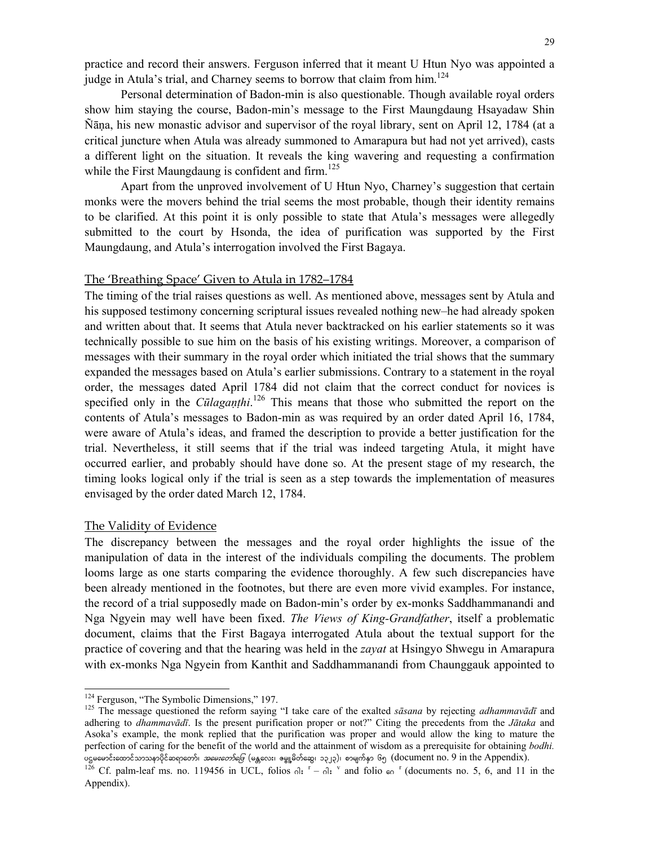practice and record their answers. Ferguson inferred that it meant U Htun Nyo was appointed a judge in Atula's trial, and Charney seems to borrow that claim from him.<sup>124</sup>

Personal determination of Badon-min is also questionable. Though available royal orders show him staying the course, Badon-min's message to the First Maungdaung Hsayadaw Shin Ñāṇa, his new monastic advisor and supervisor of the royal library, sent on April 12, 1784 (at a critical juncture when Atula was already summoned to Amarapura but had not yet arrived), casts a different light on the situation. It reveals the king wavering and requesting a confirmation while the First Maungdaung is confident and firm.<sup>125</sup>

Apart from the unproved involvement of U Htun Nyo, Charney's suggestion that certain monks were the movers behind the trial seems the most probable, though their identity remains to be clarified. At this point it is only possible to state that Atula's messages were allegedly submitted to the court by Hsonda, the idea of purification was supported by the First Maungdaung, and Atula's interrogation involved the First Bagaya.

#### The 'Breathing Space' Given to Atula in 1782–1784

The timing of the trial raises questions as well. As mentioned above, messages sent by Atula and his supposed testimony concerning scriptural issues revealed nothing new–he had already spoken and written about that. It seems that Atula never backtracked on his earlier statements so it was technically possible to sue him on the basis of his existing writings. Moreover, a comparison of messages with their summary in the royal order which initiated the trial shows that the summary expanded the messages based on Atula's earlier submissions. Contrary to a statement in the royal order, the messages dated April 1784 did not claim that the correct conduct for novices is specified only in the *Cūlagaṇṭhi*. 126 This means that those who submitted the report on the contents of Atula's messages to Badon-min as was required by an order dated April 16, 1784, were aware of Atula's ideas, and framed the description to provide a better justification for the trial. Nevertheless, it still seems that if the trial was indeed targeting Atula, it might have occurred earlier, and probably should have done so. At the present stage of my research, the timing looks logical only if the trial is seen as a step towards the implementation of measures envisaged by the order dated March 12, 1784.

### The Validity of Evidence

The discrepancy between the messages and the royal order highlights the issue of the manipulation of data in the interest of the individuals compiling the documents. The problem looms large as one starts comparing the evidence thoroughly. A few such discrepancies have been already mentioned in the footnotes, but there are even more vivid examples. For instance, the record of a trial supposedly made on Badon-min's order by ex-monks Saddhammanandi and Nga Ngyein may well have been fixed. *The Views of King-Grandfather*, itself a problematic document, claims that the First Bagaya interrogated Atula about the textual support for the practice of covering and that the hearing was held in the *zayat* at Hsingyo Shwegu in Amarapura with ex-monks Nga Ngyein from Kanthit and Saddhammanandi from Chaunggauk appointed to

<sup>&</sup>lt;sup>124</sup> Ferguson, "The Symbolic Dimensions," 197.

<sup>&</sup>lt;sup>125</sup> The message questioned the reform saying "I take care of the exalted *sāsana* by rejecting *adhammavādī* and adhering to *dhammavādī*. Is the present purification proper or not?" Citing the precedents from the *Jātaka* and Asoka's example, the monk replied that the purification was proper and would allow the king to mature the perfection of caring for the benefit of the world and the attainment of wisdom as a prerequisite for obtaining *bodhi.* y oge ေက်းေတာင္ ေက်ာက္ရွိတဲ့ ေတာင္းေက်ာက္ ကို ေနျပတာေတာ့ ေက်ာက္ေတာင္း ကားမလိုက္ပါတယ္။ ကို ကို ကို ကို ကို ကို<br>မိုင္ဆိုင္ရာ ေက်ာက္ေတာင္း ကာက္ပဲ *ကားေတာ့ေတြ (*မန္တလေး၊ ဧမ္ဖူမိတိဆွေ၊ ၁၃၂၃)၊ စာမျက်နှာ ၆၅ (document no. 9 in th

Cf. palm-leaf ms. no. 119456 in UCL, folios  $\partial$ :  $r - \partial$ :  $\partial$  and folio  $\omega$  (documents no. 5, 6, and 11 in the Appendix).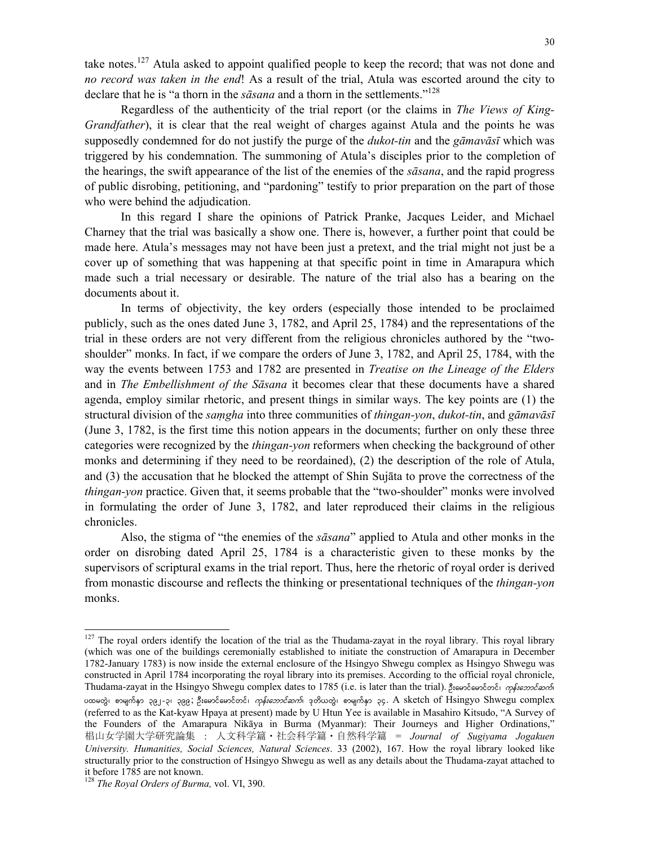take notes.<sup>127</sup> Atula asked to appoint qualified people to keep the record; that was not done and *no record was taken in the end*! As a result of the trial, Atula was escorted around the city to declare that he is "a thorn in the *sāsana* and a thorn in the settlements."128

Regardless of the authenticity of the trial report (or the claims in *The Views of King-Grandfather*), it is clear that the real weight of charges against Atula and the points he was supposedly condemned for do not justify the purge of the *dukot-tin* and the *gāmavāsī* which was triggered by his condemnation. The summoning of Atula's disciples prior to the completion of the hearings, the swift appearance of the list of the enemies of the *sāsana*, and the rapid progress of public disrobing, petitioning, and "pardoning" testify to prior preparation on the part of those who were behind the adjudication.

In this regard I share the opinions of Patrick Pranke, Jacques Leider, and Michael Charney that the trial was basically a show one. There is, however, a further point that could be made here. Atula's messages may not have been just a pretext, and the trial might not just be a cover up of something that was happening at that specific point in time in Amarapura which made such a trial necessary or desirable. The nature of the trial also has a bearing on the documents about it.

In terms of objectivity, the key orders (especially those intended to be proclaimed publicly, such as the ones dated June 3, 1782, and April 25, 1784) and the representations of the trial in these orders are not very different from the religious chronicles authored by the "twoshoulder" monks. In fact, if we compare the orders of June 3, 1782, and April 25, 1784, with the way the events between 1753 and 1782 are presented in *Treatise on the Lineage of the Elders* and in *The Embellishment of the Sāsana* it becomes clear that these documents have a shared agenda, employ similar rhetoric, and present things in similar ways. The key points are (1) the structural division of the *saṃgha* into three communities of *thingan-yon*, *dukot-tin*, and *gāmavāsī* (June 3, 1782, is the first time this notion appears in the documents; further on only these three categories were recognized by the *thingan-yon* reformers when checking the background of other monks and determining if they need to be reordained), (2) the description of the role of Atula, and (3) the accusation that he blocked the attempt of Shin Sujāta to prove the correctness of the *thingan-yon* practice. Given that, it seems probable that the "two-shoulder" monks were involved in formulating the order of June 3, 1782, and later reproduced their claims in the religious chronicles.

Also, the stigma of "the enemies of the *sāsana*" applied to Atula and other monks in the order on disrobing dated April 25, 1784 is a characteristic given to these monks by the supervisors of scriptural exams in the trial report. Thus, here the rhetoric of royal order is derived from monastic discourse and reflects the thinking or presentational techniques of the *thingan-yon* monks.

 $127$  The royal orders identify the location of the trial as the Thudama-zayat in the royal library. This royal library (which was one of the buildings ceremonially established to initiate the construction of Amarapura in December 1782-January 1783) is now inside the external enclosure of the Hsingyo Shwegu complex as Hsingyo Shwegu was constructed in April 1784 incorporating the royal library into its premises. According to the official royal chronicle, Thudama-zayat in the Hsingyo Shwegu complex dates to 1785 (i.e. is later than the trial). Steedseeds of metroscodi ပထမတွဲ၊ စာမျက်နှာ ၃၉၂-၃၊ ၃၉၉; ဦးမောင်မောင်တင်၊ *ကုန်းဘောင်ဆက်*၊ ဒုတိယတွဲ၊ စာမျက်နှာ ၃၄. A sketch of Hsingyo Shwegu complex (referred to as the Kat-kyaw Hpaya at present) made by U Htun Yee is available in Masahiro Kitsudo, "A Survey of the Founders of the Amarapura Nikāya in Burma (Myanmar): Their Journeys and Higher Ordinations," 椙山女学園大学研究論集 : 人文科学篇・社会科学篇・自然科学篇 = *Journal of Sugiyama Jogakuen University. Humanities, Social Sciences, Natural Sciences*. 33 (2002), 167. How the royal library looked like structurally prior to the construction of Hsingyo Shwegu as well as any details about the Thudama-zayat attached to it before 1785 are not known.

<sup>128</sup> *The Royal Orders of Burma,* vol. VI, 390.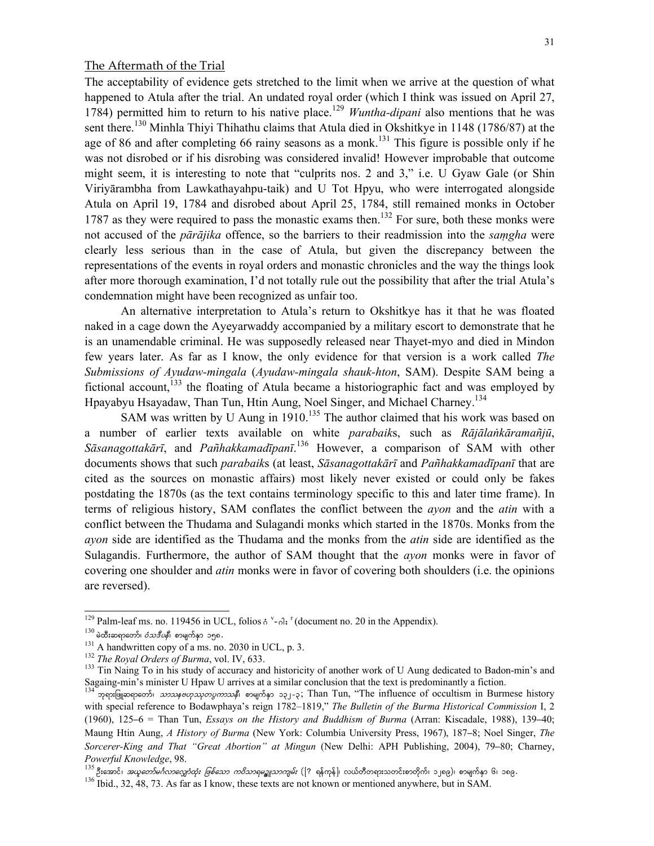# The Aftermath of the Trial

The acceptability of evidence gets stretched to the limit when we arrive at the question of what happened to Atula after the trial. An undated royal order (which I think was issued on April 27, 1784) permitted him to return to his native place.<sup>129</sup> *Wuntha-dipani* also mentions that he was sent there.<sup>130</sup> Minhla Thiyi Thihathu claims that Atula died in Okshitkye in 1148 (1786/87) at the age of 86 and after completing 66 rainy seasons as a monk.<sup>131</sup> This figure is possible only if he was not disrobed or if his disrobing was considered invalid! However improbable that outcome might seem, it is interesting to note that "culprits nos. 2 and 3," i.e. U Gyaw Gale (or Shin Viriyārambha from Lawkathayahpu-taik) and U Tot Hpyu, who were interrogated alongside Atula on April 19, 1784 and disrobed about April 25, 1784, still remained monks in October 1787 as they were required to pass the monastic exams then.<sup>132</sup> For sure, both these monks were not accused of the *pārājika* offence, so the barriers to their readmission into the *saṃgha* were clearly less serious than in the case of Atula, but given the discrepancy between the representations of the events in royal orders and monastic chronicles and the way the things look after more thorough examination, I'd not totally rule out the possibility that after the trial Atula's condemnation might have been recognized as unfair too.

An alternative interpretation to Atula's return to Okshitkye has it that he was floated naked in a cage down the Ayeyarwaddy accompanied by a military escort to demonstrate that he is an unamendable criminal. He was supposedly released near Thayet-myo and died in Mindon few years later. As far as I know, the only evidence for that version is a work called *The Submissions of Ayudaw-mingala* (*Ayudaw-mingala shauk-hton*, SAM). Despite SAM being a fictional account,<sup>133</sup> the floating of Atula became a historiographic fact and was employed by Hpayabyu Hsayadaw, Than Tun, Htin Aung, Noel Singer, and Michael Charney.134

SAM was written by U Aung in  $1910$ .<sup>135</sup> The author claimed that his work was based on a number of earlier texts available on white *parabaik*s, such as *Rājālaṅkāramañjū*, *Sāsanagottakārī*, and *Pañhakkamadīpanī*. 136 However, a comparison of SAM with other documents shows that such *parabaik*s (at least, *Sāsanagottakārī* and *Pañhakkamadīpanī* that are cited as the sources on monastic affairs) most likely never existed or could only be fakes postdating the 1870s (as the text contains terminology specific to this and later time frame). In terms of religious history, SAM conflates the conflict between the *ayon* and the *atin* with a conflict between the Thudama and Sulagandi monks which started in the 1870s. Monks from the *ayon* side are identified as the Thudama and the monks from the *atin* side are identified as the Sulagandis. Furthermore, the author of SAM thought that the *ayon* monks were in favor of covering one shoulder and *atin* monks were in favor of covering both shoulders (i.e. the opinions are reversed).

 $129$  Palm-leaf ms. no. 119456 in UCL, folios  $\phi$ <sup>v</sup>

<sup>130</sup> do&sapeor is designed in the set of the set of the set of the set of the set of the set of Burma, vol. IV, 633.<br>
131 A handwritten copy of a ms. no. 2030 in UCL, p. 3.<br>
132 The Royal Orders of Burma, vol. IV, 633.<br>
133 Sagaing-min's minister U Hpaw U arrives at a similar conclusion that the text is predominantly a fiction.

ဘုရားဖြူဆရာတော်၊ *သာဿနဗဟုဿုတပ္မကာသနီ*၊ စာမျက်နှာ ၁၃၂-၃; Than Tun, "The influence of occultism in Burmese history with special reference to Bodawphaya's reign 1782–1819," *The Bulletin of the Burma Historical Commission* I, 2 (1960), 125–6 = Than Tun, *Essays on the History and Buddhism of Burma* (Arran: Kiscadale, 1988), 139–40; Maung Htin Aung, *A History of Burma* (New York: Columbia University Press, 1967), 187–8; Noel Singer, *The Sorcerer-King and That "Great Abortion" at Mingun* (New Delhi: APH Publishing, 2004), 79–80; Charney, *Powerful Knowledge,* 98.<br><sup>135</sup> ဦးအောင်၊ *အယူတော်မင်္ဂလာလျှော်ထုံး ဖြစ်သော ကဝိသာရမဥ္စူသာကျမ်း* ([? ရန်ကုန်]၊ လယ်တီတရားသတင်းစာတိုက်၊ ၁၂၈၉)၊ စာမျက်နှာ ၆၊ ၁၈၉.<br><sup>136</sup> Ibid., 32, 48, 73. As far as I know, these texts are not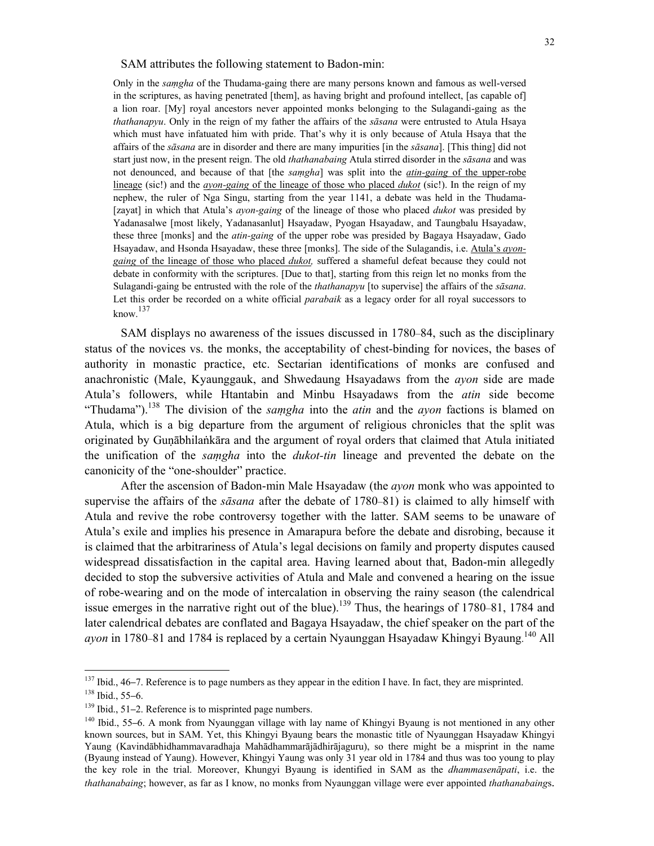SAM attributes the following statement to Badon-min:

Only in the *saṃgha* of the Thudama-gaing there are many persons known and famous as well-versed in the scriptures, as having penetrated [them], as having bright and profound intellect, [as capable of] a lion roar. [My] royal ancestors never appointed monks belonging to the Sulagandi-gaing as the *thathanapyu*. Only in the reign of my father the affairs of the *sāsana* were entrusted to Atula Hsaya which must have infatuated him with pride. That's why it is only because of Atula Hsaya that the affairs of the *sāsana* are in disorder and there are many impurities [in the *sāsana*]. [This thing] did not start just now, in the present reign. The old *thathanabaing* Atula stirred disorder in the *sāsana* and was not denounced, and because of that [the *saṃgha*] was split into the *atin-gaing* of the upper-robe lineage (sic!) and the *ayon-gaing* of the lineage of those who placed *dukot* (sic!). In the reign of my nephew, the ruler of Nga Singu, starting from the year 1141, a debate was held in the Thudama- [zayat] in which that Atula's *ayon-gaing* of the lineage of those who placed *dukot* was presided by Yadanasalwe [most likely, Yadanasanlut] Hsayadaw, Pyogan Hsayadaw, and Taungbalu Hsayadaw, these three [monks] and the *atin-gaing* of the upper robe was presided by Bagaya Hsayadaw, Gado Hsayadaw, and Hsonda Hsayadaw, these three [monks]. The side of the Sulagandis, i.e. Atula's *ayongaing* of the lineage of those who placed *dukot,* suffered a shameful defeat because they could not debate in conformity with the scriptures. [Due to that], starting from this reign let no monks from the Sulagandi-gaing be entrusted with the role of the *thathanapyu* [to supervise] the affairs of the *sāsana*. Let this order be recorded on a white official *parabaik* as a legacy order for all royal successors to  $k$ now.<sup>137</sup>

SAM displays no awareness of the issues discussed in 1780–84, such as the disciplinary status of the novices vs. the monks, the acceptability of chest-binding for novices, the bases of authority in monastic practice, etc. Sectarian identifications of monks are confused and anachronistic (Male, Kyaunggauk, and Shwedaung Hsayadaws from the *ayon* side are made Atula's followers, while Htantabin and Minbu Hsayadaws from the *atin* side become "Thudama").<sup>138</sup> The division of the *samgha* into the *atin* and the *ayon* factions is blamed on Atula, which is a big departure from the argument of religious chronicles that the split was originated by Guṇābhilaṅkāra and the argument of royal orders that claimed that Atula initiated the unification of the *saṃgha* into the *dukot-tin* lineage and prevented the debate on the canonicity of the "one-shoulder" practice.

After the ascension of Badon-min Male Hsayadaw (the *ayon* monk who was appointed to supervise the affairs of the *sāsana* after the debate of 1780–81) is claimed to ally himself with Atula and revive the robe controversy together with the latter. SAM seems to be unaware of Atula's exile and implies his presence in Amarapura before the debate and disrobing, because it is claimed that the arbitrariness of Atula's legal decisions on family and property disputes caused widespread dissatisfaction in the capital area. Having learned about that, Badon-min allegedly decided to stop the subversive activities of Atula and Male and convened a hearing on the issue of robe-wearing and on the mode of intercalation in observing the rainy season (the calendrical issue emerges in the narrative right out of the blue).<sup>139</sup> Thus, the hearings of 1780–81, 1784 and later calendrical debates are conflated and Bagaya Hsayadaw, the chief speaker on the part of the ayon in 1780–81 and 1784 is replaced by a certain Nyaunggan Hsayadaw Khingyi Byaung.<sup>140</sup> All

<sup>&</sup>lt;sup>137</sup> Ibid., 46–7. Reference is to page numbers as they appear in the edition I have. In fact, they are misprinted.<br><sup>138</sup> Ibid., 55–6.<br><sup>139</sup> Ibid., 51–2. Reference is to misprinted page numbers.<br><sup>140</sup> Ibid., 55–6. A monk

known sources, but in SAM. Yet, this Khingyi Byaung bears the monastic title of Nyaunggan Hsayadaw Khingyi Yaung (Kavindābhidhammavaradhaja Mahādhammarājādhirājaguru), so there might be a misprint in the name (Byaung instead of Yaung). However, Khingyi Yaung was only 31 year old in 1784 and thus was too young to play the key role in the trial. Moreover, Khungyi Byaung is identified in SAM as the *dhammasenāpati*, i.e. the *thathanabaing*; however, as far as I know, no monks from Nyaunggan village were ever appointed *thathanabaing*s.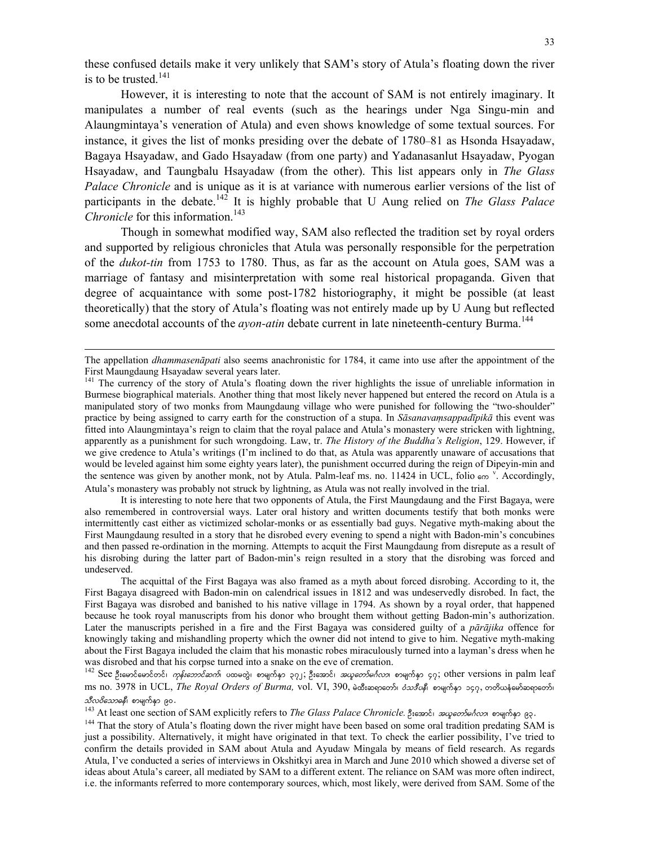these confused details make it very unlikely that SAM's story of Atula's floating down the river is to be trusted. $141$ 

However, it is interesting to note that the account of SAM is not entirely imaginary. It manipulates a number of real events (such as the hearings under Nga Singu-min and Alaungmintaya's veneration of Atula) and even shows knowledge of some textual sources. For instance, it gives the list of monks presiding over the debate of 1780–81 as Hsonda Hsayadaw, Bagaya Hsayadaw, and Gado Hsayadaw (from one party) and Yadanasanlut Hsayadaw, Pyogan Hsayadaw, and Taungbalu Hsayadaw (from the other). This list appears only in *The Glass Palace Chronicle* and is unique as it is at variance with numerous earlier versions of the list of participants in the debate.<sup>142</sup> It is highly probable that U Aung relied on *The Glass Palace Chronicle* for this information.<sup>143</sup>

Though in somewhat modified way, SAM also reflected the tradition set by royal orders and supported by religious chronicles that Atula was personally responsible for the perpetration of the *dukot-tin* from 1753 to 1780. Thus, as far as the account on Atula goes, SAM was a marriage of fantasy and misinterpretation with some real historical propaganda. Given that degree of acquaintance with some post-1782 historiography, it might be possible (at least theoretically) that the story of Atula's floating was not entirely made up by U Aung but reflected some anecdotal accounts of the *ayon-atin* debate current in late nineteenth-century Burma.<sup>144</sup>

 $\overline{a}$ 

 It is interesting to note here that two opponents of Atula, the First Maungdaung and the First Bagaya, were also remembered in controversial ways. Later oral history and written documents testify that both monks were intermittently cast either as victimized scholar-monks or as essentially bad guys. Negative myth-making about the First Maungdaung resulted in a story that he disrobed every evening to spend a night with Badon-min's concubines and then passed re-ordination in the morning. Attempts to acquit the First Maungdaung from disrepute as a result of his disrobing during the latter part of Badon-min's reign resulted in a story that the disrobing was forced and undeserved.

 The acquittal of the First Bagaya was also framed as a myth about forced disrobing. According to it, the First Bagaya disagreed with Badon-min on calendrical issues in 1812 and was undeservedly disrobed. In fact, the First Bagaya was disrobed and banished to his native village in 1794. As shown by a royal order, that happened because he took royal manuscripts from his donor who brought them without getting Badon-min's authorization. Later the manuscripts perished in a fire and the First Bagaya was considered guilty of a *pārājika* offence for knowingly taking and mishandling property which the owner did not intend to give to him. Negative myth-making about the First Bagaya included the claim that his monastic robes miraculously turned into a layman's dress when he was disrobed and that his corpse turned into a snake on the eve of cremation.

142 See ဦးမောင်မောင်တင်၊ *ကုန်းဘောင်ဆက်*၊ ပထမတွဲ၊ စာမျက်နှာ ၃၇၂; ဦးအောင်၊ *အယူတော်မင်္ဂလာ*၊ စာမျက်နှာ ၄၇; other versions in palm leaf ms no. 3978 in UCL, *The Royal Orders of Burma*, vol. VI, 390, မဲထီးဆရာတော်၊ *ဝံသဒီပနီ*၊ စာမျက်နှာ ၁၄၇, တတိယနံမော်ဆရာတော်၊

*သီလဝိသောဓနီ*၊ စာမျက်နှာ ၉၀.<br><sup>143</sup> At least one section of SAM explicitly refers to *The Glass Palace Chronicle*. ဦးအောင်၊ *အယူတော်မင်္ဂလာ*၊ စာမျက်နှာ ၉၃.<br><sup>143</sup> That the story of Atula's floating down the river might have just a possibility. Alternatively, it might have originated in that text. To check the earlier possibility, I've tried to confirm the details provided in SAM about Atula and Ayudaw Mingala by means of field research. As regards Atula, I've conducted a series of interviews in Okshitkyi area in March and June 2010 which showed a diverse set of ideas about Atula's career, all mediated by SAM to a different extent. The reliance on SAM was more often indirect, i.e. the informants referred to more contemporary sources, which, most likely, were derived from SAM. Some of the

The appellation *dhammasenāpati* also seems anachronistic for 1784, it came into use after the appointment of the First Maungdaung Hsayadaw several years later.

<sup>&</sup>lt;sup>141</sup> The currency of the story of Atula's floating down the river highlights the issue of unreliable information in Burmese biographical materials. Another thing that most likely never happened but entered the record on Atula is a manipulated story of two monks from Maungdaung village who were punished for following the "two-shoulder" practice by being assigned to carry earth for the construction of a stupa. In *Sāsanavaṃsappadīpikā* this event was fitted into Alaungmintaya's reign to claim that the royal palace and Atula's monastery were stricken with lightning, apparently as a punishment for such wrongdoing. Law, tr. *The History of the Buddha's Religion*, 129. However, if we give credence to Atula's writings (I'm inclined to do that, as Atula was apparently unaware of accusations that would be leveled against him some eighty years later), the punishment occurred during the reign of Dipeyin-min and the sentence was given by another monk, not by Atula. Palm-leaf ms. no. 11424 in UCL, folio  $\epsilon \infty$  <sup>v</sup>. Accordingly, Atula's monastery was probably not struck by lightning, as Atula was not really involved in the trial.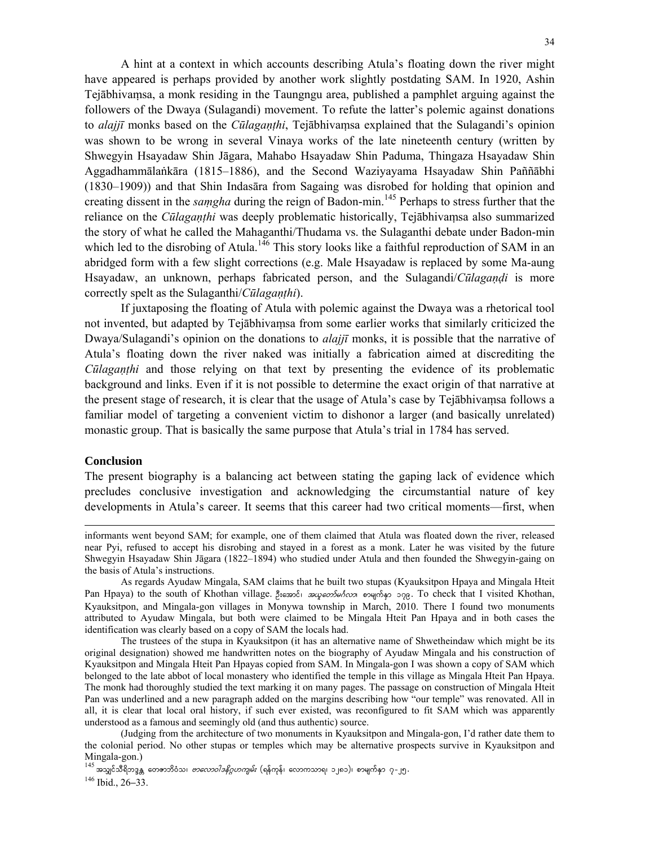A hint at a context in which accounts describing Atula's floating down the river might have appeared is perhaps provided by another work slightly postdating SAM. In 1920, Ashin Tejābhivaṃsa, a monk residing in the Taungngu area, published a pamphlet arguing against the followers of the Dwaya (Sulagandi) movement. To refute the latter's polemic against donations to *alajjī* monks based on the *Cūlagaṇṭhi*, Tejābhivaṃsa explained that the Sulagandi's opinion was shown to be wrong in several Vinaya works of the late nineteenth century (written by Shwegyin Hsayadaw Shin Jāgara, Mahabo Hsayadaw Shin Paduma, Thingaza Hsayadaw Shin Aggadhammālaṅkāra (1815–1886), and the Second Waziyayama Hsayadaw Shin Paññābhi (1830–1909)) and that Shin Indasāra from Sagaing was disrobed for holding that opinion and creating dissent in the *saṃgha* during the reign of Badon-min.145 Perhaps to stress further that the reliance on the *Cūlagaṇṭhi* was deeply problematic historically, Tejābhivaṃsa also summarized the story of what he called the Mahaganthi/Thudama vs. the Sulaganthi debate under Badon-min which led to the disrobing of Atula.<sup>146</sup> This story looks like a faithful reproduction of SAM in an abridged form with a few slight corrections (e.g. Male Hsayadaw is replaced by some Ma-aung Hsayadaw, an unknown, perhaps fabricated person, and the Sulagandi/*Cūlagaṇḍi* is more correctly spelt as the Sulaganthi/*Cūlagaṇṭhi*).

If juxtaposing the floating of Atula with polemic against the Dwaya was a rhetorical tool not invented, but adapted by Tejābhivaṃsa from some earlier works that similarly criticized the Dwaya/Sulagandi's opinion on the donations to *alajjī* monks, it is possible that the narrative of Atula's floating down the river naked was initially a fabrication aimed at discrediting the *Cūlagaṇṭhi* and those relying on that text by presenting the evidence of its problematic background and links. Even if it is not possible to determine the exact origin of that narrative at the present stage of research, it is clear that the usage of Atula's case by Tejābhivaṃsa follows a familiar model of targeting a convenient victim to dishonor a larger (and basically unrelated) monastic group. That is basically the same purpose that Atula's trial in 1784 has served.

### **Conclusion**

 $\overline{a}$ 

The present biography is a balancing act between stating the gaping lack of evidence which precludes conclusive investigation and acknowledging the circumstantial nature of key developments in Atula's career. It seems that this career had two critical moments—first, when

 The trustees of the stupa in Kyauksitpon (it has an alternative name of Shwetheindaw which might be its original designation) showed me handwritten notes on the biography of Ayudaw Mingala and his construction of Kyauksitpon and Mingala Hteit Pan Hpayas copied from SAM. In Mingala-gon I was shown a copy of SAM which belonged to the late abbot of local monastery who identified the temple in this village as Mingala Hteit Pan Hpaya. The monk had thoroughly studied the text marking it on many pages. The passage on construction of Mingala Hteit Pan was underlined and a new paragraph added on the margins describing how "our temple" was renovated. All in all, it is clear that local oral history, if such ever existed, was reconfigured to fit SAM which was apparently understood as a famous and seemingly old (and thus authentic) source.

 (Judging from the architecture of two monuments in Kyauksitpon and Mingala-gon, I'd rather date them to the colonial period. No other stupas or temples which may be alternative prospects survive in Kyauksitpon and Mingala-gon.)

informants went beyond SAM; for example, one of them claimed that Atula was floated down the river, released near Pyi, refused to accept his disrobing and stayed in a forest as a monk. Later he was visited by the future Shwegyin Hsayadaw Shin Jāgara (1822–1894) who studied under Atula and then founded the Shwegyin-gaing on the basis of Atula's instructions.

As regards Ayudaw Mingala, SAM claims that he built two stupas (Kyauksitpon Hpaya and Mingala Hteit Pan Hpaya) to the south of Khothan village. OD;atmif? t,lawmfr\*Fvm? pmrsufESm 179. To check that I visited Khothan, Kyauksitpon, and Mingala-gon villages in Monywa township in March, 2010. There I found two monuments attributed to Ayudaw Mingala, but both were claimed to be Mingala Hteit Pan Hpaya and in both cases the identification was clearly based on a copy of SAM the locals had.

<sup>&</sup>lt;sup>145</sup> အသျှင်သီရိဘဒ္ဒန္တ တေဇာဘိဝံသ၊ *ဗာလောဝါဒနိဂ္ဂဟကျမ်း* (ရန်ကုန်၊ လောကသာရ၊ ၁၂၈၁)၊ စာမျက်နှာ ၇-၂၅.<br><sup>146</sup> Ibid., 26–33.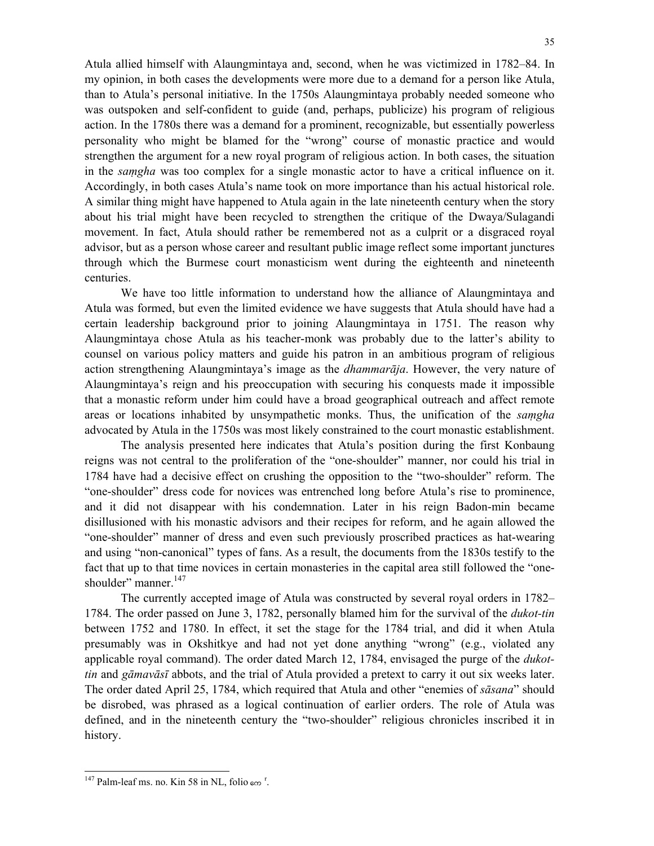Atula allied himself with Alaungmintaya and, second, when he was victimized in 1782–84. In my opinion, in both cases the developments were more due to a demand for a person like Atula, than to Atula's personal initiative. In the 1750s Alaungmintaya probably needed someone who was outspoken and self-confident to guide (and, perhaps, publicize) his program of religious action. In the 1780s there was a demand for a prominent, recognizable, but essentially powerless personality who might be blamed for the "wrong" course of monastic practice and would strengthen the argument for a new royal program of religious action. In both cases, the situation in the *saṃgha* was too complex for a single monastic actor to have a critical influence on it. Accordingly, in both cases Atula's name took on more importance than his actual historical role. A similar thing might have happened to Atula again in the late nineteenth century when the story about his trial might have been recycled to strengthen the critique of the Dwaya/Sulagandi movement. In fact, Atula should rather be remembered not as a culprit or a disgraced royal advisor, but as a person whose career and resultant public image reflect some important junctures through which the Burmese court monasticism went during the eighteenth and nineteenth centuries.

 We have too little information to understand how the alliance of Alaungmintaya and Atula was formed, but even the limited evidence we have suggests that Atula should have had a certain leadership background prior to joining Alaungmintaya in 1751. The reason why Alaungmintaya chose Atula as his teacher-monk was probably due to the latter's ability to counsel on various policy matters and guide his patron in an ambitious program of religious action strengthening Alaungmintaya's image as the *dhammarāja*. However, the very nature of Alaungmintaya's reign and his preoccupation with securing his conquests made it impossible that a monastic reform under him could have a broad geographical outreach and affect remote areas or locations inhabited by unsympathetic monks. Thus, the unification of the *saṃgha*  advocated by Atula in the 1750s was most likely constrained to the court monastic establishment.

The analysis presented here indicates that Atula's position during the first Konbaung reigns was not central to the proliferation of the "one-shoulder" manner, nor could his trial in 1784 have had a decisive effect on crushing the opposition to the "two-shoulder" reform. The "one-shoulder" dress code for novices was entrenched long before Atula's rise to prominence, and it did not disappear with his condemnation. Later in his reign Badon-min became disillusioned with his monastic advisors and their recipes for reform, and he again allowed the "one-shoulder" manner of dress and even such previously proscribed practices as hat-wearing and using "non-canonical" types of fans. As a result, the documents from the 1830s testify to the fact that up to that time novices in certain monasteries in the capital area still followed the "oneshoulder" manner.<sup>147</sup>

The currently accepted image of Atula was constructed by several royal orders in 1782– 1784. The order passed on June 3, 1782, personally blamed him for the survival of the *dukot-tin* between 1752 and 1780. In effect, it set the stage for the 1784 trial, and did it when Atula presumably was in Okshitkye and had not yet done anything "wrong" (e.g., violated any applicable royal command). The order dated March 12, 1784, envisaged the purge of the *dukottin* and *gāmavāsī* abbots, and the trial of Atula provided a pretext to carry it out six weeks later. The order dated April 25, 1784, which required that Atula and other "enemies of *sāsana*" should be disrobed, was phrased as a logical continuation of earlier orders. The role of Atula was defined, and in the nineteenth century the "two-shoulder" religious chronicles inscribed it in history.

<sup>&</sup>lt;sup>147</sup> Palm-leaf ms. no. Kin 58 in NL, folio  $\epsilon \infty$ <sup>r</sup>.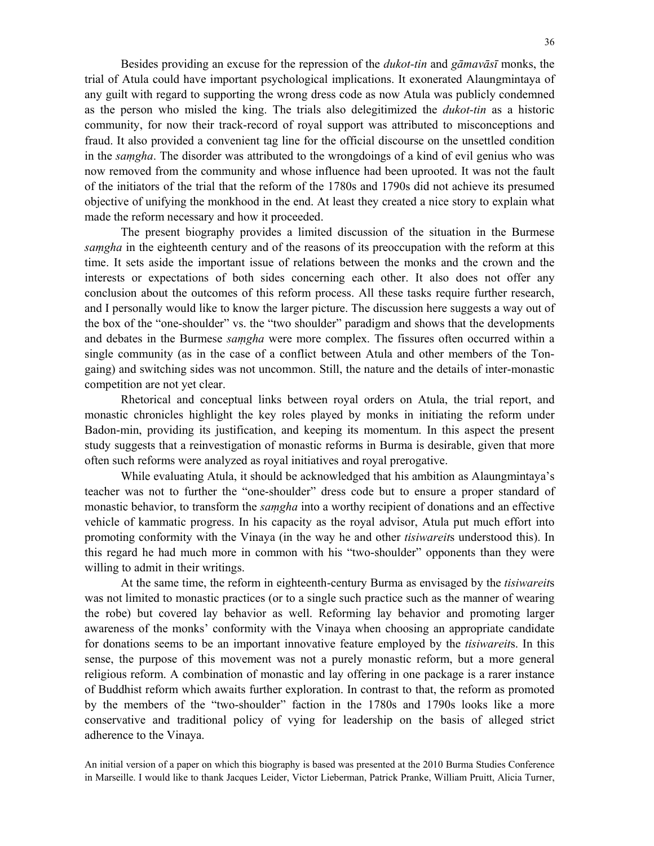Besides providing an excuse for the repression of the *dukot-tin* and *gāmavāsī* monks, the trial of Atula could have important psychological implications. It exonerated Alaungmintaya of any guilt with regard to supporting the wrong dress code as now Atula was publicly condemned as the person who misled the king. The trials also delegitimized the *dukot-tin* as a historic community, for now their track-record of royal support was attributed to misconceptions and fraud. It also provided a convenient tag line for the official discourse on the unsettled condition in the *saṃgha*. The disorder was attributed to the wrongdoings of a kind of evil genius who was now removed from the community and whose influence had been uprooted. It was not the fault of the initiators of the trial that the reform of the 1780s and 1790s did not achieve its presumed objective of unifying the monkhood in the end. At least they created a nice story to explain what made the reform necessary and how it proceeded.

The present biography provides a limited discussion of the situation in the Burmese *saṃgha* in the eighteenth century and of the reasons of its preoccupation with the reform at this time. It sets aside the important issue of relations between the monks and the crown and the interests or expectations of both sides concerning each other. It also does not offer any conclusion about the outcomes of this reform process. All these tasks require further research, and I personally would like to know the larger picture. The discussion here suggests a way out of the box of the "one-shoulder" vs. the "two shoulder" paradigm and shows that the developments and debates in the Burmese *saṃgha* were more complex. The fissures often occurred within a single community (as in the case of a conflict between Atula and other members of the Tongaing) and switching sides was not uncommon. Still, the nature and the details of inter-monastic competition are not yet clear.

Rhetorical and conceptual links between royal orders on Atula, the trial report, and monastic chronicles highlight the key roles played by monks in initiating the reform under Badon-min, providing its justification, and keeping its momentum. In this aspect the present study suggests that a reinvestigation of monastic reforms in Burma is desirable, given that more often such reforms were analyzed as royal initiatives and royal prerogative.

While evaluating Atula, it should be acknowledged that his ambition as Alaungmintaya's teacher was not to further the "one-shoulder" dress code but to ensure a proper standard of monastic behavior, to transform the *saṃgha* into a worthy recipient of donations and an effective vehicle of kammatic progress. In his capacity as the royal advisor, Atula put much effort into promoting conformity with the Vinaya (in the way he and other *tisiwareit*s understood this). In this regard he had much more in common with his "two-shoulder" opponents than they were willing to admit in their writings.

At the same time, the reform in eighteenth-century Burma as envisaged by the *tisiwareit*s was not limited to monastic practices (or to a single such practice such as the manner of wearing the robe) but covered lay behavior as well. Reforming lay behavior and promoting larger awareness of the monks' conformity with the Vinaya when choosing an appropriate candidate for donations seems to be an important innovative feature employed by the *tisiwareit*s. In this sense, the purpose of this movement was not a purely monastic reform, but a more general religious reform. A combination of monastic and lay offering in one package is a rarer instance of Buddhist reform which awaits further exploration. In contrast to that, the reform as promoted by the members of the "two-shoulder" faction in the 1780s and 1790s looks like a more conservative and traditional policy of vying for leadership on the basis of alleged strict adherence to the Vinaya.

An initial version of a paper on which this biography is based was presented at the 2010 Burma Studies Conference in Marseille. I would like to thank Jacques Leider, Victor Lieberman, Patrick Pranke, William Pruitt, Alicia Turner,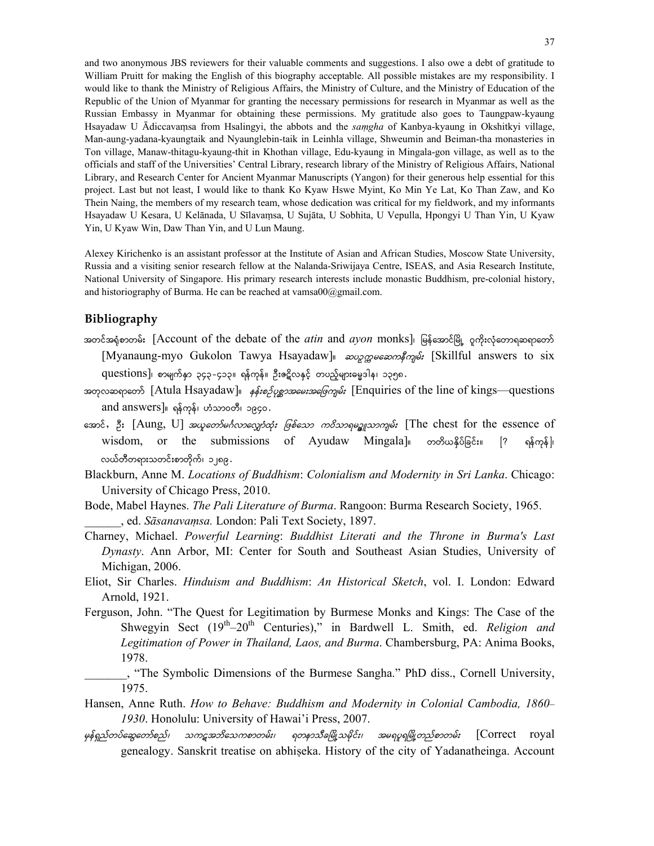and two anonymous JBS reviewers for their valuable comments and suggestions. I also owe a debt of gratitude to William Pruitt for making the English of this biography acceptable. All possible mistakes are my responsibility. I would like to thank the Ministry of Religious Affairs, the Ministry of Culture, and the Ministry of Education of the Republic of the Union of Myanmar for granting the necessary permissions for research in Myanmar as well as the Russian Embassy in Myanmar for obtaining these permissions. My gratitude also goes to Taungpaw-kyaung Hsayadaw U Ādiccavaṃsa from Hsalingyi, the abbots and the *saṃgha* of Kanbya-kyaung in Okshitkyi village, Man-aung-yadana-kyaungtaik and Nyaunglebin-taik in Leinhla village, Shweumin and Beiman-tha monasteries in Ton village, Manaw-thitagu-kyaung-thit in Khothan village, Edu-kyaung in Mingala-gon village, as well as to the officials and staff of the Universities' Central Library, research library of the Ministry of Religious Affairs, National Library, and Research Center for Ancient Myanmar Manuscripts (Yangon) for their generous help essential for this project. Last but not least, I would like to thank Ko Kyaw Hswe Myint, Ko Min Ye Lat, Ko Than Zaw, and Ko Thein Naing, the members of my research team, whose dedication was critical for my fieldwork, and my informants Hsayadaw U Kesara, U Kelānada, U Sīlavaṃsa, U Sujāta, U Sobhita, U Vepulla, Hpongyi U Than Yin, U Kyaw Yin, U Kyaw Win, Daw Than Yin, and U Lun Maung.

Alexey Kirichenko is an assistant professor at the Institute of Asian and African Studies, Moscow State University, Russia and a visiting senior research fellow at the Nalanda-Sriwijaya Centre, ISEAS, and Asia Research Institute, National University of Singapore. His primary research interests include monastic Buddhism, pre-colonial history, and historiography of Burma. He can be reached at vamsa00@gmail.com.

## **Bibliography**

- အတင်အရုံစာတမ်း [Account of the debate of the *atin* and *ayon* monks]၊ မြန်အောင်မြို့ ဂူကိုးလုံတောရဆရာတော် [Myanaung-myo Gukolon Tawya Hsayadaw] 2000 06: [Skillful answers to six questions]၊ စာမျက်နှာ ၃၄၃-၄၁၃။ ရန်ကုန်။ ဦးဇဋ္ဌိလနှင့် တပည့်များဓမ္မဒါန၊ ၁၃၅၈.
- soposopoos [Atula Hsayadaw] of enginal solutions [Enquiries of the line of kings—questions and answers]။ ရန်ကုန်၊ ဟံသာဝတီ၊ ၁၉၄၀.
- အောင်, ဦး [Aung, U] *အယူတော်မင်္ဂလာလျှော်ထုံး ဖြစ်သော ကဝိသာရမဥ္စူသာကျမ်း* [The chest for the essence of  $wisdom$ , or the submissions of Ayudaw Mingala] www.sdom, or the submissions of Ayudaw Mingala] woodwares လယ်တီတရားသတင်းစာတိုက်၊ ၁၂၈၉.
- Blackburn, Anne M. *Locations of Buddhism*: *Colonialism and Modernity in Sri Lanka*. Chicago: University of Chicago Press, 2010.
- Bode, Mabel Haynes. *The Pali Literature of Burma*. Rangoon: Burma Research Society, 1965. \_\_\_\_\_\_, ed. *Sāsanavaṃsa.* London: Pali Text Society, 1897.
- Charney, Michael. *Powerful Learning*: *Buddhist Literati and the Throne in Burma's Last Dynasty*. Ann Arbor, MI: Center for South and Southeast Asian Studies, University of Michigan, 2006.
- Eliot, Sir Charles. *Hinduism and Buddhism*: *An Historical Sketch*, vol. I. London: Edward Arnold, 1921.
- Ferguson, John. "The Quest for Legitimation by Burmese Monks and Kings: The Case of the Shwegyin Sect (19<sup>th</sup>–20<sup>th</sup> Centuries)," in Bardwell L. Smith, ed. *Religion and Legitimation of Power in Thailand, Laos, and Burma*. Chambersburg, PA: Anima Books, 1978.
	- \_\_\_\_\_\_\_, "The Symbolic Dimensions of the Burmese Sangha." PhD diss., Cornell University, 1975.
- Hansen, Anne Ruth. *How to Behave: Buddhism and Modernity in Colonial Cambodia, 1860 1930*. Honolulu: University of Hawai'i Press, 2007.
- မှန်ရှည်တပ်ဆွေတော်စည်၊ သကဋ္ဌအဘိသေကစာတမ်း၊ ရတနာသီခမြို့သမိုင်း၊ အမရပူရမြို့တည်စာတမ်း  ${\rm [Correct\quad}$ genealogy. Sanskrit treatise on abhiṣeka. History of the city of Yadanatheinga. Account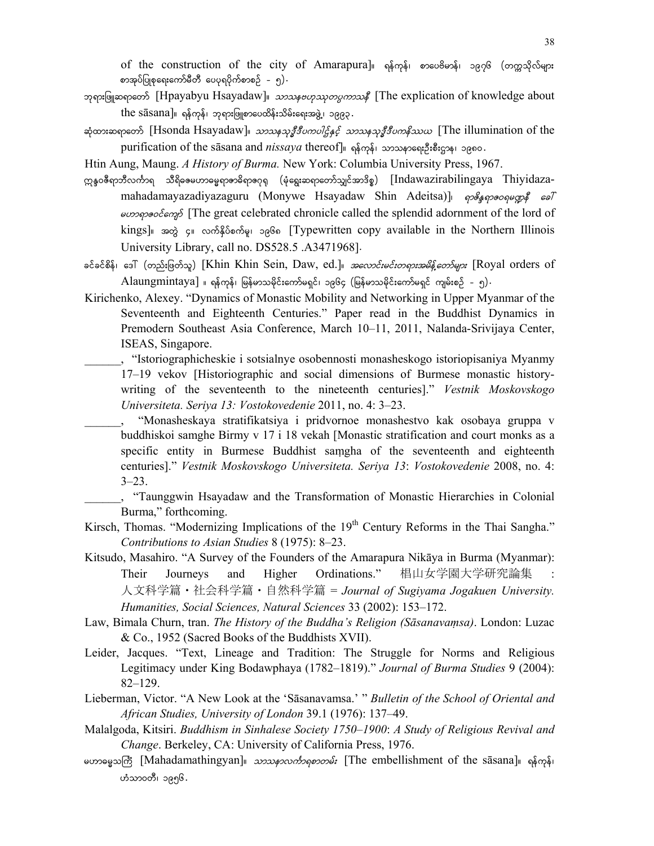of the construction of the city of Amarapura]။ ရန်ကုန်၊ စာပေဗိမာန်၊ ၁၉၇၆ (တက္ကသိုလ်များ စာအုပ်ပြုစုရေးကော်မီတီ ပေပုရပိုက်စာစဉ် – ၅) $\cdot$ 

- pp:[o]] pps:[o]] papeon [Hpayabyu Hsayadaw] 30004600000000000 [The explication of knowledge about  $the$   $s\bar{a}s$ ana]။ ရန်ကုန်၊ ဘုရားဖြူစာပေထိန်းသိမ်းရေးအဖွဲ့၊ ၁၉၉၃.
- ဆုံထားဆရာတော် [Hsonda Hsayadaw] ဟာသနသု*ဒ္ဓိဒီပကပါဌ်နှင့် သာသနသုဒ္ဓိဒီပကနိဿယ* [The illumination of the purification of the sasana and *nissaya* thereof]။ ရန်ကုန်၊ သာသနာရေးဦးစီးဌာန၊ ၁၉၈၀.

Htin Aung, Maung. *A History of Burma.* New York: Columbia University Press, 1967.

- ဣန္ဒဝဇီရာဘီလင်္ကာရ သီရိဓဧမဟာဓမ္မရာဇာဓိရာဇဂုရု (မုံရွေးဆရာတော်သျှင်အာဒိစ္စ) [Indawazirabilingaya Thiyidazamahadamayazadiyazaguru (Monywe Hsayadaw Shin Adeitsa)] pesspeopegps esl eυρερερίεται [The great celebrated chronicle called the splendid adornment of the lord of kings] အတွဲ ၄။ လက်နိုပ်စက်မှု၊ ၁၉၆၈ [Typewritten copy available in the Northern Illinois University Library, call no. DS528.5 .A3471968].
- ခင်ခင်စိန်၊ ဒေါ် (တည်းဖြတ်သူ) [Khin Khin Sein, Daw, ed.]*။ အလောင်းမင်းတရားအမိန့်တော်များ* [Royal orders of  $\text{Alaungmintaya}$  ။ ရန်ကုန်၊ မြန်မာသမိုင်းကော်မရှင်၊ ၁၉၆၄ (မြန်မာသမိုင်းကော်မရှင် ကျမ်းစဉ် - ၅).
- Kirichenko, Alexey. "Dynamics of Monastic Mobility and Networking in Upper Myanmar of the Seventeenth and Eighteenth Centuries." Paper read in the Buddhist Dynamics in Premodern Southeast Asia Conference, March 10–11, 2011, Nalanda-Srivijaya Center, ISEAS, Singapore.
	- \_\_\_\_\_\_, "Istoriographicheskie i sotsialnye osobennosti monasheskogo istoriopisaniya Myanmy 17–19 vekov [Historiographic and social dimensions of Burmese monastic historywriting of the seventeenth to the nineteenth centuries]." *Vestnik Moskovskogo Universiteta. Seriya 13: Vostokovedenie* 2011, no. 4: 3–23.
	- \_\_\_\_\_\_, "Monasheskaya stratifikatsiya i pridvornoe monashestvo kak osobaya gruppa v buddhiskoi samghe Birmy v 17 i 18 vekah [Monastic stratification and court monks as a specific entity in Burmese Buddhist saṃgha of the seventeenth and eighteenth centuries]." *Vestnik Moskovskogo Universiteta. Seriya 13*: *Vostokovedenie* 2008, no. 4: 3–23.
	- \_\_\_\_\_\_, "Taunggwin Hsayadaw and the Transformation of Monastic Hierarchies in Colonial Burma," forthcoming.
- Kirsch, Thomas. "Modernizing Implications of the 19<sup>th</sup> Century Reforms in the Thai Sangha." *Contributions to Asian Studies* 8 (1975): 8–23.
- Kitsudo, Masahiro. "A Survey of the Founders of the Amarapura Nikāya in Burma (Myanmar): Their Journeys and Higher Ordinations." 椙山女学園大学研究論集 人文科学篇・社会科学篇・自然科学篇 = *Journal of Sugiyama Jogakuen University. Humanities, Social Sciences, Natural Sciences* 33 (2002): 153–172.
- Law, Bimala Churn, tran. *The History of the Buddha's Religion (Sāsanavaṃsa)*. London: Luzac & Co., 1952 (Sacred Books of the Buddhists XVII).
- Leider, Jacques. "Text, Lineage and Tradition: The Struggle for Norms and Religious Legitimacy under King Bodawphaya (1782–1819)." *Journal of Burma Studies* 9 (2004): 82–129.
- Lieberman, Victor. "A New Look at the 'Sāsanavamsa.' " *Bulletin of the School of Oriental and African Studies, University of London* 39.1 (1976): 137–49.
- Malalgoda, Kitsiri. *Buddhism in Sinhalese Society 1750*–*1900*: *A Study of Religious Revival and Change*. Berkeley, CA: University of California Press, 1976.
- မဟာဓမ္မသကြီး [Mahadamathingyan] *သာသနာလင်္ကာရစာတမ်း* [The embellishment of the sasana] ရှိကုန်၊ ဟံသာ၀တီ၊ ၁၉၅၆.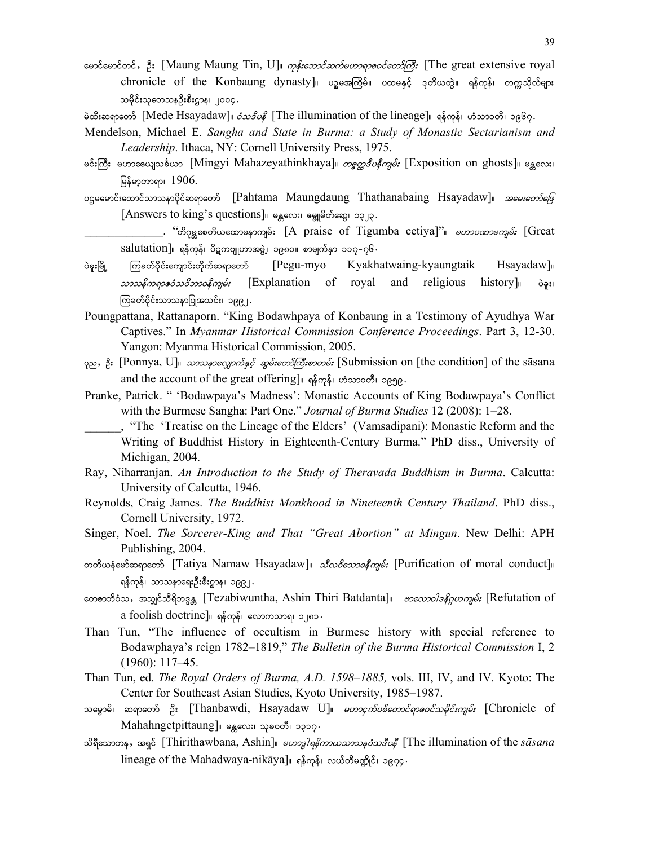- မောင်မောင်တင်, ဦး [Maung Maung Tin, U]<sub>။</sub> *ကုန်းဘောင်ဆက်မဟာရာဇဝင်တော်ကြီး* [The great extensive royal chronicle of the Konbaung dynasty]။ ပဉ္စမအကြိမ်။ ပထမနှင့် ဒုတိယတွဲ။ ရန်ကုန်၊ တက္ကသိုလ်များ သမိုင်းသုတေသနဦးစီးဌာန၊ ၂၀၀၄ .
- မဲထီးဆရာတော် [Mede Hsayadaw] *ဝံသဒီပနီ* [The illumination of the lineage] ရန်ကုန်၊ ဟံသာဝတီ၊ ၁၉၆၇.
- Mendelson, Michael E. *Sangha and State in Burma: a Study of Monastic Sectarianism and Leadership*. Ithaca, NY: Cornell University Press, 1975.
- မင်းကြီး မဟာဇေယျသင်္ခယာ [Mingyi Mahazeyathinkhaya]<sub>။</sub> *တစ္နွတ္တဒီပနီကျမ်း* [Exposition on ghosts]<sub>။ မန္တလေး၊</sub> မြန်မာ့တာရာ၊  $1906$ .
- USeeေ creasificomomomorificama Maungdaung Thathanabaing Hsayadaw] 3060:00560  $[Answers to king's questions]$ ။ မန္တလေး၊ ဓမ္ဗူမိတ်ဆွေ၊ ၁၃၂၃.
- . "თ ვდათ ვათავათ არის" [A praise of Tigumba cetiya]" *ით ვათავრ:* [Great  $salutation]$ ။ ရန်ကုန်၊ ပိဋကဗျူဟာအဖွဲ့၊ ၁၉၈၀။ စာမျက်နှာ ၁၁၇-၇၆ $\cdot$
- ပဲခူးမြို့ ကြခတ်ဝိုင်းကျောင်းတိုက်ဆရာတော် [Pegu-myo Kyakhatwaing-kyaungtaik Hsayadaw]။ omoedu&mZ0Ho0dbm0e Dusrf; [Explanation of royal and religious history]/ yJcl;? ကြခတ်ဝိုင်းသာသနာပြုအသင်း၊ ၁၉<u>၉၂</u>.
- Poungpattana, Rattanaporn. "King Bodawhpaya of Konbaung in a Testimony of Ayudhya War Captives." In *Myanmar Historical Commission Conference Proceedings*. Part 3, 12-30. Yangon: Myanma Historical Commission, 2005.
- $\varphi$ <sub>2</sub>, 3: [Ponnya, U]<sub>||</sub> *2020 နှင့်ရောက်နှင့် ဆွမ်းတော်ကြီးစာတမ်း* [Submission on [the condition] of the sasana and the account of the great offering]။ ရန်ကုန်၊ ဟံသာ၀တီ၊ ၁၉၅၉.
- Pranke, Patrick. " 'Bodawpaya's Madness': Monastic Accounts of King Bodawpaya's Conflict with the Burmese Sangha: Part One." *Journal of Burma Studies* 12 (2008): 1–28.

\_\_\_\_\_\_, "The 'Treatise on the Lineage of the Elders' (Vamsadipani): Monastic Reform and the Writing of Buddhist History in Eighteenth-Century Burma." PhD diss., University of Michigan, 2004.

- Ray, Niharranjan. *An Introduction to the Study of Theravada Buddhism in Burma*. Calcutta: University of Calcutta, 1946.
- Reynolds, Craig James. *The Buddhist Monkhood in Nineteenth Century Thailand*. PhD diss., Cornell University, 1972.
- Singer, Noel. *The Sorcerer-King and That "Great Abortion" at Mingun*. New Delhi: APH Publishing, 2004.
- တတိယနံမော်ဆရာတော် [Tatiya Namaw Hsayadaw] သီလ*ဝိသောဓနီကျမ်း* [Purification of moral conduct] ရန်ကုန်၊ သာသနာရေးဦးစီးဌာန၊ ၁၉၉၂.
- တေဇာဘိဝံသ, အသျှင်သီရိဘဒ္ဒန္တ [Tezabiwuntha, Ashin Thiri Batdanta] *ဗာလောဝါဒနိဂ္ဂဟကျမ်း* [Refutation of a foolish doctrine]။ ရန်ကုန်၊ လောကသာရ၊ ၁၂၈၁.
- Than Tun, "The influence of occultism in Burmese history with special reference to Bodawphaya's reign 1782–1819," *The Bulletin of the Burma Historical Commission* I, 2 (1960): 117–45.
- Than Tun, ed. *The Royal Orders of Burma, A.D. 1598*–*1885,* vols. III, IV, and IV. Kyoto: The Center for Southeast Asian Studies, Kyoto University, 1985–1987.
- သမ္ဗောဓိ၊ ဆရာတော် ဦး [Thanbawdi, Hsayadaw U]။ *မဟာငှက်ပစ်တောင်ရာဇဝင်သမိုင်းကျမ်း* [Chronicle of Mahahngetpittaung] မန္တလေး၊ သုခ၀တီ၊ ၁၃၁၇.
- သိရီသောဘန<sup>,</sup> အရှင် [Thirithawbana, Ashin]။ *မဟာဒ္ဓါရနိကာယသာသနံသဒီပနီ* [The illumination of the *sa<sup>sana</sup>* lineage of the Mahadwaya-nikaya]။ ရန်ကုန်၊ လယ်တီမဏ္ဍိုင်၊ ၁၉၇၄.